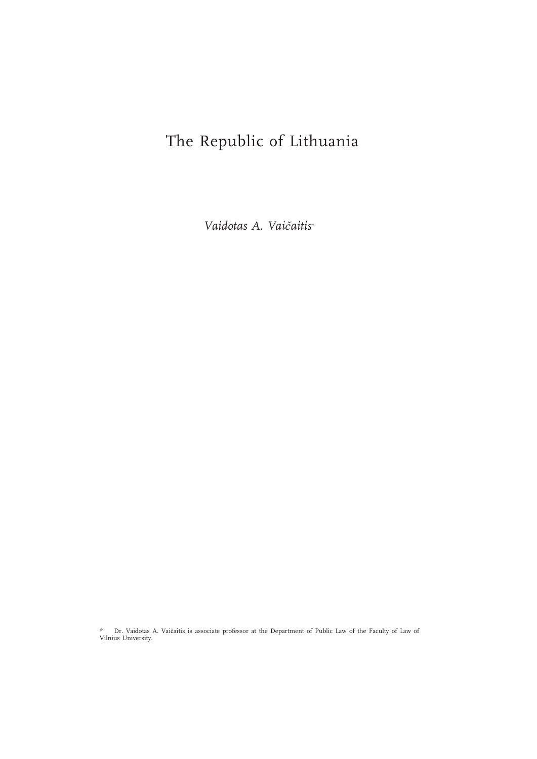# The Republic of Lithuania

Vaidotas A. Vaičaitis\*

\* Dr. Vaidotas A. Vaičaitis is associate professor at the Department of Public Law of the Faculty of Law of Vilnius University.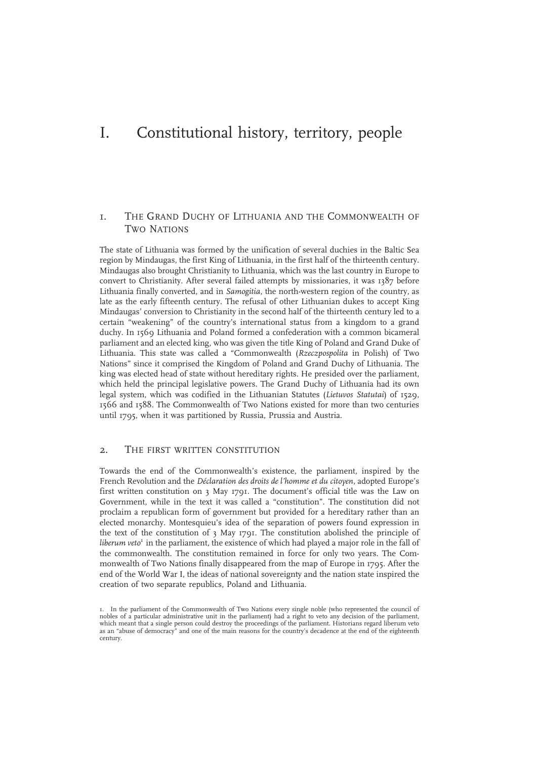# I. Constitutional history, territory, people

# 1. THE GRAND DUCHY OF LITHUANIA AND THE COMMONWEALTH OF TWO NATIONS

The state of Lithuania was formed by the unification of several duchies in the Baltic Sea region by Mindaugas, the first King of Lithuania, in the first half of the thirteenth century. Mindaugas also brought Christianity to Lithuania, which was the last country in Europe to convert to Christianity. After several failed attempts by missionaries, it was 1387 before Lithuania finally converted, and in Samogitia, the north-western region of the country, as late as the early fifteenth century. The refusal of other Lithuanian dukes to accept King Mindaugas' conversion to Christianity in the second half of the thirteenth century led to a certain "weakening" of the country's international status from a kingdom to a grand duchy. In 1569 Lithuania and Poland formed a confederation with a common bicameral parliament and an elected king, who was given the title King of Poland and Grand Duke of Lithuania. This state was called a "Commonwealth (Rzeczpospolita in Polish) of Two Nations" since it comprised the Kingdom of Poland and Grand Duchy of Lithuania. The king was elected head of state without hereditary rights. He presided over the parliament, which held the principal legislative powers. The Grand Duchy of Lithuania had its own legal system, which was codified in the Lithuanian Statutes (Lietuvos Statutai) of 1529, 1566 and 1588. The Commonwealth of Two Nations existed for more than two centuries until 1795, when it was partitioned by Russia, Prussia and Austria.

## 2. THE FIRST WRITTEN CONSTITUTION

Towards the end of the Commonwealth's existence, the parliament, inspired by the French Revolution and the Déclaration des droits de l'homme et du citoyen, adopted Europe's first written constitution on 3 May 1791. The document's official title was the Law on Government, while in the text it was called a "constitution". The constitution did not proclaim a republican form of government but provided for a hereditary rather than an elected monarchy. Montesquieu's idea of the separation of powers found expression in the text of the constitution of 3 May 1791. The constitution abolished the principle of *liberum veto*<sup> $\text{ }$ </sup> in the parliament, the existence of which had played a major role in the fall of the commonwealth. The constitution remained in force for only two years. The Commonwealth of Two Nations finally disappeared from the map of Europe in 1795. After the end of the World War I, the ideas of national sovereignty and the nation state inspired the creation of two separate republics, Poland and Lithuania.

<sup>1.</sup> In the parliament of the Commonwealth of Two Nations every single noble (who represented the council of nobles of a particular administrative unit in the parliament) had a right to veto any decision of the parliament, which meant that a single person could destroy the proceedings of the parliament. Historians regard liberum veto as an "abuse of democracy" and one of the main reasons for the country's decadence at the end of the eighteenth century.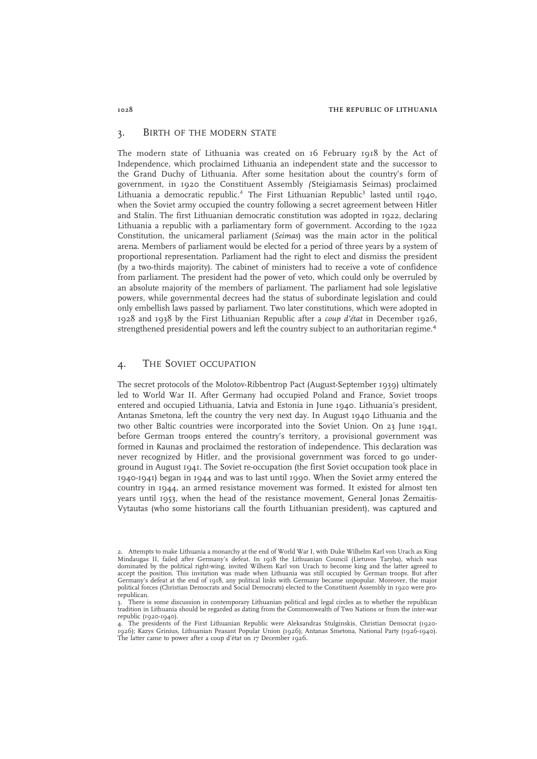## 3. BIRTH OF THE MODERN STATE

The modern state of Lithuania was created on 16 February 1918 by the Act of Independence, which proclaimed Lithuania an independent state and the successor to the Grand Duchy of Lithuania. After some hesitation about the country's form of government, in 1920 the Constituent Assembly (Steigiamasis Seimas) proclaimed Lithuania a democratic republic.<sup>2</sup> The First Lithuanian Republic<sup>3</sup> lasted until 1940, when the Soviet army occupied the country following a secret agreement between Hitler and Stalin. The first Lithuanian democratic constitution was adopted in 1922, declaring Lithuania a republic with a parliamentary form of government. According to the 1922 Constitution, the unicameral parliament (Seimas) was the main actor in the political arena. Members of parliament would be elected for a period of three years by a system of proportional representation. Parliament had the right to elect and dismiss the president (by a two-thirds majority). The cabinet of ministers had to receive a vote of confidence from parliament. The president had the power of veto, which could only be overruled by an absolute majority of the members of parliament. The parliament had sole legislative powers, while governmental decrees had the status of subordinate legislation and could only embellish laws passed by parliament. Two later constitutions, which were adopted in 1928 and 1938 by the First Lithuanian Republic after a *coup d'état* in December 1926, strengthened presidential powers and left the country subject to an authoritarian regime.<sup>4</sup>

## 4. THE SOVIET OCCUPATION

The secret protocols of the Molotov-Ribbentrop Pact (August-September 1939) ultimately led to World War II. After Germany had occupied Poland and France, Soviet troops entered and occupied Lithuania, Latvia and Estonia in June 1940. Lithuania's president, Antanas Smetona, left the country the very next day. In August 1940 Lithuania and the two other Baltic countries were incorporated into the Soviet Union. On 23 June 1941, before German troops entered the country's territory, a provisional government was formed in Kaunas and proclaimed the restoration of independence. This declaration was never recognized by Hitler, and the provisional government was forced to go underground in August 1941. The Soviet re-occupation (the first Soviet occupation took place in 1940-1941) began in 1944 and was to last until 1990. When the Soviet army entered the country in 1944, an armed resistance movement was formed. It existed for almost ten years until 1953, when the head of the resistance movement, General Jonas Žemaitis-Vytautas (who some historians call the fourth Lithuanian president), was captured and

<sup>2.</sup> Attempts to make Lithuania a monarchy at the end of World War I, with Duke Wilhelm Karl von Urach as King Mindaugas II, failed after Germany's defeat. In 1918 the Lithuanian Council (Lietuvos Taryba), which was dominated by the political right-wing, invited Wilhem Karl von Urach to become king and the latter agreed to accept the position. This invitation was made when Lithuania was still occupied by German troops. But after Germany's defeat at the end of 1918, any political links with Germany became unpopular. Moreover, the major political forces (Christian Democrats and Social Democrats) elected to the Constituent Assembly in 1920 were prorepublican.

 $3.$  There is some discussion in contemporary Lithuanian political and legal circles as to whether the republican tradition in Lithuania should be regarded as dating from the Commonwealth of Two Nations or from the inter-war republic (1920-1940).

The presidents of the First Lithuanian Republic were Aleksandras Stulginskis, Christian Democrat (1920-1926); Kazys Grinius, Lithuanian Peasant Popular Union (1926); Antanas Smetona, National Party (1926-1940). The latter came to power after a coup d'état on 17 December 1926.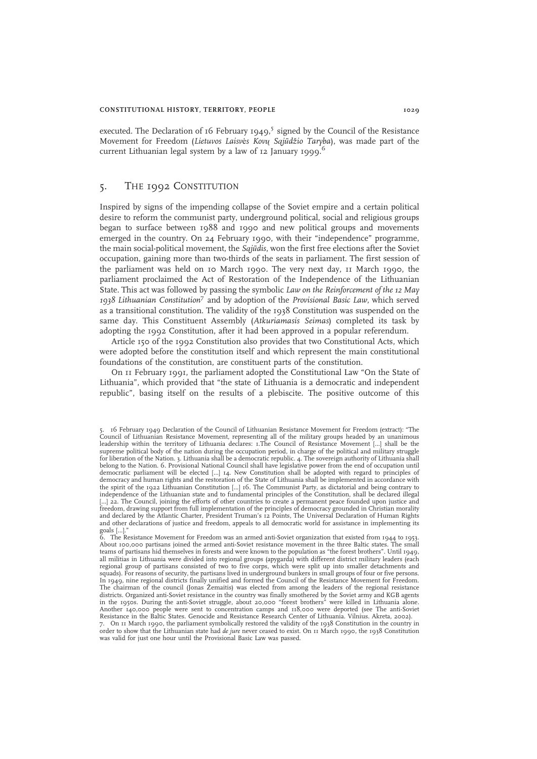executed. The Declaration of 16 February 1949,<sup>5</sup> signed by the Council of the Resistance Movement for Freedom (Lietuvos Laisvės Kovų Sąjūdžio Taryba), was made part of the current Lithuanian legal system by a law of  $12$  January 1999.<sup>6</sup>

## 5. THE 1992 CONSTITUTION

Inspired by signs of the impending collapse of the Soviet empire and a certain political desire to reform the communist party, underground political, social and religious groups began to surface between 1988 and 1990 and new political groups and movements emerged in the country. On 24 February 1990, with their "independence" programme, the main social-political movement, the Sąjūdis, won the first free elections after the Soviet occupation, gaining more than two-thirds of the seats in parliament. The first session of the parliament was held on 10 March 1990. The very next day, 11 March 1990, the parliament proclaimed the Act of Restoration of the Independence of the Lithuanian State. This act was followed by passing the symbolic Law on the Reinforcement of the 12 May 1938 Lithuanian Constitution<sup>7</sup> and by adoption of the Provisional Basic Law, which served as a transitional constitution. The validity of the 1938 Constitution was suspended on the same day. This Constituent Assembly (Atkuriamasis Seimas) completed its task by adopting the 1992 Constitution, after it had been approved in a popular referendum.

Article 150 of the 1992 Constitution also provides that two Constitutional Acts, which were adopted before the constitution itself and which represent the main constitutional foundations of the constitution, are constituent parts of the constitution.

On 11 February 1991, the parliament adopted the Constitutional Law "On the State of Lithuania", which provided that "the state of Lithuania is a democratic and independent republic", basing itself on the results of a plebiscite. The positive outcome of this

<sup>5. 16</sup> February 1949 Declaration of the Council of Lithuanian Resistance Movement for Freedom (extract): "The Council of Lithuanian Resistance Movement, representing all of the military groups headed by an unanimous leadership within the territory of Lithuania declares: 1.The Council of Resistance Movement […] shall be the supreme political body of the nation during the occupation period, in charge of the political and military struggle<br>for liberation of the Nation. 3. Lithuania shall be a democratic republic. 4. The sovereign authority of L belong to the Nation. 6. Provisional National Council shall have legislative power from the end of occupation until democratic parliament will be elected […] 14. New Constitution shall be adopted with regard to principles of democracy and human rights and the restoration of the State of Lithuania shall be implemented in accordance with the spirit of the 1922 Lithuanian Constitution […] 16. The Communist Party, as dictatorial and being contrary to independence of the Lithuanian state and to fundamental principles of the Constitution, shall be declared illegal […] 22. The Council, joining the efforts of other countries to create a permanent peace founded upon justice and freedom, drawing support from full implementation of the principles of democracy grounded in Christian morality and declared by the Atlantic Charter, President Truman's 12 Points, The Universal Declaration of Human Rights and other declarations of justice and freedom, appeals to all democratic world for assistance in implementing its

goals […]." 6. The Resistance Movement for Freedom was an armed anti-Soviet organization that existed from 1944 to 1953. About 100,000 partisans joined the armed anti-Soviet resistance movement in the three Baltic states. The small teams of partisans hid themselves in forests and were known to the population as "the forest brothers". Until 1949,<br>all militias in Lithuania were divided into regional groups (apygarda) with different district military le regional group of partisans consisted of two to five corps, which were split up into smaller detachments and squads). For reasons of security, the partisans lived in underground bunkers in small groups of four or five persons.<br>In 1949, nine regional districts finally unified and formed the Council of the Resistance Movement for F The chairman of the council (Jonas Žemaitis) was elected from among the leaders of the regional resistance districts. Organized anti-Soviet resistance in the country was finally smothered by the Soviet army and KGB agents in the 1950s. During the anti-Soviet struggle, about 20,000 "forest brothers" were killed in Lithuania alone. Another 140,000 people were sent to concentration camps and 118,000 were deported (see The anti-Soviet Resistance in the Baltic States. Genocide and Resistance Research Center of Lithuania. Vilnius. Akreta, 2002).

<sup>7.</sup> On 11 March 1990, the parliament symbolically restored the validity of the 1938 Constitution in the country in order to show that the Lithuanian state had de jure never ceased to exist. On 11 March 1990, the 1938 Constitution was valid for just one hour until the Provisional Basic Law was passed.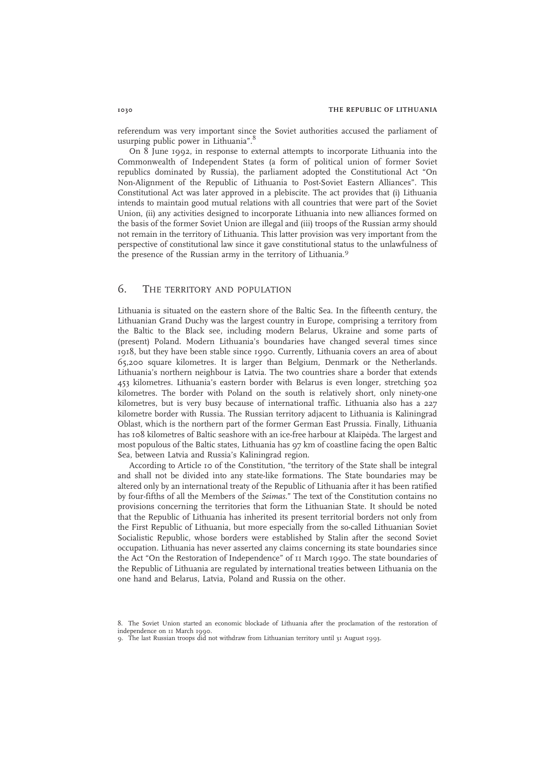referendum was very important since the Soviet authorities accused the parliament of usurping public power in Lithuania".<sup>8</sup>

On 8 June 1992, in response to external attempts to incorporate Lithuania into the Commonwealth of Independent States (a form of political union of former Soviet republics dominated by Russia), the parliament adopted the Constitutional Act "On Non-Alignment of the Republic of Lithuania to Post-Soviet Eastern Alliances". This Constitutional Act was later approved in a plebiscite. The act provides that (i) Lithuania intends to maintain good mutual relations with all countries that were part of the Soviet Union, (ii) any activities designed to incorporate Lithuania into new alliances formed on the basis of the former Soviet Union are illegal and (iii) troops of the Russian army should not remain in the territory of Lithuania. This latter provision was very important from the perspective of constitutional law since it gave constitutional status to the unlawfulness of the presence of the Russian army in the territory of Lithuania.<sup>9</sup>

## 6. THE TERRITORY AND POPULATION

Lithuania is situated on the eastern shore of the Baltic Sea. In the fifteenth century, the Lithuanian Grand Duchy was the largest country in Europe, comprising a territory from the Baltic to the Black see, including modern Belarus, Ukraine and some parts of (present) Poland. Modern Lithuania's boundaries have changed several times since 1918, but they have been stable since 1990. Currently, Lithuania covers an area of about 65,200 square kilometres. It is larger than Belgium, Denmark or the Netherlands. Lithuania's northern neighbour is Latvia. The two countries share a border that extends 453 kilometres. Lithuania's eastern border with Belarus is even longer, stretching 502 kilometres. The border with Poland on the south is relatively short, only ninety-one kilometres, but is very busy because of international traffic. Lithuania also has a 227 kilometre border with Russia. The Russian territory adjacent to Lithuania is Kaliningrad Oblast, which is the northern part of the former German East Prussia. Finally, Lithuania has 108 kilometres of Baltic seashore with an ice-free harbour at Klaipėda. The largest and most populous of the Baltic states, Lithuania has 97 km of coastline facing the open Baltic Sea, between Latvia and Russia's Kaliningrad region.

According to Article 10 of the Constitution, "the territory of the State shall be integral and shall not be divided into any state-like formations. The State boundaries may be altered only by an international treaty of the Republic of Lithuania after it has been ratified by four-fifths of all the Members of the Seimas." The text of the Constitution contains no provisions concerning the territories that form the Lithuanian State. It should be noted that the Republic of Lithuania has inherited its present territorial borders not only from the First Republic of Lithuania, but more especially from the so-called Lithuanian Soviet Socialistic Republic, whose borders were established by Stalin after the second Soviet occupation. Lithuania has never asserted any claims concerning its state boundaries since the Act "On the Restoration of Independence" of 11 March 1990. The state boundaries of the Republic of Lithuania are regulated by international treaties between Lithuania on the one hand and Belarus, Latvia, Poland and Russia on the other.

<sup>8.</sup> The Soviet Union started an economic blockade of Lithuania after the proclamation of the restoration of independence on 11 March 1990.

<sup>9.</sup> The last Russian troops did not withdraw from Lithuanian territory until 31 August 1993.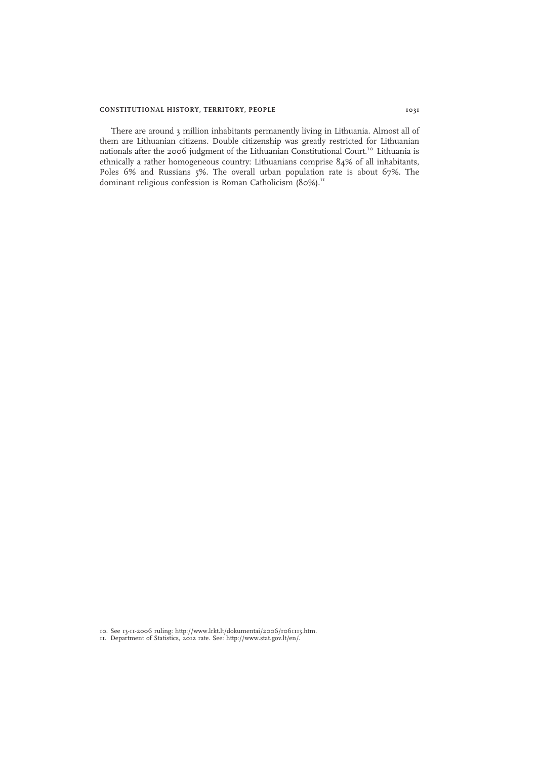## CONSTITUTIONAL HISTORY, TERRITORY, PEOPLE 1031

There are around 3 million inhabitants permanently living in Lithuania. Almost all of them are Lithuanian citizens. Double citizenship was greatly restricted for Lithuanian nationals after the 2006 judgment of the Lithuanian Constitutional Court.<sup>10</sup> Lithuania is ethnically a rather homogeneous country: Lithuanians comprise 84% of all inhabitants, Poles 6% and Russians 5%. The overall urban population rate is about 67%. The dominant religious confession is Roman Catholicism (80%).<sup>11</sup>

10. See 13-11-2006 ruling: http://www.lrkt.lt/dokumentai/2006/r061113.htm. 11. Department of Statistics, 2012 rate. See: http://www.stat.gov.lt/en/.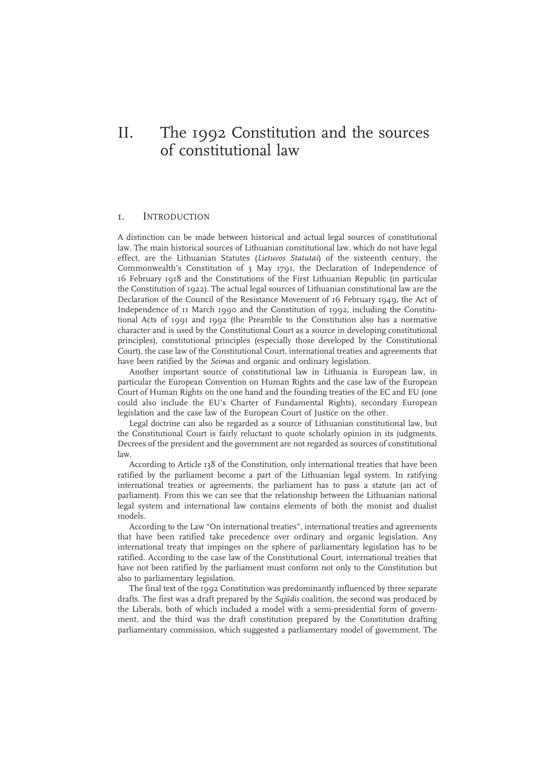# II. The 1992 Constitution and the sources of constitutional law

## 1. INTRODUCTION

A distinction can be made between historical and actual legal sources of constitutional law. The main historical sources of Lithuanian constitutional law, which do not have legal effect, are the Lithuanian Statutes (Lietuvos Statutai) of the sixteenth century, the Commonwealth's Constitution of 3 May 1791, the Declaration of Independence of 16 February 1918 and the Constitutions of the First Lithuanian Republic (in particular the Constitution of 1922). The actual legal sources of Lithuanian constitutional law are the Declaration of the Council of the Resistance Movement of 16 February 1949, the Act of Independence of 11 March 1990 and the Constitution of 1992, including the Constitutional Acts of 1991 and 1992 (the Preamble to the Constitution also has a normative character and is used by the Constitutional Court as a source in developing constitutional principles), constitutional principles (especially those developed by the Constitutional Court), the case law of the Constitutional Court, international treaties and agreements that have been ratified by the Seimas and organic and ordinary legislation.

Another important source of constitutional law in Lithuania is European law, in particular the European Convention on Human Rights and the case law of the European Court of Human Rights on the one hand and the founding treaties of the EC and EU (one could also include the EU's Charter of Fundamental Rights), secondary European legislation and the case law of the European Court of Justice on the other.

Legal doctrine can also be regarded as a source of Lithuanian constitutional law, but the Constitutional Court is fairly reluctant to quote scholarly opinion in its judgments. Decrees of the president and the government are not regarded as sources of constitutional law.

According to Article 138 of the Constitution, only international treaties that have been ratified by the parliament become a part of the Lithuanian legal system. In ratifying international treaties or agreements, the parliament has to pass a statute (an act of parliament). From this we can see that the relationship between the Lithuanian national legal system and international law contains elements of both the monist and dualist models.

According to the Law "On international treaties", international treaties and agreements that have been ratified take precedence over ordinary and organic legislation. Any international treaty that impinges on the sphere of parliamentary legislation has to be ratified. According to the case law of the Constitutional Court, international treaties that have not been ratified by the parliament must conform not only to the Constitution but also to parliamentary legislation.

The final text of the 1992 Constitution was predominantly influenced by three separate drafts. The first was a draft prepared by the *Sqiūdis* coalition, the second was produced by the Liberals, both of which included a model with a semi-presidential form of government, and the third was the draft constitution prepared by the Constitution drafting parliamentary commission, which suggested a parliamentary model of government. The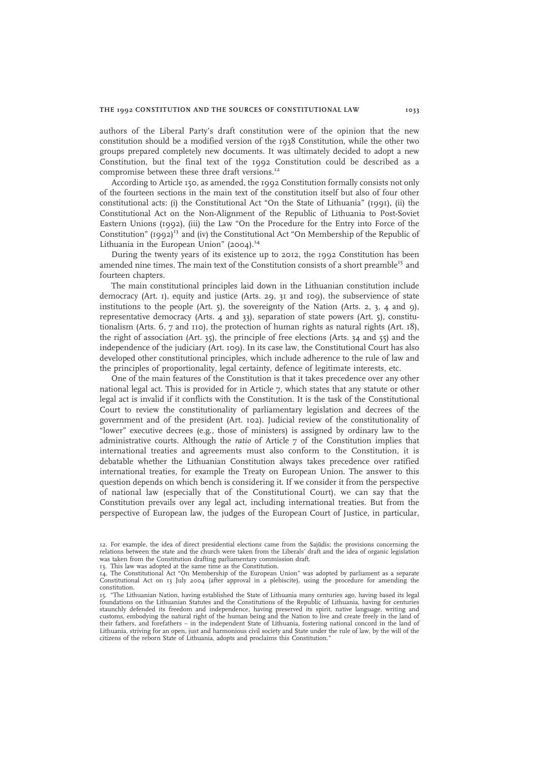authors of the Liberal Party's draft constitution were of the opinion that the new constitution should be a modified version of the 1938 Constitution, while the other two groups prepared completely new documents. It was ultimately decided to adopt a new Constitution, but the final text of the 1992 Constitution could be described as a compromise between these three draft versions.<sup>12</sup>

According to Article 150, as amended, the 1992 Constitution formally consists not only of the fourteen sections in the main text of the constitution itself but also of four other constitutional acts: (i) the Constitutional Act "On the State of Lithuania" (1991), (ii) the Constitutional Act on the Non-Alignment of the Republic of Lithuania to Post-Soviet Eastern Unions (1992), (iii) the Law "On the Procedure for the Entry into Force of the Constitution"  $(1992)^{13}$  and (iv) the Constitutional Act "On Membership of the Republic of Lithuania in the European Union"  $(2004).$ <sup>14</sup>

During the twenty years of its existence up to 2012, the 1992 Constitution has been amended nine times. The main text of the Constitution consists of a short preamble<sup>15</sup> and fourteen chapters.

The main constitutional principles laid down in the Lithuanian constitution include democracy (Art. 1), equity and justice (Arts. 29, 31 and 109), the subservience of state institutions to the people (Art. 5), the sovereignty of the Nation (Arts. 2, 3, 4 and 9), representative democracy (Arts. 4 and 33), separation of state powers (Art. 5), constitutionalism (Arts. 6, 7 and 110), the protection of human rights as natural rights (Art. 18), the right of association (Art. 35), the principle of free elections (Arts. 34 and 55) and the independence of the judiciary (Art. 109). In its case law, the Constitutional Court has also developed other constitutional principles, which include adherence to the rule of law and the principles of proportionality, legal certainty, defence of legitimate interests, etc.

One of the main features of the Constitution is that it takes precedence over any other national legal act. This is provided for in Article 7, which states that any statute or other legal act is invalid if it conflicts with the Constitution. It is the task of the Constitutional Court to review the constitutionality of parliamentary legislation and decrees of the government and of the president (Art. 102). Judicial review of the constitutionality of "lower" executive decrees (e.g., those of ministers) is assigned by ordinary law to the administrative courts. Although the ratio of Article 7 of the Constitution implies that international treaties and agreements must also conform to the Constitution, it is debatable whether the Lithuanian Constitution always takes precedence over ratified international treaties, for example the Treaty on European Union. The answer to this question depends on which bench is considering it. If we consider it from the perspective of national law (especially that of the Constitutional Court), we can say that the Constitution prevails over any legal act, including international treaties. But from the perspective of European law, the judges of the European Court of Justice, in particular,

<sup>12.</sup> For example, the idea of direct presidential elections came from the Sajūdis; the provisions concerning the relations between the state and the church were taken from the Liberals' draft and the idea of organic legislation was taken from the Constitution drafting parliamentary commission draft.

<sup>13.</sup> This law was adopted at the same time as the Constitution.

<sup>14.</sup> The Constitutional Act "On Membership of the European Union" was adopted by parliament as a separate Constitutional Act on 13 July 2004 (after approval in a plebiscite), using the procedure for amending the constitution.

<sup>15.</sup> "The Lithuanian Nation, having established the State of Lithuania many centuries ago, having based its legal foundations on the Lithuanian Statutes and the Constitutions of the Republic of Lithuania, having for centuries staunchly defended its freedom and independence, having preserved its spirit, native language, writing and customs, embodying the natural right of the human being and the Nation to live and create freely in the land of their fathers, and forefathers – in the independent State of Lithuania, fostering national concord in the land of Lithuania, striving for an open, just and harmonious civil society and State under the rule of law, by the will of the citizens of the reborn State of Lithuania, adopts and proclaims this Constitution."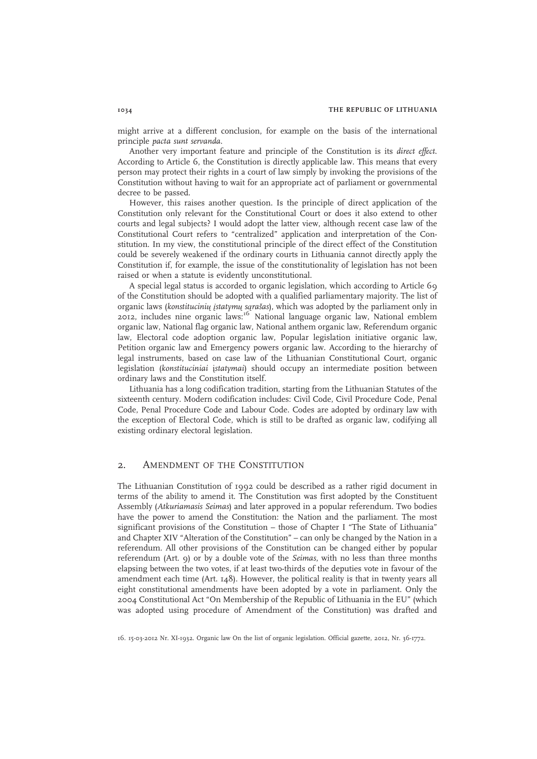might arrive at a different conclusion, for example on the basis of the international principle pacta sunt servanda.

Another very important feature and principle of the Constitution is its direct effect. According to Article 6, the Constitution is directly applicable law. This means that every person may protect their rights in a court of law simply by invoking the provisions of the Constitution without having to wait for an appropriate act of parliament or governmental decree to be passed.

However, this raises another question. Is the principle of direct application of the Constitution only relevant for the Constitutional Court or does it also extend to other courts and legal subjects? I would adopt the latter view, although recent case law of the Constitutional Court refers to "centralized" application and interpretation of the Constitution. In my view, the constitutional principle of the direct effect of the Constitution could be severely weakened if the ordinary courts in Lithuania cannot directly apply the Constitution if, for example, the issue of the constitutionality of legislation has not been raised or when a statute is evidently unconstitutional.

A special legal status is accorded to organic legislation, which according to Article 69 of the Constitution should be adopted with a qualified parliamentary majority. The list of organic laws (konstitucinių įstatymų sąrašas), which was adopted by the parliament only in 2012, includes nine organic laws:<sup>16</sup> National language organic law, National emblem organic law, National flag organic law, National anthem organic law, Referendum organic law, Electoral code adoption organic law, Popular legislation initiative organic law, Petition organic law and Emergency powers organic law. According to the hierarchy of legal instruments, based on case law of the Lithuanian Constitutional Court, organic legislation (konstituciniai įstatymai) should occupy an intermediate position between ordinary laws and the Constitution itself.

Lithuania has a long codification tradition, starting from the Lithuanian Statutes of the sixteenth century. Modern codification includes: Civil Code, Civil Procedure Code, Penal Code, Penal Procedure Code and Labour Code. Codes are adopted by ordinary law with the exception of Electoral Code, which is still to be drafted as organic law, codifying all existing ordinary electoral legislation.

## 2. AMENDMENT OF THE CONSTITUTION

The Lithuanian Constitution of 1992 could be described as a rather rigid document in terms of the ability to amend it. The Constitution was first adopted by the Constituent Assembly (Atkuriamasis Seimas) and later approved in a popular referendum. Two bodies have the power to amend the Constitution: the Nation and the parliament. The most significant provisions of the Constitution – those of Chapter I "The State of Lithuania" and Chapter XIV "Alteration of the Constitution" – can only be changed by the Nation in a referendum. All other provisions of the Constitution can be changed either by popular referendum (Art. 9) or by a double vote of the Seimas, with no less than three months elapsing between the two votes, if at least two-thirds of the deputies vote in favour of the amendment each time (Art.  $148$ ). However, the political reality is that in twenty years all eight constitutional amendments have been adopted by a vote in parliament. Only the 2004 Constitutional Act "On Membership of the Republic of Lithuania in the EU" (which was adopted using procedure of Amendment of the Constitution) was drafted and

16. 15-03-2012 Nr. XI-1932. Organic law On the list of organic legislation. Official gazette, 2012, Nr. 36-1772.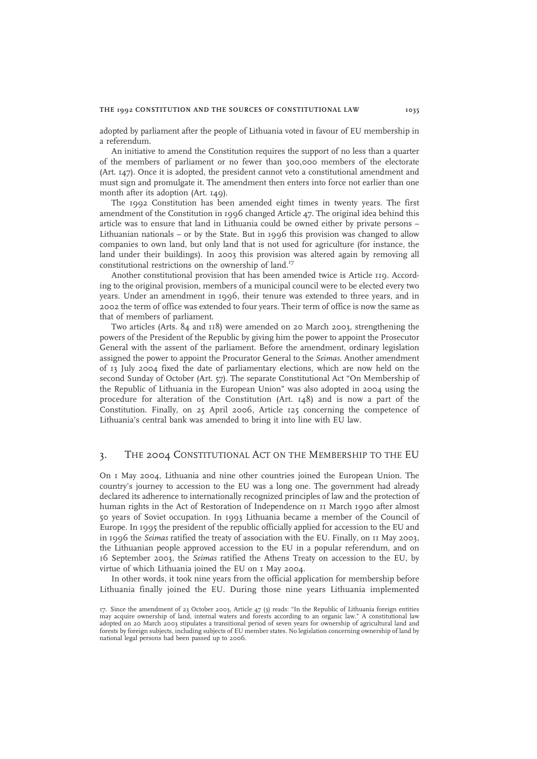adopted by parliament after the people of Lithuania voted in favour of EU membership in a referendum.

An initiative to amend the Constitution requires the support of no less than a quarter of the members of parliament or no fewer than 300,000 members of the electorate (Art. 147). Once it is adopted, the president cannot veto a constitutional amendment and must sign and promulgate it. The amendment then enters into force not earlier than one month after its adoption (Art. 149).

The 1992 Constitution has been amended eight times in twenty years. The first amendment of the Constitution in 1996 changed Article 47. The original idea behind this article was to ensure that land in Lithuania could be owned either by private persons – Lithuanian nationals – or by the State. But in 1996 this provision was changed to allow companies to own land, but only land that is not used for agriculture (for instance, the land under their buildings). In 2003 this provision was altered again by removing all constitutional restrictions on the ownership of land.<sup>17</sup>

Another constitutional provision that has been amended twice is Article 119. According to the original provision, members of a municipal council were to be elected every two years. Under an amendment in 1996, their tenure was extended to three years, and in 2002 the term of office was extended to four years. Their term of office is now the same as that of members of parliament.

Two articles (Arts. 84 and 118) were amended on 20 March 2003, strengthening the powers of the President of the Republic by giving him the power to appoint the Prosecutor General with the assent of the parliament. Before the amendment, ordinary legislation assigned the power to appoint the Procurator General to the Seimas. Another amendment of 13 July 2004 fixed the date of parliamentary elections, which are now held on the second Sunday of October (Art. 57). The separate Constitutional Act "On Membership of the Republic of Lithuania in the European Union" was also adopted in 2004 using the procedure for alteration of the Constitution (Art. 148) and is now a part of the Constitution. Finally, on 25 April 2006, Article 125 concerning the competence of Lithuania's central bank was amended to bring it into line with EU law.

## 3. THE 2004 CONSTITUTIONAL ACT ON THE MEMBERSHIP TO THE EU

On 1 May 2004, Lithuania and nine other countries joined the European Union. The country's journey to accession to the EU was a long one. The government had already declared its adherence to internationally recognized principles of law and the protection of human rights in the Act of Restoration of Independence on 11 March 1990 after almost 50 years of Soviet occupation. In 1993 Lithuania became a member of the Council of Europe. In 1995 the president of the republic officially applied for accession to the EU and in 1996 the Seimas ratified the treaty of association with the EU. Finally, on 11 May 2003, the Lithuanian people approved accession to the EU in a popular referendum, and on 16 September 2003, the Seimas ratified the Athens Treaty on accession to the EU, by virtue of which Lithuania joined the EU on 1 May 2004.

In other words, it took nine years from the official application for membership before Lithuania finally joined the EU. During those nine years Lithuania implemented

<sup>17.</sup> Since the amendment of 23 October 2003, Article 47 (3) reads: "In the Republic of Lithuania foreign entities may acquire ownership of land, internal waters and forests according to an organic law." A constitutional law adopted on 20 March 2003 stipulates a transitional period of seven years for ownership of agricultural land and forests by foreign subjects, including subjects of EU member states. No legislation concerning ownership of land by national legal persons had been passed up to 2006.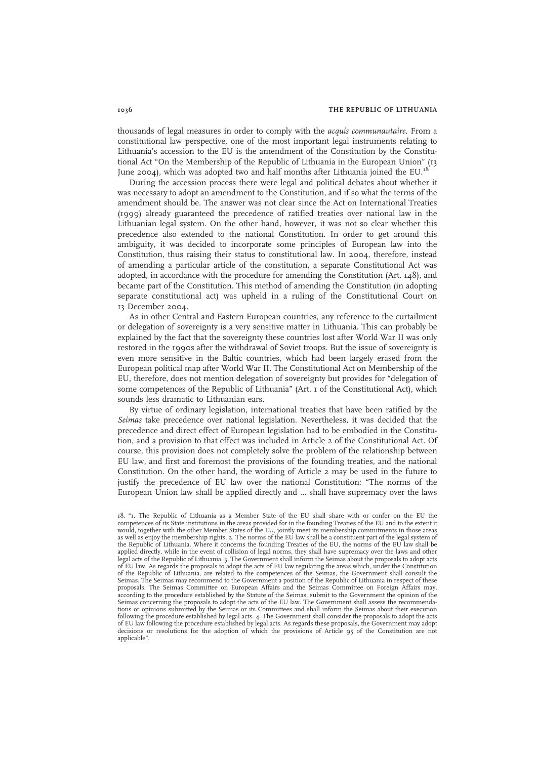thousands of legal measures in order to comply with the acquis communautaire. From a constitutional law perspective, one of the most important legal instruments relating to Lithuania's accession to the EU is the amendment of the Constitution by the Constitutional Act "On the Membership of the Republic of Lithuania in the European Union" (13 June 2004), which was adopted two and half months after Lithuania joined the EU.

During the accession process there were legal and political debates about whether it was necessary to adopt an amendment to the Constitution, and if so what the terms of the amendment should be. The answer was not clear since the Act on International Treaties (1999) already guaranteed the precedence of ratified treaties over national law in the Lithuanian legal system. On the other hand, however, it was not so clear whether this precedence also extended to the national Constitution. In order to get around this ambiguity, it was decided to incorporate some principles of European law into the Constitution, thus raising their status to constitutional law. In 2004, therefore, instead of amending a particular article of the constitution, a separate Constitutional Act was adopted, in accordance with the procedure for amending the Constitution (Art. 148), and became part of the Constitution. This method of amending the Constitution (in adopting separate constitutional act) was upheld in a ruling of the Constitutional Court on 13 December 2004.

As in other Central and Eastern European countries, any reference to the curtailment or delegation of sovereignty is a very sensitive matter in Lithuania. This can probably be explained by the fact that the sovereignty these countries lost after World War II was only restored in the 1990s after the withdrawal of Soviet troops. But the issue of sovereignty is even more sensitive in the Baltic countries, which had been largely erased from the European political map after World War II. The Constitutional Act on Membership of the EU, therefore, does not mention delegation of sovereignty but provides for "delegation of some competences of the Republic of Lithuania" (Art. 1 of the Constitutional Act), which sounds less dramatic to Lithuanian ears.

By virtue of ordinary legislation, international treaties that have been ratified by the Seimas take precedence over national legislation. Nevertheless, it was decided that the precedence and direct effect of European legislation had to be embodied in the Constitution, and a provision to that effect was included in Article 2 of the Constitutional Act. Of course, this provision does not completely solve the problem of the relationship between EU law, and first and foremost the provisions of the founding treaties, and the national Constitution. On the other hand, the wording of Article 2 may be used in the future to justify the precedence of EU law over the national Constitution: "The norms of the European Union law shall be applied directly and … shall have supremacy over the laws

<sup>18.</sup> "1. The Republic of Lithuania as a Member State of the EU shall share with or confer on the EU the competences of its State institutions in the areas provided for in the founding Treaties of the EU and to the extent it would, together with the other Member States of the EU, jointly meet its membership commitments in those areas<br>as well as enjoy the membership rights. 2. The norms of the EU law shall be a constituent part of the legal sys the Republic of Lithuania. Where it concerns the founding Treaties of the EU, the norms of the EU law shall be applied directly, while in the event of collision of legal norms, they shall have supremacy over the laws and other legal acts of the Republic of Lithuania. 3. The Government shall inform the Seimas about the proposals to adopt acts of EU law. As regards the proposals to adopt the acts of EU law regulating the areas which, under the Constitution of the Republic of Lithuania, are related to the competences of the Seimas, the Government shall consult the Seimas. The Seimas may recommend to the Government a position of the Republic of Lithuania in respect of these proposals. The Seimas Committee on European Affairs and the Seimas Committee on Foreign Affairs may, according to the procedure established by the Statute of the Seimas, submit to the Government the opinion of the Seimas concerning the proposals to adopt the acts of the EU law. The Government shall assess the recommendations or opinions submitted by the Seimas or its Committees and shall inform the Seimas about their execution following the procedure established by legal acts. 4. The Government shall consider the proposals to adopt the acts of EU law following the procedure established by legal acts. As regards these proposals, the Government may adopt decisions or resolutions for the adoption of which the provisions of Article 95 of the Constitution are not applicable".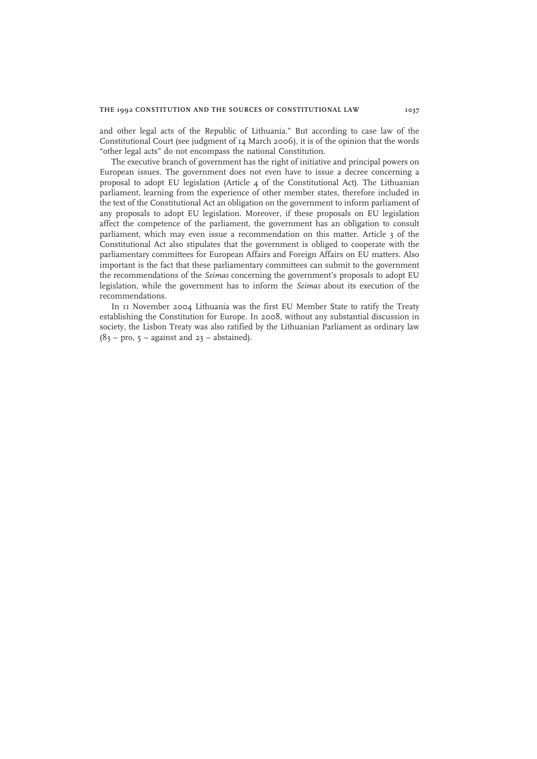and other legal acts of the Republic of Lithuania." But according to case law of the Constitutional Court (see judgment of 14 March 2006), it is of the opinion that the words "other legal acts" do not encompass the national Constitution.

The executive branch of government has the right of initiative and principal powers on European issues. The government does not even have to issue a decree concerning a proposal to adopt EU legislation (Article 4 of the Constitutional Act). The Lithuanian parliament, learning from the experience of other member states, therefore included in the text of the Constitutional Act an obligation on the government to inform parliament of any proposals to adopt EU legislation. Moreover, if these proposals on EU legislation affect the competence of the parliament, the government has an obligation to consult parliament, which may even issue a recommendation on this matter. Article 3 of the Constitutional Act also stipulates that the government is obliged to cooperate with the parliamentary committees for European Affairs and Foreign Affairs on EU matters. Also important is the fact that these parliamentary committees can submit to the government the recommendations of the Seimas concerning the government's proposals to adopt EU legislation, while the government has to inform the Seimas about its execution of the recommendations.

In 11 November 2004 Lithuania was the first EU Member State to ratify the Treaty establishing the Constitution for Europe. In 2008, without any substantial discussion in society, the Lisbon Treaty was also ratified by the Lithuanian Parliament as ordinary law  $(83 - pro, 5 - against and 23 - abstract).$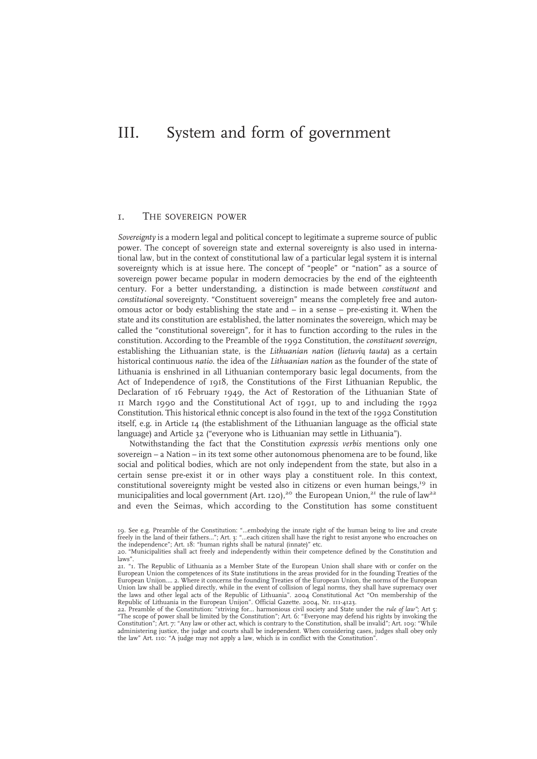# III. System and form of government

## 1. THE SOVEREIGN POWER

Sovereignty is a modern legal and political concept to legitimate a supreme source of public power. The concept of sovereign state and external sovereignty is also used in international law, but in the context of constitutional law of a particular legal system it is internal sovereignty which is at issue here. The concept of "people" or "nation" as a source of sovereign power became popular in modern democracies by the end of the eighteenth century. For a better understanding, a distinction is made between constituent and constitutional sovereignty. "Constituent sovereign" means the completely free and autonomous actor or body establishing the state and – in a sense – pre-existing it. When the state and its constitution are established, the latter nominates the sovereign, which may be called the "constitutional sovereign", for it has to function according to the rules in the constitution. According to the Preamble of the 1992 Constitution, the constituent sovereign, establishing the Lithuanian state, is the Lithuanian nation (lietuvių tauta) as a certain historical continuous natio. the idea of the Lithuanian nation as the founder of the state of Lithuania is enshrined in all Lithuanian contemporary basic legal documents, from the Act of Independence of 1918, the Constitutions of the First Lithuanian Republic, the Declaration of 16 February 1949, the Act of Restoration of the Lithuanian State of 11 March 1990 and the Constitutional Act of 1991, up to and including the 1992 Constitution. This historical ethnic concept is also found in the text of the 1992 Constitution itself, e.g. in Article 14 (the establishment of the Lithuanian language as the official state language) and Article 32 ("everyone who is Lithuanian may settle in Lithuania").

Notwithstanding the fact that the Constitution expressis verbis mentions only one sovereign – a Nation – in its text some other autonomous phenomena are to be found, like social and political bodies, which are not only independent from the state, but also in a certain sense pre-exist it or in other ways play a constituent role. In this context, constitutional sovereignty might be vested also in citizens or even human beings, $19$  in municipalities and local government (Art. 120),<sup>20</sup> the European Union,<sup>21</sup> the rule of law<sup>22</sup> and even the Seimas, which according to the Constitution has some constituent

<sup>19.</sup> See e.g. Preamble of the Constitution: "…embodying the innate right of the human being to live and create<br>freely in the land of their fathers…"; Art. 3: "…each citizen shall have the right to resist anyone who encroach

<sup>20.</sup> "Municipalities shall act freely and independently within their competence defined by the Constitution and laws".

<sup>21.</sup> "1. The Republic of Lithuania as a Member State of the European Union shall share with or confer on the European Union the competences of its State institutions in the areas provided for in the founding Treaties of the European Unijon…. 2. Where it concerns the founding Treaties of the European Union, the norms of the European Union law shall be applied directly, while in the event of collision of legal norms, they shall have supremacy over<br>the laws and other legal acts of the Republic of Lithuania". 2004 Constitutional Act "On membership of the

<sup>22.</sup> Preamble of the Constitution: "striving for... harmonious civil society and State under the *rule of law"*; Art 5:<br>"The scope of power shall be limited by the Constitution"; Art. 6: "Everyone may defend his rights by i Constitution"; Art. 7: "Any law or other act, which is contrary to the Constitution, shall be invalid"; Art. 109: "While<br>administering justice, the judge and courts shall be independent. When considering cases, judges shal the law" Art. 110: "A judge may not apply a law, which is in conflict with the Constitution".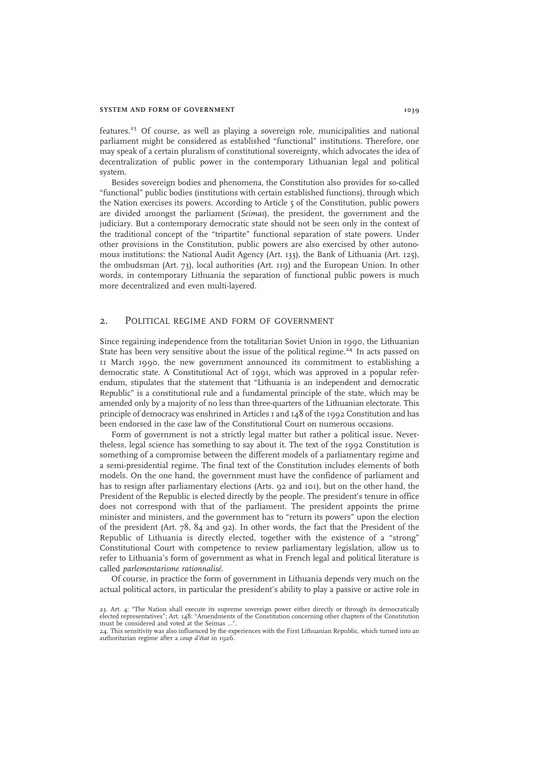#### SYSTEM AND FORM OF GOVERNMENT 1039

features.<sup>23</sup> Of course, as well as playing a sovereign role, municipalities and national parliament might be considered as established "functional" institutions. Therefore, one may speak of a certain pluralism of constitutional sovereignty, which advocates the idea of decentralization of public power in the contemporary Lithuanian legal and political system.

Besides sovereign bodies and phenomena, the Constitution also provides for so-called "functional" public bodies (institutions with certain established functions), through which the Nation exercises its powers. According to Article 5 of the Constitution, public powers are divided amongst the parliament (Seimas), the president, the government and the judiciary. But a contemporary democratic state should not be seen only in the context of the traditional concept of the "tripartite" functional separation of state powers. Under other provisions in the Constitution, public powers are also exercised by other autonomous institutions: the National Audit Agency (Art. 133), the Bank of Lithuania (Art. 125), the ombudsman (Art. 73), local authorities (Art. 119) and the European Union. In other words, in contemporary Lithuania the separation of functional public powers is much more decentralized and even multi-layered.

## 2. POLITICAL REGIME AND FORM OF GOVERNMENT

Since regaining independence from the totalitarian Soviet Union in 1990, the Lithuanian State has been very sensitive about the issue of the political regime.<sup>24</sup> In acts passed on 11 March 1990, the new government announced its commitment to establishing a democratic state. A Constitutional Act of 1991, which was approved in a popular referendum, stipulates that the statement that "Lithuania is an independent and democratic Republic" is a constitutional rule and a fundamental principle of the state, which may be amended only by a majority of no less than three-quarters of the Lithuanian electorate. This principle of democracy was enshrined in Articles 1 and 148 of the 1992 Constitution and has been endorsed in the case law of the Constitutional Court on numerous occasions.

Form of government is not a strictly legal matter but rather a political issue. Nevertheless, legal science has something to say about it. The text of the 1992 Constitution is something of a compromise between the different models of a parliamentary regime and a semi-presidential regime. The final text of the Constitution includes elements of both models. On the one hand, the government must have the confidence of parliament and has to resign after parliamentary elections (Arts. 92 and 101), but on the other hand, the President of the Republic is elected directly by the people. The president's tenure in office does not correspond with that of the parliament. The president appoints the prime minister and ministers, and the government has to "return its powers" upon the election of the president (Art. 78, 84 and 92). In other words, the fact that the President of the Republic of Lithuania is directly elected, together with the existence of a "strong" Constitutional Court with competence to review parliamentary legislation, allow us to refer to Lithuania's form of government as what in French legal and political literature is called parlementarisme rationnalisé.

Of course, in practice the form of government in Lithuania depends very much on the actual political actors, in particular the president's ability to play a passive or active role in

<sup>23.</sup> Art. 4: "The Nation shall execute its supreme sovereign power either directly or through its democratically<br>elected representatives"; Art. 148: "Amendments of the Constitution concerning other chapters of the Constitut must be considered and voted at the Seimas ..."

<sup>24.</sup> This sensitivity was also influenced by the experiences with the First Lithuanian Republic, which turned into an<br>authoritarian regime after a *coup d'état* in 1926.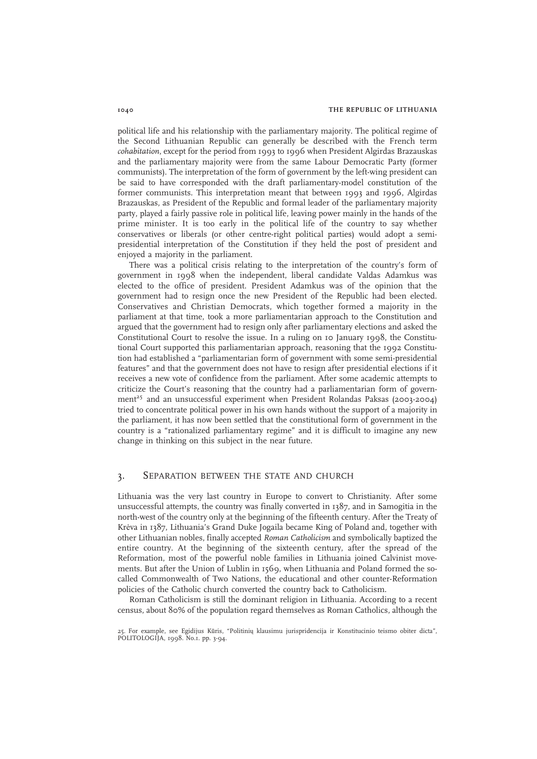political life and his relationship with the parliamentary majority. The political regime of the Second Lithuanian Republic can generally be described with the French term cohabitation, except for the period from 1993 to 1996 when President Algirdas Brazauskas and the parliamentary majority were from the same Labour Democratic Party (former communists). The interpretation of the form of government by the left-wing president can be said to have corresponded with the draft parliamentary-model constitution of the former communists. This interpretation meant that between 1993 and 1996, Algirdas Brazauskas, as President of the Republic and formal leader of the parliamentary majority party, played a fairly passive role in political life, leaving power mainly in the hands of the prime minister. It is too early in the political life of the country to say whether conservatives or liberals (or other centre-right political parties) would adopt a semipresidential interpretation of the Constitution if they held the post of president and enjoyed a majority in the parliament.

There was a political crisis relating to the interpretation of the country's form of government in 1998 when the independent, liberal candidate Valdas Adamkus was elected to the office of president. President Adamkus was of the opinion that the government had to resign once the new President of the Republic had been elected. Conservatives and Christian Democrats, which together formed a majority in the parliament at that time, took a more parliamentarian approach to the Constitution and argued that the government had to resign only after parliamentary elections and asked the Constitutional Court to resolve the issue. In a ruling on 10 January 1998, the Constitutional Court supported this parliamentarian approach, reasoning that the 1992 Constitution had established a "parliamentarian form of government with some semi-presidential features" and that the government does not have to resign after presidential elections if it receives a new vote of confidence from the parliament. After some academic attempts to criticize the Court's reasoning that the country had a parliamentarian form of government<sup>25</sup> and an unsuccessful experiment when President Rolandas Paksas (2003-2004) tried to concentrate political power in his own hands without the support of a majority in the parliament, it has now been settled that the constitutional form of government in the country is a "rationalized parliamentary regime" and it is difficult to imagine any new change in thinking on this subject in the near future.

## 3. SEPARATION BETWEEN THE STATE AND CHURCH

Lithuania was the very last country in Europe to convert to Christianity. After some unsuccessful attempts, the country was finally converted in 1387, and in Samogitia in the north-west of the country only at the beginning of the fifteenth century. After the Treaty of Krėva in 1387, Lithuania's Grand Duke Jogaila became King of Poland and, together with other Lithuanian nobles, finally accepted Roman Catholicism and symbolically baptized the entire country. At the beginning of the sixteenth century, after the spread of the Reformation, most of the powerful noble families in Lithuania joined Calvinist movements. But after the Union of Lublin in 1569, when Lithuania and Poland formed the socalled Commonwealth of Two Nations, the educational and other counter-Reformation policies of the Catholic church converted the country back to Catholicism.

Roman Catholicism is still the dominant religion in Lithuania. According to a recent census, about 80% of the population regard themselves as Roman Catholics, although the

<sup>25.</sup> For example, see Egidijus Kūris, "Politinių klausimu jurispridencija ir Konstitucinio teismo obiter dicta", POLITOLOGIJA, 1998. No.1. pp. 3-94.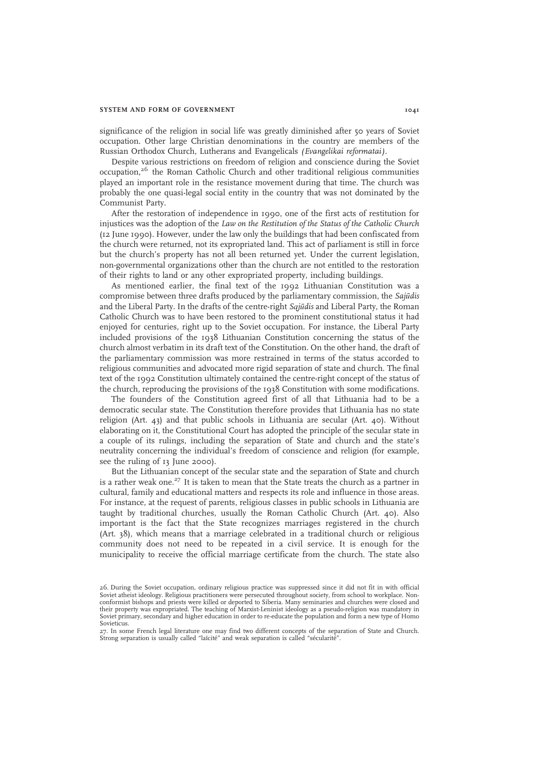#### SYSTEM AND FORM OF GOVERNMENT 1041

significance of the religion in social life was greatly diminished after 50 years of Soviet occupation. Other large Christian denominations in the country are members of the Russian Orthodox Church, Lutherans and Evangelicals (Evangelikai reformatai).

Despite various restrictions on freedom of religion and conscience during the Soviet occupation,<sup>26</sup> the Roman Catholic Church and other traditional religious communities played an important role in the resistance movement during that time. The church was probably the one quasi-legal social entity in the country that was not dominated by the Communist Party.

After the restoration of independence in 1990, one of the first acts of restitution for injustices was the adoption of the Law on the Restitution of the Status of the Catholic Church (12 June 1990). However, under the law only the buildings that had been confiscated from the church were returned, not its expropriated land. This act of parliament is still in force but the church's property has not all been returned yet. Under the current legislation, non-governmental organizations other than the church are not entitled to the restoration of their rights to land or any other expropriated property, including buildings.

As mentioned earlier, the final text of the 1992 Lithuanian Constitution was a compromise between three drafts produced by the parliamentary commission, the Sajūdis and the Liberal Party. In the drafts of the centre-right  $Sajūdis$  and Liberal Party, the Roman Catholic Church was to have been restored to the prominent constitutional status it had enjoyed for centuries, right up to the Soviet occupation. For instance, the Liberal Party included provisions of the 1938 Lithuanian Constitution concerning the status of the church almost verbatim in its draft text of the Constitution. On the other hand, the draft of the parliamentary commission was more restrained in terms of the status accorded to religious communities and advocated more rigid separation of state and church. The final text of the 1992 Constitution ultimately contained the centre-right concept of the status of the church, reproducing the provisions of the 1938 Constitution with some modifications.

The founders of the Constitution agreed first of all that Lithuania had to be a democratic secular state. The Constitution therefore provides that Lithuania has no state religion (Art. 43) and that public schools in Lithuania are secular (Art. 40). Without elaborating on it, the Constitutional Court has adopted the principle of the secular state in a couple of its rulings, including the separation of State and church and the state's neutrality concerning the individual's freedom of conscience and religion (for example, see the ruling of 13 June 2000).

But the Lithuanian concept of the secular state and the separation of State and church is a rather weak one. $^{27}$  It is taken to mean that the State treats the church as a partner in cultural, family and educational matters and respects its role and influence in those areas. For instance, at the request of parents, religious classes in public schools in Lithuania are taught by traditional churches, usually the Roman Catholic Church (Art. 40). Also important is the fact that the State recognizes marriages registered in the church (Art. 38), which means that a marriage celebrated in a traditional church or religious community does not need to be repeated in a civil service. It is enough for the municipality to receive the official marriage certificate from the church. The state also

<sup>26.</sup> During the Soviet occupation, ordinary religious practice was suppressed since it did not fit in with official Soviet atheist ideology. Religious practitioners were persecuted throughout society, from school to workplace. Nonconformist bishops and priests were killed or deported to Siberia. Many seminaries and churches were closed and their property was expropriated. The teaching of Marxist-Leninist ideology as a pseudo-religion was mandatory in Soviet primary, secondary and higher education in order to re-educate the population and form a new type of Homo Sovieticus.

<sup>27.</sup> In some French legal literature one may find two different concepts of the separation of State and Church. Strong separation is usually called "laïcité" and weak separation is called "sécularité".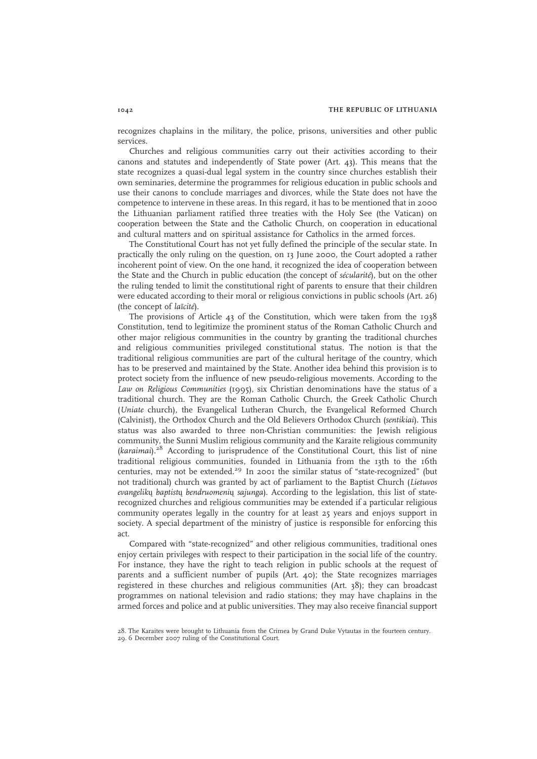recognizes chaplains in the military, the police, prisons, universities and other public services.

Churches and religious communities carry out their activities according to their canons and statutes and independently of State power (Art. 43). This means that the state recognizes a quasi-dual legal system in the country since churches establish their own seminaries, determine the programmes for religious education in public schools and use their canons to conclude marriages and divorces, while the State does not have the competence to intervene in these areas. In this regard, it has to be mentioned that in 2000 the Lithuanian parliament ratified three treaties with the Holy See (the Vatican) on cooperation between the State and the Catholic Church, on cooperation in educational and cultural matters and on spiritual assistance for Catholics in the armed forces.

The Constitutional Court has not yet fully defined the principle of the secular state. In practically the only ruling on the question, on 13 June 2000, the Court adopted a rather incoherent point of view. On the one hand, it recognized the idea of cooperation between the State and the Church in public education (the concept of sécularité), but on the other the ruling tended to limit the constitutional right of parents to ensure that their children were educated according to their moral or religious convictions in public schools (Art. 26) (the concept of laïcité).

The provisions of Article 43 of the Constitution, which were taken from the 1938 Constitution, tend to legitimize the prominent status of the Roman Catholic Church and other major religious communities in the country by granting the traditional churches and religious communities privileged constitutional status. The notion is that the traditional religious communities are part of the cultural heritage of the country, which has to be preserved and maintained by the State. Another idea behind this provision is to protect society from the influence of new pseudo-religious movements. According to the Law on Religious Communities (1995), six Christian denominations have the status of a traditional church. They are the Roman Catholic Church, the Greek Catholic Church (Uniate church), the Evangelical Lutheran Church, the Evangelical Reformed Church (Calvinist), the Orthodox Church and the Old Believers Orthodox Church (sentikiai). This status was also awarded to three non-Christian communities: the Jewish religious community, the Sunni Muslim religious community and the Karaite religious community  $(karainai).<sup>28</sup>$  According to jurisprudence of the Constitutional Court, this list of nine traditional religious communities, founded in Lithuania from the 13th to the 16th centuries, may not be extended.<sup>29</sup> In 2001 the similar status of "state-recognized" (but not traditional) church was granted by act of parliament to the Baptist Church (Lietuvos evangelikų baptistų bendruomenių sajunga). According to the legislation, this list of staterecognized churches and religious communities may be extended if a particular religious community operates legally in the country for at least 25 years and enjoys support in society. A special department of the ministry of justice is responsible for enforcing this act.

Compared with "state-recognized" and other religious communities, traditional ones enjoy certain privileges with respect to their participation in the social life of the country. For instance, they have the right to teach religion in public schools at the request of parents and a sufficient number of pupils (Art. 40); the State recognizes marriages registered in these churches and religious communities (Art. 38); they can broadcast programmes on national television and radio stations; they may have chaplains in the armed forces and police and at public universities. They may also receive financial support

<sup>28.</sup> The Karaites were brought to Lithuania from the Crimea by Grand Duke Vytautas in the fourteen century. 29. 6 December 2007 ruling of the Constitutional Court.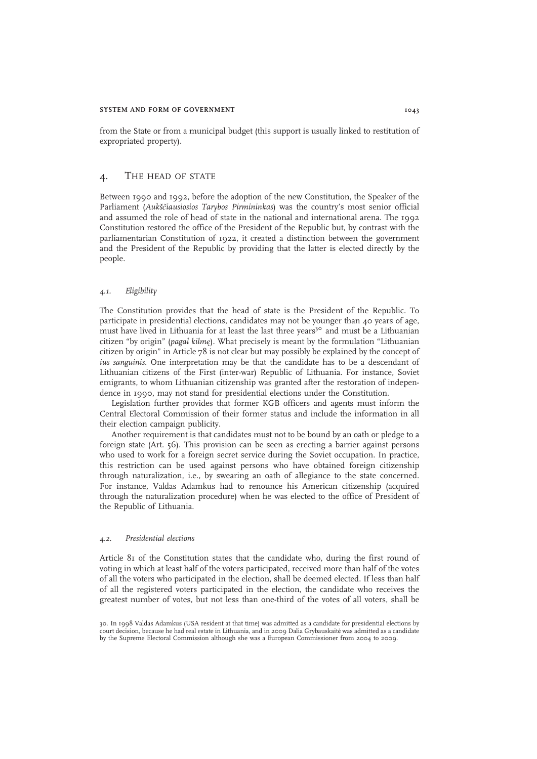#### SYSTEM AND FORM OF GOVERNMENT 1043

from the State or from a municipal budget (this support is usually linked to restitution of expropriated property).

## 4. THE HEAD OF STATE

Between 1990 and 1992, before the adoption of the new Constitution, the Speaker of the Parliament (Aukščiausiosios Tarybos Pirmininkas) was the country's most senior official and assumed the role of head of state in the national and international arena. The 1992 Constitution restored the office of the President of the Republic but, by contrast with the parliamentarian Constitution of 1922, it created a distinction between the government and the President of the Republic by providing that the latter is elected directly by the people.

## 4.1. Eligibility

The Constitution provides that the head of state is the President of the Republic. To participate in presidential elections, candidates may not be younger than 40 years of age, must have lived in Lithuania for at least the last three years<sup>30</sup> and must be a Lithuanian citizen "by origin" (pagal kilmę). What precisely is meant by the formulation "Lithuanian citizen by origin" in Article 78 is not clear but may possibly be explained by the concept of ius sanguinis. One interpretation may be that the candidate has to be a descendant of Lithuanian citizens of the First (inter-war) Republic of Lithuania. For instance, Soviet emigrants, to whom Lithuanian citizenship was granted after the restoration of independence in 1990, may not stand for presidential elections under the Constitution.

Legislation further provides that former KGB officers and agents must inform the Central Electoral Commission of their former status and include the information in all their election campaign publicity.

Another requirement is that candidates must not to be bound by an oath or pledge to a foreign state (Art. 56). This provision can be seen as erecting a barrier against persons who used to work for a foreign secret service during the Soviet occupation. In practice, this restriction can be used against persons who have obtained foreign citizenship through naturalization, i.e., by swearing an oath of allegiance to the state concerned. For instance, Valdas Adamkus had to renounce his American citizenship (acquired through the naturalization procedure) when he was elected to the office of President of the Republic of Lithuania.

#### 4.2. Presidential elections

Article 81 of the Constitution states that the candidate who, during the first round of voting in which at least half of the voters participated, received more than half of the votes of all the voters who participated in the election, shall be deemed elected. If less than half of all the registered voters participated in the election, the candidate who receives the greatest number of votes, but not less than one-third of the votes of all voters, shall be

30. In 1998 Valdas Adamkus (USA resident at that time) was admitted as a candidate for presidential elections by court decision, because he had real estate in Lithuania, and in 2009 Dalia Grybauskaitė was admitted as a candidate by the Supreme Electoral Commission although she was a European Commissioner from 2004 to 2009.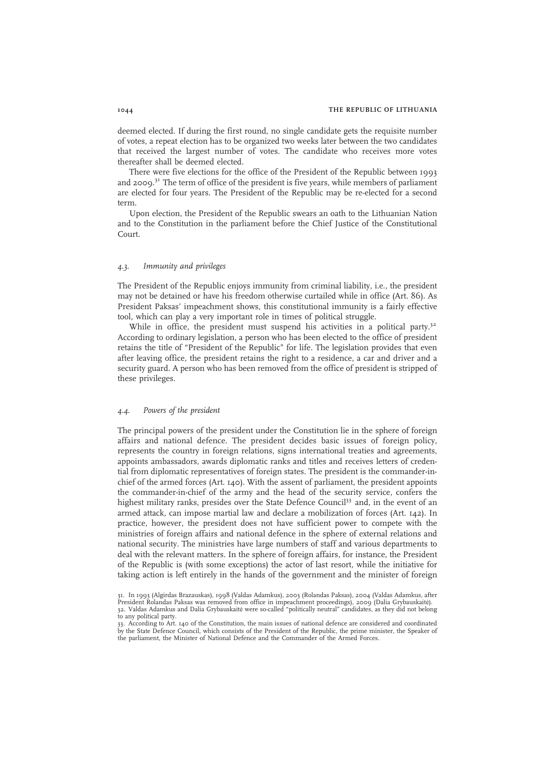deemed elected. If during the first round, no single candidate gets the requisite number of votes, a repeat election has to be organized two weeks later between the two candidates that received the largest number of votes. The candidate who receives more votes thereafter shall be deemed elected.

There were five elections for the office of the President of the Republic between 1993 and 2009. $3<sup>1</sup>$  The term of office of the president is five years, while members of parliament are elected for four years. The President of the Republic may be re-elected for a second term.

Upon election, the President of the Republic swears an oath to the Lithuanian Nation and to the Constitution in the parliament before the Chief Justice of the Constitutional Court.

## 4.3. Immunity and privileges

The President of the Republic enjoys immunity from criminal liability, i.e., the president may not be detained or have his freedom otherwise curtailed while in office (Art. 86). As President Paksas' impeachment shows, this constitutional immunity is a fairly effective tool, which can play a very important role in times of political struggle.

While in office, the president must suspend his activities in a political party.<sup>32</sup> According to ordinary legislation, a person who has been elected to the office of president retains the title of "President of the Republic" for life. The legislation provides that even after leaving office, the president retains the right to a residence, a car and driver and a security guard. A person who has been removed from the office of president is stripped of these privileges.

## 4.4. Powers of the president

The principal powers of the president under the Constitution lie in the sphere of foreign affairs and national defence. The president decides basic issues of foreign policy, represents the country in foreign relations, signs international treaties and agreements, appoints ambassadors, awards diplomatic ranks and titles and receives letters of credential from diplomatic representatives of foreign states. The president is the commander-inchief of the armed forces (Art. 140). With the assent of parliament, the president appoints the commander-in-chief of the army and the head of the security service, confers the highest military ranks, presides over the State Defence Council<sup>33</sup> and, in the event of an armed attack, can impose martial law and declare a mobilization of forces (Art. 142). In practice, however, the president does not have sufficient power to compete with the ministries of foreign affairs and national defence in the sphere of external relations and national security. The ministries have large numbers of staff and various departments to deal with the relevant matters. In the sphere of foreign affairs, for instance, the President of the Republic is (with some exceptions) the actor of last resort, while the initiative for taking action is left entirely in the hands of the government and the minister of foreign

<sup>31.</sup> In 1993 (Algirdas Brazauskas), 1998 (Valdas Adamkus), 2003 (Rolandas Paksas), 2004 (Valdas Adamkus, after<br>President Rolandas Paksas was removed from office in impeachment proceedings), 2009 (Dalia Grybauskaitė). 32. Valdas Adamkus and Dalia Grybauskaitė were so-called "politically neutral" candidates, as they did not belong to any political party.

<sup>33.</sup> According to Art. 140 of the Constitution, the main issues of national defence are considered and coordinated by the State Defence Council, which consists of the President of the Republic, the prime minister, the Speaker of the parliament, the Minister of National Defence and the Commander of the Armed Forces.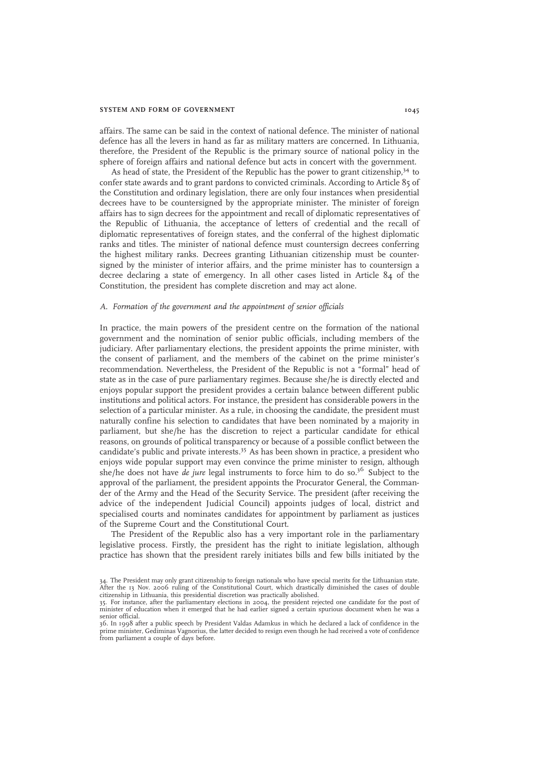#### SYSTEM AND FORM OF GOVERNMENT 1045

affairs. The same can be said in the context of national defence. The minister of national defence has all the levers in hand as far as military matters are concerned. In Lithuania, therefore, the President of the Republic is the primary source of national policy in the sphere of foreign affairs and national defence but acts in concert with the government.

As head of state, the President of the Republic has the power to grant citizenship,<sup>34</sup> to confer state awards and to grant pardons to convicted criminals. According to Article 85 of the Constitution and ordinary legislation, there are only four instances when presidential decrees have to be countersigned by the appropriate minister. The minister of foreign affairs has to sign decrees for the appointment and recall of diplomatic representatives of the Republic of Lithuania, the acceptance of letters of credential and the recall of diplomatic representatives of foreign states, and the conferral of the highest diplomatic ranks and titles. The minister of national defence must countersign decrees conferring the highest military ranks. Decrees granting Lithuanian citizenship must be countersigned by the minister of interior affairs, and the prime minister has to countersign a decree declaring a state of emergency. In all other cases listed in Article 84 of the Constitution, the president has complete discretion and may act alone.

#### A. Formation of the government and the appointment of senior officials

In practice, the main powers of the president centre on the formation of the national government and the nomination of senior public officials, including members of the judiciary. After parliamentary elections, the president appoints the prime minister, with the consent of parliament, and the members of the cabinet on the prime minister's recommendation. Nevertheless, the President of the Republic is not a "formal" head of state as in the case of pure parliamentary regimes. Because she/he is directly elected and enjoys popular support the president provides a certain balance between different public institutions and political actors. For instance, the president has considerable powers in the selection of a particular minister. As a rule, in choosing the candidate, the president must naturally confine his selection to candidates that have been nominated by a majority in parliament, but she/he has the discretion to reject a particular candidate for ethical reasons, on grounds of political transparency or because of a possible conflict between the candidate's public and private interests.<sup>35</sup> As has been shown in practice, a president who enjoys wide popular support may even convince the prime minister to resign, although she/he does not have de jure legal instruments to force him to do so.<sup>36</sup> Subject to the approval of the parliament, the president appoints the Procurator General, the Commander of the Army and the Head of the Security Service. The president (after receiving the advice of the independent Judicial Council) appoints judges of local, district and specialised courts and nominates candidates for appointment by parliament as justices of the Supreme Court and the Constitutional Court.

The President of the Republic also has a very important role in the parliamentary legislative process. Firstly, the president has the right to initiate legislation, although practice has shown that the president rarely initiates bills and few bills initiated by the

<sup>34.</sup> The President may only grant citizenship to foreign nationals who have special merits for the Lithuanian state. After the 13 Nov. 2006 ruling of the Constitutional Court, which drastically diminished the cases of double citizenship in Lithuania, this presidential discretion was practically abolished. 35. For instance, after the parliamentary elections in 2004, the president rejected one candidate for the post of

minister of education when it emerged that he had earlier signed a certain spurious document when he was a senior official.

<sup>36.</sup> In 1998 after a public speech by President Valdas Adamkus in which he declared a lack of confidence in the prime minister, Gediminas Vagnorius, the latter decided to resign even though he had received a vote of confidence from parliament a couple of days before.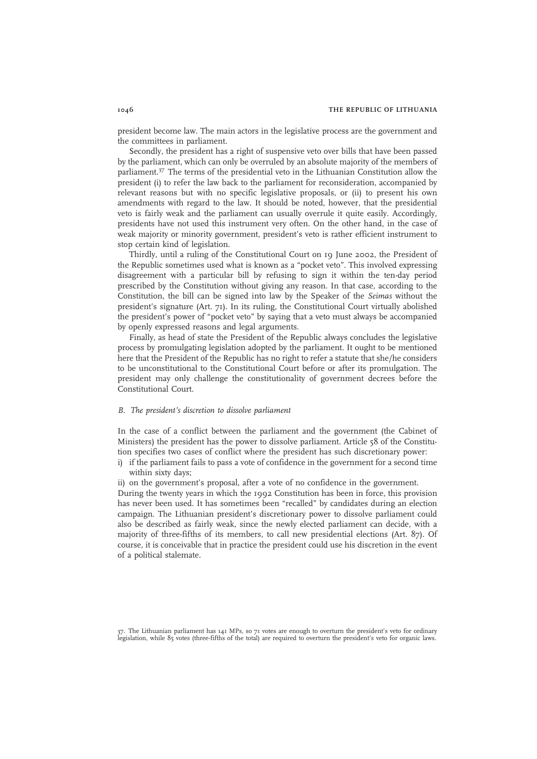president become law. The main actors in the legislative process are the government and the committees in parliament.

Secondly, the president has a right of suspensive veto over bills that have been passed by the parliament, which can only be overruled by an absolute majority of the members of parliament.<sup>37</sup> The terms of the presidential veto in the Lithuanian Constitution allow the president (i) to refer the law back to the parliament for reconsideration, accompanied by relevant reasons but with no specific legislative proposals, or (ii) to present his own amendments with regard to the law. It should be noted, however, that the presidential veto is fairly weak and the parliament can usually overrule it quite easily. Accordingly, presidents have not used this instrument very often. On the other hand, in the case of weak majority or minority government, president's veto is rather efficient instrument to stop certain kind of legislation.

Thirdly, until a ruling of the Constitutional Court on 19 June 2002, the President of the Republic sometimes used what is known as a "pocket veto". This involved expressing disagreement with a particular bill by refusing to sign it within the ten-day period prescribed by the Constitution without giving any reason. In that case, according to the Constitution, the bill can be signed into law by the Speaker of the Seimas without the president's signature (Art. 71). In its ruling, the Constitutional Court virtually abolished the president's power of "pocket veto" by saying that a veto must always be accompanied by openly expressed reasons and legal arguments.

Finally, as head of state the President of the Republic always concludes the legislative process by promulgating legislation adopted by the parliament. It ought to be mentioned here that the President of the Republic has no right to refer a statute that she/he considers to be unconstitutional to the Constitutional Court before or after its promulgation. The president may only challenge the constitutionality of government decrees before the Constitutional Court.

## B. The president's discretion to dissolve parliament

In the case of a conflict between the parliament and the government (the Cabinet of Ministers) the president has the power to dissolve parliament. Article 58 of the Constitution specifies two cases of conflict where the president has such discretionary power:

- i) if the parliament fails to pass a vote of confidence in the government for a second time within sixty days:
- ii) on the government's proposal, after a vote of no confidence in the government.

During the twenty years in which the 1992 Constitution has been in force, this provision has never been used. It has sometimes been "recalled" by candidates during an election campaign. The Lithuanian president's discretionary power to dissolve parliament could also be described as fairly weak, since the newly elected parliament can decide, with a majority of three-fifths of its members, to call new presidential elections (Art. 87). Of course, it is conceivable that in practice the president could use his discretion in the event of a political stalemate.

37. The Lithuanian parliament has 141 MPs, so 71 votes are enough to overturn the president's veto for ordinary<br>legislation, while 85 votes (three-fifths of the total) are required to overturn the president's veto for orga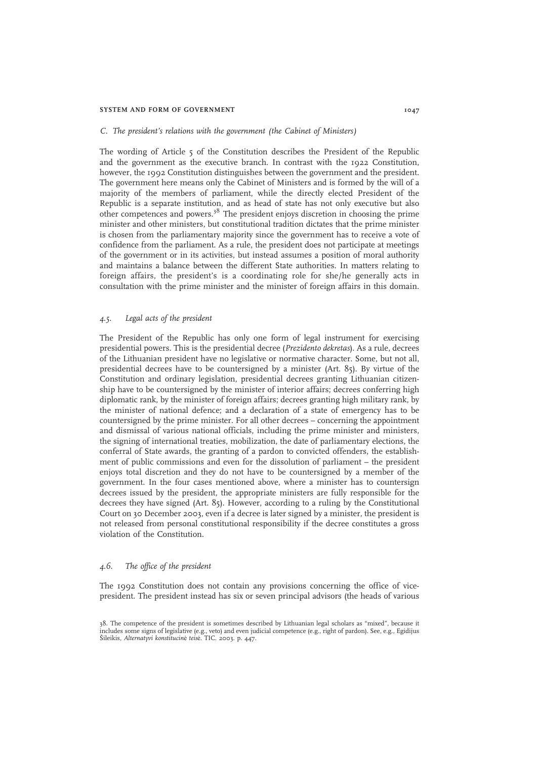#### SYSTEM AND FORM OF GOVERNMENT 1047

#### C. The president's relations with the government (the Cabinet of Ministers)

The wording of Article 5 of the Constitution describes the President of the Republic and the government as the executive branch. In contrast with the 1922 Constitution, however, the 1992 Constitution distinguishes between the government and the president. The government here means only the Cabinet of Ministers and is formed by the will of a majority of the members of parliament, while the directly elected President of the Republic is a separate institution, and as head of state has not only executive but also other competences and powers.<sup>38</sup> The president enjoys discretion in choosing the prime minister and other ministers, but constitutional tradition dictates that the prime minister is chosen from the parliamentary majority since the government has to receive a vote of confidence from the parliament. As a rule, the president does not participate at meetings of the government or in its activities, but instead assumes a position of moral authority and maintains a balance between the different State authorities. In matters relating to foreign affairs, the president's is a coordinating role for she/he generally acts in consultation with the prime minister and the minister of foreign affairs in this domain.

## 4.5. Legal acts of the president

The President of the Republic has only one form of legal instrument for exercising presidential powers. This is the presidential decree (Prezidento dekretas). As a rule, decrees of the Lithuanian president have no legislative or normative character. Some, but not all, presidential decrees have to be countersigned by a minister (Art. 85). By virtue of the Constitution and ordinary legislation, presidential decrees granting Lithuanian citizenship have to be countersigned by the minister of interior affairs; decrees conferring high diplomatic rank, by the minister of foreign affairs; decrees granting high military rank, by the minister of national defence; and a declaration of a state of emergency has to be countersigned by the prime minister. For all other decrees – concerning the appointment and dismissal of various national officials, including the prime minister and ministers, the signing of international treaties, mobilization, the date of parliamentary elections, the conferral of State awards, the granting of a pardon to convicted offenders, the establishment of public commissions and even for the dissolution of parliament – the president enjoys total discretion and they do not have to be countersigned by a member of the government. In the four cases mentioned above, where a minister has to countersign decrees issued by the president, the appropriate ministers are fully responsible for the decrees they have signed (Art. 85). However, according to a ruling by the Constitutional Court on 30 December 2003, even if a decree is later signed by a minister, the president is not released from personal constitutional responsibility if the decree constitutes a gross violation of the Constitution.

## 4.6. The office of the president

The 1992 Constitution does not contain any provisions concerning the office of vicepresident. The president instead has six or seven principal advisors (the heads of various

<sup>38.</sup> The competence of the president is sometimes described by Lithuanian legal scholars as "mixed", because it includes some signs of legislative (e.g., veto) and even judicial competence (e.g., right of pardon). See, e.g., Egidijus<br>Šileikis, *Alternatyvi konstitucin*ė *teis*ė. TIC. 2003. p. 447.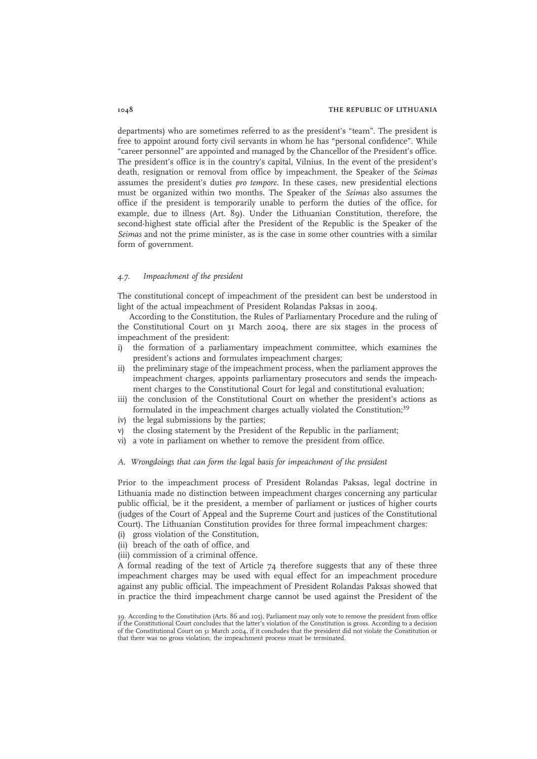departments) who are sometimes referred to as the president's "team". The president is free to appoint around forty civil servants in whom he has "personal confidence". While "career personnel" are appointed and managed by the Chancellor of the President's office. The president's office is in the country's capital, Vilnius. In the event of the president's death, resignation or removal from office by impeachment, the Speaker of the Seimas assumes the president's duties pro tempore. In these cases, new presidential elections must be organized within two months. The Speaker of the Seimas also assumes the office if the president is temporarily unable to perform the duties of the office, for example, due to illness (Art. 89). Under the Lithuanian Constitution, therefore, the second-highest state official after the President of the Republic is the Speaker of the Seimas and not the prime minister, as is the case in some other countries with a similar form of government.

#### 4.7. Impeachment of the president

The constitutional concept of impeachment of the president can best be understood in light of the actual impeachment of President Rolandas Paksas in 2004.

According to the Constitution, the Rules of Parliamentary Procedure and the ruling of the Constitutional Court on 31 March 2004, there are six stages in the process of impeachment of the president:

- i) the formation of a parliamentary impeachment committee, which examines the president's actions and formulates impeachment charges;
- ii) the preliminary stage of the impeachment process, when the parliament approves the impeachment charges, appoints parliamentary prosecutors and sends the impeachment charges to the Constitutional Court for legal and constitutional evaluation;
- iii) the conclusion of the Constitutional Court on whether the president's actions as formulated in the impeachment charges actually violated the Constitution;<sup>39</sup>
- iv) the legal submissions by the parties;
- v) the closing statement by the President of the Republic in the parliament;
- vi) a vote in parliament on whether to remove the president from office.

## A. Wrongdoings that can form the legal basis for impeachment of the president

Prior to the impeachment process of President Rolandas Paksas, legal doctrine in Lithuania made no distinction between impeachment charges concerning any particular public official, be it the president, a member of parliament or justices of higher courts (judges of the Court of Appeal and the Supreme Court and justices of the Constitutional Court). The Lithuanian Constitution provides for three formal impeachment charges:

- (i) gross violation of the Constitution,
- (ii) breach of the oath of office, and

(iii) commission of a criminal offence.

A formal reading of the text of Article 74 therefore suggests that any of these three impeachment charges may be used with equal effect for an impeachment procedure against any public official. The impeachment of President Rolandas Paksas showed that in practice the third impeachment charge cannot be used against the President of the

<sup>39.</sup> According to the Constitution (Arts. 86 and 105), Parliament may only vote to remove the president from office<br>if the Constitutional Court concludes that the latter's violation of the Constitution is gross. According t of the Constitutional Court on 31 March 2004, if it concludes that the president did not violate the Constitution or that there was no gross violation, the impeachment process must be terminated.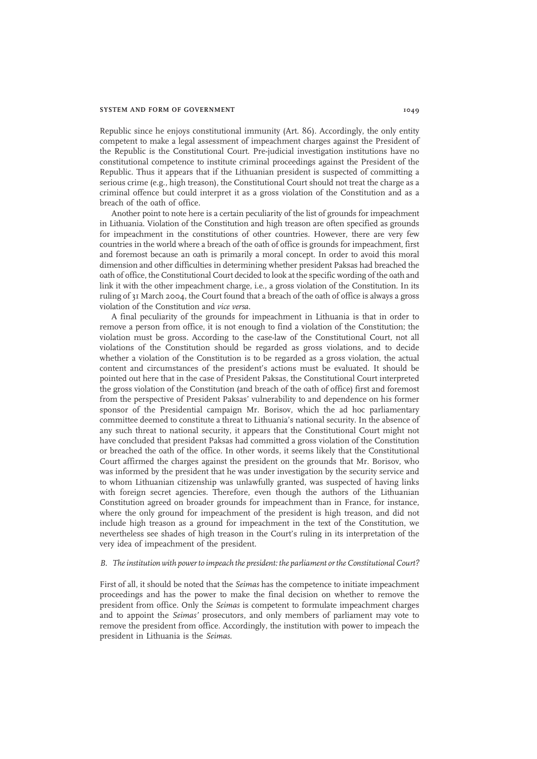#### SYSTEM AND FORM OF GOVERNMENT 1049

Republic since he enjoys constitutional immunity (Art. 86). Accordingly, the only entity competent to make a legal assessment of impeachment charges against the President of the Republic is the Constitutional Court. Pre-judicial investigation institutions have no constitutional competence to institute criminal proceedings against the President of the Republic. Thus it appears that if the Lithuanian president is suspected of committing a serious crime (e.g., high treason), the Constitutional Court should not treat the charge as a criminal offence but could interpret it as a gross violation of the Constitution and as a breach of the oath of office.

Another point to note here is a certain peculiarity of the list of grounds for impeachment in Lithuania. Violation of the Constitution and high treason are often specified as grounds for impeachment in the constitutions of other countries. However, there are very few countries in the world where a breach of the oath of office is grounds for impeachment, first and foremost because an oath is primarily a moral concept. In order to avoid this moral dimension and other difficulties in determining whether president Paksas had breached the oath of office, the Constitutional Court decided to look at the specific wording of the oath and link it with the other impeachment charge, i.e., a gross violation of the Constitution. In its ruling of 31 March 2004, the Court found that a breach of the oath of office is always a gross violation of the Constitution and vice versa.

A final peculiarity of the grounds for impeachment in Lithuania is that in order to remove a person from office, it is not enough to find a violation of the Constitution; the violation must be gross. According to the case-law of the Constitutional Court, not all violations of the Constitution should be regarded as gross violations, and to decide whether a violation of the Constitution is to be regarded as a gross violation, the actual content and circumstances of the president's actions must be evaluated. It should be pointed out here that in the case of President Paksas, the Constitutional Court interpreted the gross violation of the Constitution (and breach of the oath of office) first and foremost from the perspective of President Paksas' vulnerability to and dependence on his former sponsor of the Presidential campaign Mr. Borisov, which the ad hoc parliamentary committee deemed to constitute a threat to Lithuania's national security. In the absence of any such threat to national security, it appears that the Constitutional Court might not have concluded that president Paksas had committed a gross violation of the Constitution or breached the oath of the office. In other words, it seems likely that the Constitutional Court affirmed the charges against the president on the grounds that Mr. Borisov, who was informed by the president that he was under investigation by the security service and to whom Lithuanian citizenship was unlawfully granted, was suspected of having links with foreign secret agencies. Therefore, even though the authors of the Lithuanian Constitution agreed on broader grounds for impeachment than in France, for instance, where the only ground for impeachment of the president is high treason, and did not include high treason as a ground for impeachment in the text of the Constitution, we nevertheless see shades of high treason in the Court's ruling in its interpretation of the very idea of impeachment of the president.

#### B. The institution with power to impeach the president: the parliament or the Constitutional Court?

First of all, it should be noted that the Seimas has the competence to initiate impeachment proceedings and has the power to make the final decision on whether to remove the president from office. Only the Seimas is competent to formulate impeachment charges and to appoint the Seimas' prosecutors, and only members of parliament may vote to remove the president from office. Accordingly, the institution with power to impeach the president in Lithuania is the Seimas.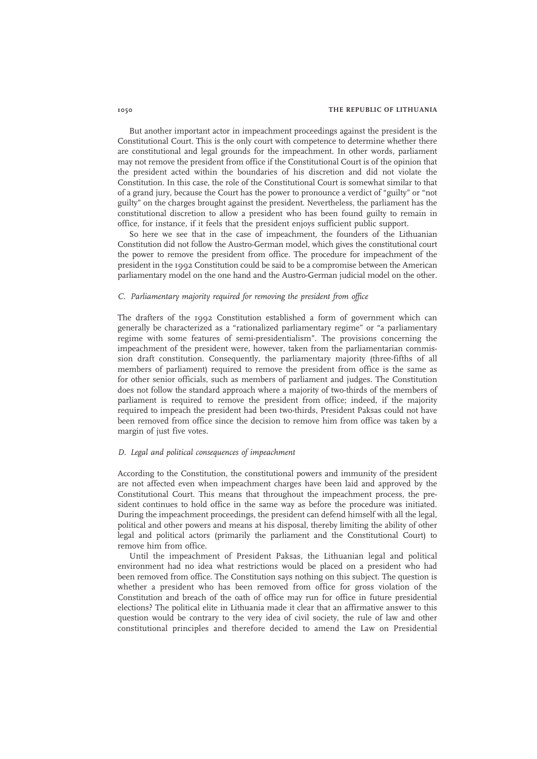But another important actor in impeachment proceedings against the president is the Constitutional Court. This is the only court with competence to determine whether there are constitutional and legal grounds for the impeachment. In other words, parliament may not remove the president from office if the Constitutional Court is of the opinion that the president acted within the boundaries of his discretion and did not violate the Constitution. In this case, the role of the Constitutional Court is somewhat similar to that of a grand jury, because the Court has the power to pronounce a verdict of "guilty" or "not guilty" on the charges brought against the president. Nevertheless, the parliament has the constitutional discretion to allow a president who has been found guilty to remain in office, for instance, if it feels that the president enjoys sufficient public support.

So here we see that in the case of impeachment, the founders of the Lithuanian Constitution did not follow the Austro-German model, which gives the constitutional court the power to remove the president from office. The procedure for impeachment of the president in the 1992 Constitution could be said to be a compromise between the American parliamentary model on the one hand and the Austro-German judicial model on the other.

## C. Parliamentary majority required for removing the president from office

The drafters of the 1992 Constitution established a form of government which can generally be characterized as a "rationalized parliamentary regime" or "a parliamentary regime with some features of semi-presidentialism". The provisions concerning the impeachment of the president were, however, taken from the parliamentarian commission draft constitution. Consequently, the parliamentary majority (three-fifths of all members of parliament) required to remove the president from office is the same as for other senior officials, such as members of parliament and judges. The Constitution does not follow the standard approach where a majority of two-thirds of the members of parliament is required to remove the president from office; indeed, if the majority required to impeach the president had been two-thirds, President Paksas could not have been removed from office since the decision to remove him from office was taken by a margin of just five votes.

#### D. Legal and political consequences of impeachment

According to the Constitution, the constitutional powers and immunity of the president are not affected even when impeachment charges have been laid and approved by the Constitutional Court. This means that throughout the impeachment process, the president continues to hold office in the same way as before the procedure was initiated. During the impeachment proceedings, the president can defend himself with all the legal, political and other powers and means at his disposal, thereby limiting the ability of other legal and political actors (primarily the parliament and the Constitutional Court) to remove him from office.

Until the impeachment of President Paksas, the Lithuanian legal and political environment had no idea what restrictions would be placed on a president who had been removed from office. The Constitution says nothing on this subject. The question is whether a president who has been removed from office for gross violation of the Constitution and breach of the oath of office may run for office in future presidential elections? The political elite in Lithuania made it clear that an affirmative answer to this question would be contrary to the very idea of civil society, the rule of law and other constitutional principles and therefore decided to amend the Law on Presidential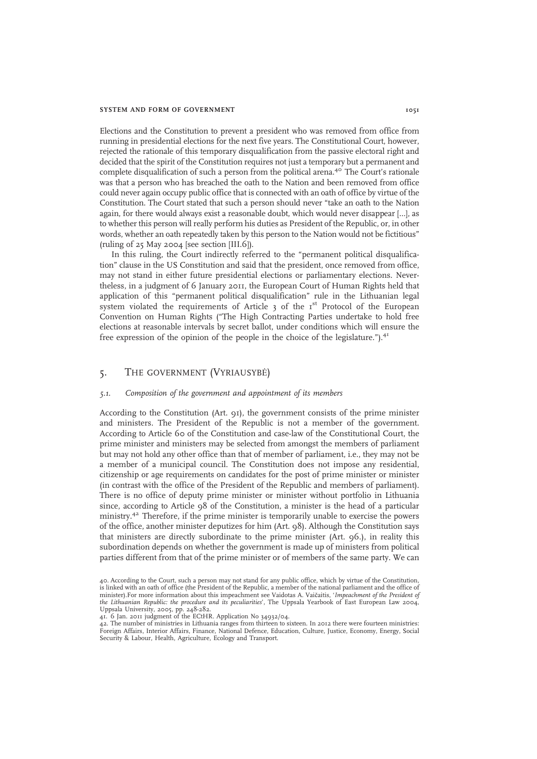#### SYSTEM AND FORM OF GOVERNMENT 1051

Elections and the Constitution to prevent a president who was removed from office from running in presidential elections for the next five years. The Constitutional Court, however, rejected the rationale of this temporary disqualification from the passive electoral right and decided that the spirit of the Constitution requires not just a temporary but a permanent and complete disqualification of such a person from the political arena.<sup>40</sup> The Court's rationale was that a person who has breached the oath to the Nation and been removed from office could never again occupy public office that is connected with an oath of office by virtue of the Constitution. The Court stated that such a person should never "take an oath to the Nation again, for there would always exist a reasonable doubt, which would never disappear […], as to whether this person will really perform his duties as President of the Republic, or, in other words, whether an oath repeatedly taken by this person to the Nation would not be fictitious" (ruling of  $25$  May  $2004$  [see section [III.6]).

In this ruling, the Court indirectly referred to the "permanent political disqualification" clause in the US Constitution and said that the president, once removed from office, may not stand in either future presidential elections or parliamentary elections. Nevertheless, in a judgment of 6 January 2011, the European Court of Human Rights held that application of this "permanent political disqualification" rule in the Lithuanian legal system violated the requirements of Article  $3$  of the  $1<sup>st</sup>$  Protocol of the European Convention on Human Rights ("The High Contracting Parties undertake to hold free elections at reasonable intervals by secret ballot, under conditions which will ensure the free expression of the opinion of the people in the choice of the legislature.").<sup>41</sup>

## 5. THE GOVERNMENT (VYRIAUSYBĖ)

### 5.1. Composition of the government and appointment of its members

According to the Constitution (Art. 91), the government consists of the prime minister and ministers. The President of the Republic is not a member of the government. According to Article 60 of the Constitution and case-law of the Constitutional Court, the prime minister and ministers may be selected from amongst the members of parliament but may not hold any other office than that of member of parliament, i.e., they may not be a member of a municipal council. The Constitution does not impose any residential, citizenship or age requirements on candidates for the post of prime minister or minister (in contrast with the office of the President of the Republic and members of parliament). There is no office of deputy prime minister or minister without portfolio in Lithuania since, according to Article 98 of the Constitution, a minister is the head of a particular ministry.<sup>42</sup> Therefore, if the prime minister is temporarily unable to exercise the powers of the office, another minister deputizes for him (Art. 98). Although the Constitution says that ministers are directly subordinate to the prime minister (Art. 96.), in reality this subordination depends on whether the government is made up of ministers from political parties different from that of the prime minister or of members of the same party. We can

<sup>40.</sup> According to the Court, such a person may not stand for any public office, which by virtue of the Constitution, is linked with an oath of office (the President of the Republic, a member of the national parliament and the office of<br>minister).For more information about this impeachment see Vaidotas A. Vaičaitis, '*Impeachment of the P* the Lithuanian Republic: the procedure and its peculiarities', The Uppsala Yearbook of East European Law 2004, Uppsala University, 2005, pp. 248-282. 41. 6 Jan. 2011 judgment of the ECtHR. Application No 34932/04.

<sup>42.</sup> The number of ministries in Lithuania ranges from thirteen to sixteen. In 2012 there were fourteen ministries: Foreign Affairs, Interior Affairs, Finance, National Defence, Education, Culture, Justice, Economy, Energy, Social Security & Labour, Health, Agriculture, Ecology and Transport.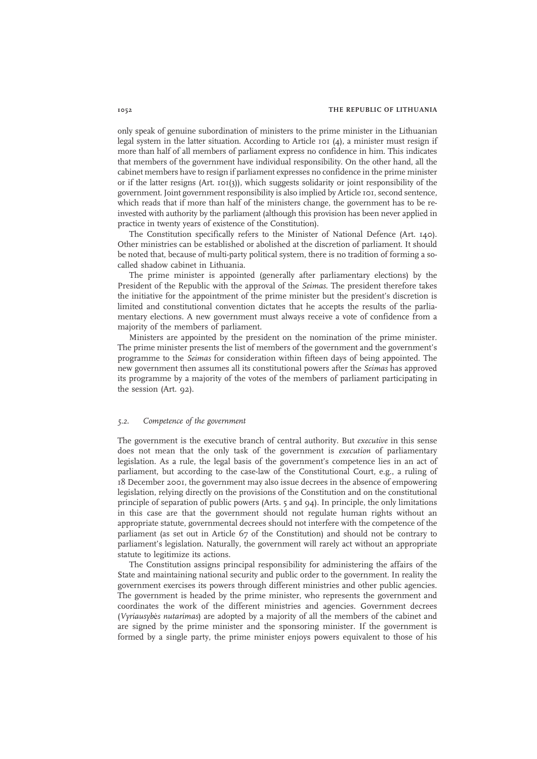only speak of genuine subordination of ministers to the prime minister in the Lithuanian legal system in the latter situation. According to Article 101 (4), a minister must resign if more than half of all members of parliament express no confidence in him. This indicates that members of the government have individual responsibility. On the other hand, all the cabinet members have to resign if parliament expresses no confidence in the prime minister or if the latter resigns (Art. 101(3)), which suggests solidarity or joint responsibility of the government. Joint government responsibility is also implied by Article 101, second sentence, which reads that if more than half of the ministers change, the government has to be reinvested with authority by the parliament (although this provision has been never applied in practice in twenty years of existence of the Constitution).

The Constitution specifically refers to the Minister of National Defence (Art. 140). Other ministries can be established or abolished at the discretion of parliament. It should be noted that, because of multi-party political system, there is no tradition of forming a socalled shadow cabinet in Lithuania.

The prime minister is appointed (generally after parliamentary elections) by the President of the Republic with the approval of the Seimas. The president therefore takes the initiative for the appointment of the prime minister but the president's discretion is limited and constitutional convention dictates that he accepts the results of the parliamentary elections. A new government must always receive a vote of confidence from a majority of the members of parliament.

Ministers are appointed by the president on the nomination of the prime minister. The prime minister presents the list of members of the government and the government's programme to the Seimas for consideration within fifteen days of being appointed. The new government then assumes all its constitutional powers after the Seimas has approved its programme by a majority of the votes of the members of parliament participating in the session (Art. 92).

## 5.2. Competence of the government

The government is the executive branch of central authority. But *executive* in this sense does not mean that the only task of the government is execution of parliamentary legislation. As a rule, the legal basis of the government's competence lies in an act of parliament, but according to the case-law of the Constitutional Court, e.g., a ruling of 18 December 2001, the government may also issue decrees in the absence of empowering legislation, relying directly on the provisions of the Constitution and on the constitutional principle of separation of public powers (Arts. 5 and 94). In principle, the only limitations in this case are that the government should not regulate human rights without an appropriate statute, governmental decrees should not interfere with the competence of the parliament (as set out in Article 67 of the Constitution) and should not be contrary to parliament's legislation. Naturally, the government will rarely act without an appropriate statute to legitimize its actions.

The Constitution assigns principal responsibility for administering the affairs of the State and maintaining national security and public order to the government. In reality the government exercises its powers through different ministries and other public agencies. The government is headed by the prime minister, who represents the government and coordinates the work of the different ministries and agencies. Government decrees (Vyriausybės nutarimas) are adopted by a majority of all the members of the cabinet and are signed by the prime minister and the sponsoring minister. If the government is formed by a single party, the prime minister enjoys powers equivalent to those of his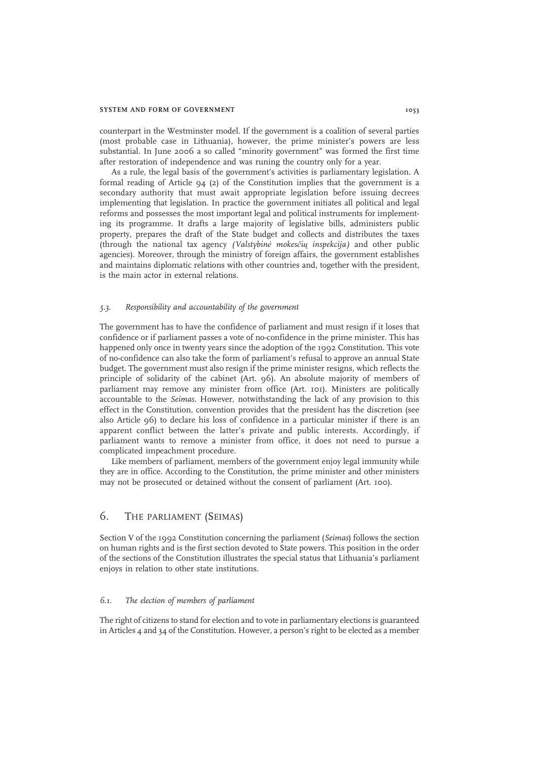#### SYSTEM AND FORM OF GOVERNMENT 1053

counterpart in the Westminster model. If the government is a coalition of several parties (most probable case in Lithuania), however, the prime minister's powers are less substantial. In June 2006 a so called "minority government" was formed the first time after restoration of independence and was runing the country only for a year.

As a rule, the legal basis of the government's activities is parliamentary legislation. A formal reading of Article  $94$  (2) of the Constitution implies that the government is a secondary authority that must await appropriate legislation before issuing decrees implementing that legislation. In practice the government initiates all political and legal reforms and possesses the most important legal and political instruments for implementing its programme. It drafts a large majority of legislative bills, administers public property, prepares the draft of the State budget and collects and distributes the taxes (through the national tax agency (Valstybinė mokesčių inspekcija) and other public agencies). Moreover, through the ministry of foreign affairs, the government establishes and maintains diplomatic relations with other countries and, together with the president, is the main actor in external relations.

#### 5.3. Responsibility and accountability of the government

The government has to have the confidence of parliament and must resign if it loses that confidence or if parliament passes a vote of no-confidence in the prime minister. This has happened only once in twenty years since the adoption of the 1992 Constitution. This vote of no-confidence can also take the form of parliament's refusal to approve an annual State budget. The government must also resign if the prime minister resigns, which reflects the principle of solidarity of the cabinet (Art. 96). An absolute majority of members of parliament may remove any minister from office (Art. 101). Ministers are politically accountable to the Seimas. However, notwithstanding the lack of any provision to this effect in the Constitution, convention provides that the president has the discretion (see also Article 96) to declare his loss of confidence in a particular minister if there is an apparent conflict between the latter's private and public interests. Accordingly, if parliament wants to remove a minister from office, it does not need to pursue a complicated impeachment procedure.

Like members of parliament, members of the government enjoy legal immunity while they are in office. According to the Constitution, the prime minister and other ministers may not be prosecuted or detained without the consent of parliament (Art. 100).

# 6. THE PARLIAMENT (SEIMAS)

Section V of the 1992 Constitution concerning the parliament (Seimas) follows the section on human rights and is the first section devoted to State powers. This position in the order of the sections of the Constitution illustrates the special status that Lithuania's parliament enjoys in relation to other state institutions.

## 6.1. The election of members of parliament

The right of citizens to stand for election and to vote in parliamentary elections is guaranteed in Articles  $4$  and  $34$  of the Constitution. However, a person's right to be elected as a member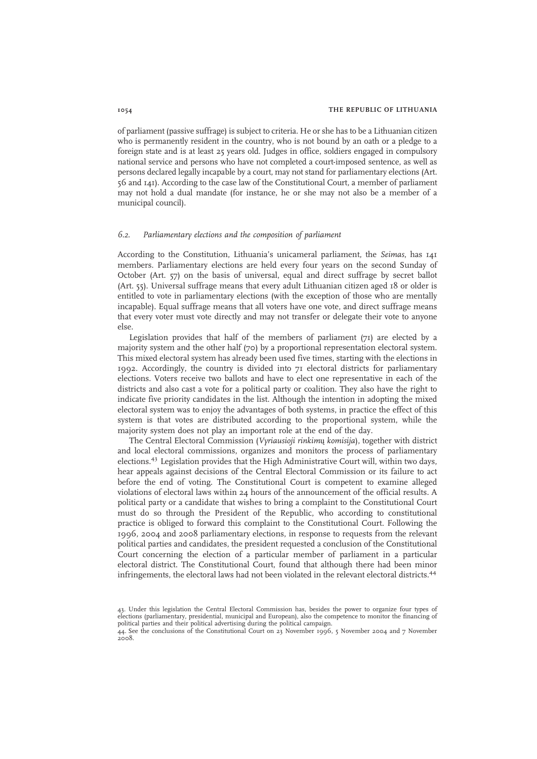of parliament (passive suffrage) is subject to criteria. He or she has to be a Lithuanian citizen who is permanently resident in the country, who is not bound by an oath or a pledge to a foreign state and is at least 25 years old. Judges in office, soldiers engaged in compulsory national service and persons who have not completed a court-imposed sentence, as well as persons declared legally incapable by a court, may not stand for parliamentary elections (Art. 56 and 141). According to the case law of the Constitutional Court, a member of parliament may not hold a dual mandate (for instance, he or she may not also be a member of a municipal council).

#### 6.2. Parliamentary elections and the composition of parliament

According to the Constitution, Lithuania's unicameral parliament, the Seimas, has 141 members. Parliamentary elections are held every four years on the second Sunday of October (Art. 57) on the basis of universal, equal and direct suffrage by secret ballot (Art. 55). Universal suffrage means that every adult Lithuanian citizen aged 18 or older is entitled to vote in parliamentary elections (with the exception of those who are mentally incapable). Equal suffrage means that all voters have one vote, and direct suffrage means that every voter must vote directly and may not transfer or delegate their vote to anyone else.

Legislation provides that half of the members of parliament (71) are elected by a majority system and the other half (70) by a proportional representation electoral system. This mixed electoral system has already been used five times, starting with the elections in 1992. Accordingly, the country is divided into 71 electoral districts for parliamentary elections. Voters receive two ballots and have to elect one representative in each of the districts and also cast a vote for a political party or coalition. They also have the right to indicate five priority candidates in the list. Although the intention in adopting the mixed electoral system was to enjoy the advantages of both systems, in practice the effect of this system is that votes are distributed according to the proportional system, while the majority system does not play an important role at the end of the day.

The Central Electoral Commission (Vyriausioji rinkimų komisija), together with district and local electoral commissions, organizes and monitors the process of parliamentary elections.<sup>43</sup> Legislation provides that the High Administrative Court will, within two days, hear appeals against decisions of the Central Electoral Commission or its failure to act before the end of voting. The Constitutional Court is competent to examine alleged violations of electoral laws within 24 hours of the announcement of the official results. A political party or a candidate that wishes to bring a complaint to the Constitutional Court must do so through the President of the Republic, who according to constitutional practice is obliged to forward this complaint to the Constitutional Court. Following the 1996, 2004 and 2008 parliamentary elections, in response to requests from the relevant political parties and candidates, the president requested a conclusion of the Constitutional Court concerning the election of a particular member of parliament in a particular electoral district. The Constitutional Court, found that although there had been minor infringements, the electoral laws had not been violated in the relevant electoral districts.<sup>44</sup>

<sup>43.</sup> Under this legislation the Central Electoral Commission has, besides the power to organize four types of elections (parliamentary, presidential, municipal and European), also the competence to monitor the financing of political parties and their political advertising during the political campaign.

<sup>44.</sup> See the conclusions of the Constitutional Court on 23 November 1996, 5 November 2004 and 7 November 2008.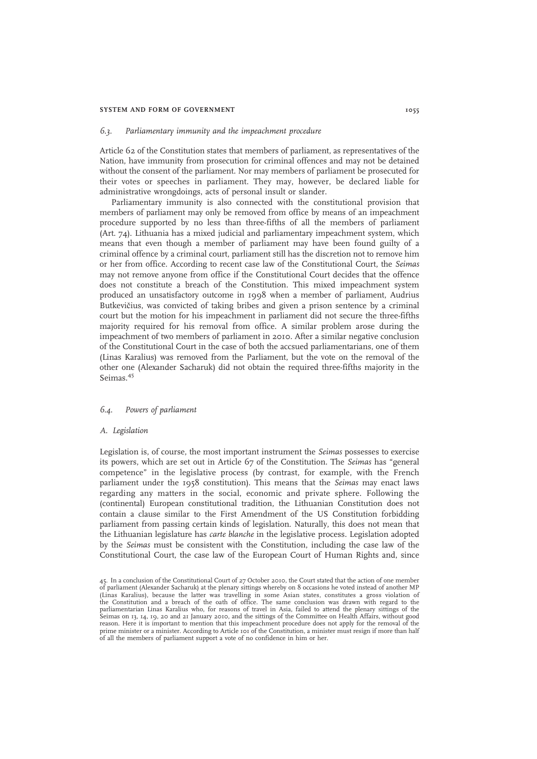#### SYSTEM AND FORM OF GOVERNMENT 1055

#### 6.3. Parliamentary immunity and the impeachment procedure

Article 62 of the Constitution states that members of parliament, as representatives of the Nation, have immunity from prosecution for criminal offences and may not be detained without the consent of the parliament. Nor may members of parliament be prosecuted for their votes or speeches in parliament. They may, however, be declared liable for administrative wrongdoings, acts of personal insult or slander.

Parliamentary immunity is also connected with the constitutional provision that members of parliament may only be removed from office by means of an impeachment procedure supported by no less than three-fifths of all the members of parliament (Art. 74). Lithuania has a mixed judicial and parliamentary impeachment system, which means that even though a member of parliament may have been found guilty of a criminal offence by a criminal court, parliament still has the discretion not to remove him or her from office. According to recent case law of the Constitutional Court, the Seimas may not remove anyone from office if the Constitutional Court decides that the offence does not constitute a breach of the Constitution. This mixed impeachment system produced an unsatisfactory outcome in 1998 when a member of parliament, Audrius Butkevičius, was convicted of taking bribes and given a prison sentence by a criminal court but the motion for his impeachment in parliament did not secure the three-fifths majority required for his removal from office. A similar problem arose during the impeachment of two members of parliament in 2010. After a similar negative conclusion of the Constitutional Court in the case of both the accsued parliamentarians, one of them (Linas Karalius) was removed from the Parliament, but the vote on the removal of the other one (Alexander Sacharuk) did not obtain the required three-fifths majority in the Seimas.<sup>45</sup>

## 6.4. Powers of parliament

#### A. Legislation

Legislation is, of course, the most important instrument the Seimas possesses to exercise its powers, which are set out in Article 67 of the Constitution. The Seimas has "general competence" in the legislative process (by contrast, for example, with the French parliament under the 1958 constitution). This means that the Seimas may enact laws regarding any matters in the social, economic and private sphere. Following the (continental) European constitutional tradition, the Lithuanian Constitution does not contain a clause similar to the First Amendment of the US Constitution forbidding parliament from passing certain kinds of legislation. Naturally, this does not mean that the Lithuanian legislature has carte blanche in the legislative process. Legislation adopted by the Seimas must be consistent with the Constitution, including the case law of the Constitutional Court, the case law of the European Court of Human Rights and, since

<sup>45.</sup> In a conclusion of the Constitutional Court of 27 October 2010, the Court stated that the action of one member of parliament (Alexander Sacharuk) at the plenary sittings whereby on 8 occasions he voted instead of another MP<br>(Linas Karalius), because the latter was travelling in some Asian states, constitutes a gross violation of<br>th parliamentarian Linas Karalius who, for reasons of travel in Asia, failed to attend the plenary sittings of the Seimas on 13, 14, 19, 20 and 21 January 2010, and the sittings of the Committee on Health Affairs, without good reason. Here it is important to mention that this impeachment procedure does not apply for the removal of the prime minister or a minister. According to Article 101 of the Constitution, a minister must resign if more than half of all the members of parliament support a vote of no confidence in him or her.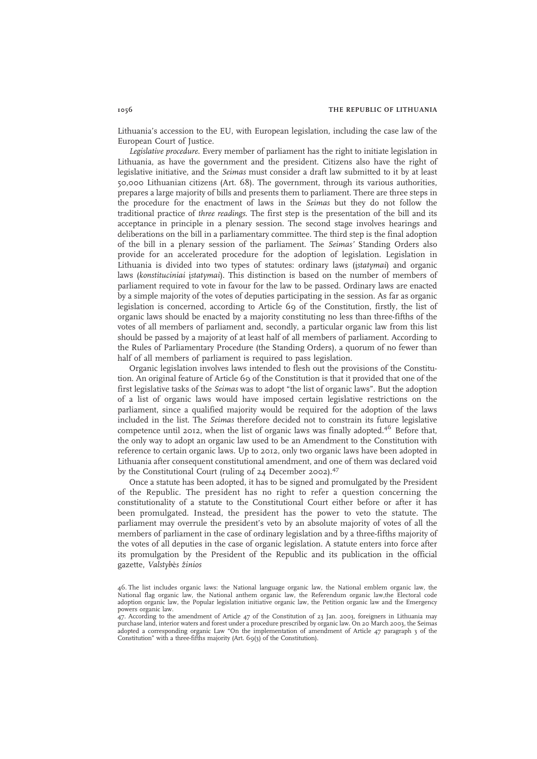Lithuania's accession to the EU, with European legislation, including the case law of the European Court of Justice.

Legislative procedure. Every member of parliament has the right to initiate legislation in Lithuania, as have the government and the president. Citizens also have the right of legislative initiative, and the Seimas must consider a draft law submitted to it by at least 50,000 Lithuanian citizens (Art. 68). The government, through its various authorities, prepares a large majority of bills and presents them to parliament. There are three steps in the procedure for the enactment of laws in the Seimas but they do not follow the traditional practice of three readings. The first step is the presentation of the bill and its acceptance in principle in a plenary session. The second stage involves hearings and deliberations on the bill in a parliamentary committee. The third step is the final adoption of the bill in a plenary session of the parliament. The Seimas' Standing Orders also provide for an accelerated procedure for the adoption of legislation. Legislation in Lithuania is divided into two types of statutes: ordinary laws (įstatymai) and organic laws (konstituciniai įstatymai). This distinction is based on the number of members of parliament required to vote in favour for the law to be passed. Ordinary laws are enacted by a simple majority of the votes of deputies participating in the session. As far as organic legislation is concerned, according to Article 69 of the Constitution, firstly, the list of organic laws should be enacted by a majority constituting no less than three-fifths of the votes of all members of parliament and, secondly, a particular organic law from this list should be passed by a majority of at least half of all members of parliament. According to the Rules of Parliamentary Procedure (the Standing Orders), a quorum of no fewer than half of all members of parliament is required to pass legislation.

Organic legislation involves laws intended to flesh out the provisions of the Constitution. An original feature of Article 69 of the Constitution is that it provided that one of the first legislative tasks of the Seimas was to adopt "the list of organic laws". But the adoption of a list of organic laws would have imposed certain legislative restrictions on the parliament, since a qualified majority would be required for the adoption of the laws included in the list. The Seimas therefore decided not to constrain its future legislative competence until 2012, when the list of organic laws was finally adopted.<sup>46</sup> Before that, the only way to adopt an organic law used to be an Amendment to the Constitution with reference to certain organic laws. Up to 2012, only two organic laws have been adopted in Lithuania after consequent constitutional amendment, and one of them was declared void by the Constitutional Court (ruling of 24 December 2002).<sup>47</sup>

Once a statute has been adopted, it has to be signed and promulgated by the President of the Republic. The president has no right to refer a question concerning the constitutionality of a statute to the Constitutional Court either before or after it has been promulgated. Instead, the president has the power to veto the statute. The parliament may overrule the president's veto by an absolute majority of votes of all the members of parliament in the case of ordinary legislation and by a three-fifths majority of the votes of all deputies in the case of organic legislation. A statute enters into force after its promulgation by the President of the Republic and its publication in the official gazette, Valstybės žinios

<sup>46.</sup> The list includes organic laws: the National language organic law, the National emblem organic law, the National flag organic law, the National anthem organic law, the Referendum organic law,the Electoral code adoption organic law, the Popular legislation initiative organic law, the Petition organic law and the Emergency powers organic law.

<sup>47.</sup> According to the amendment of Article 47 of the Constitution of 23 Jan. 2003, foreigners in Lithuania may purchase land, interior waters and forest under a procedure prescribed by organic law. On 20 March 2003, the Seimas<br>adopted a corresponding organic Law "On the implementation of amendment of Article 47 paragraph 3 of the<br>C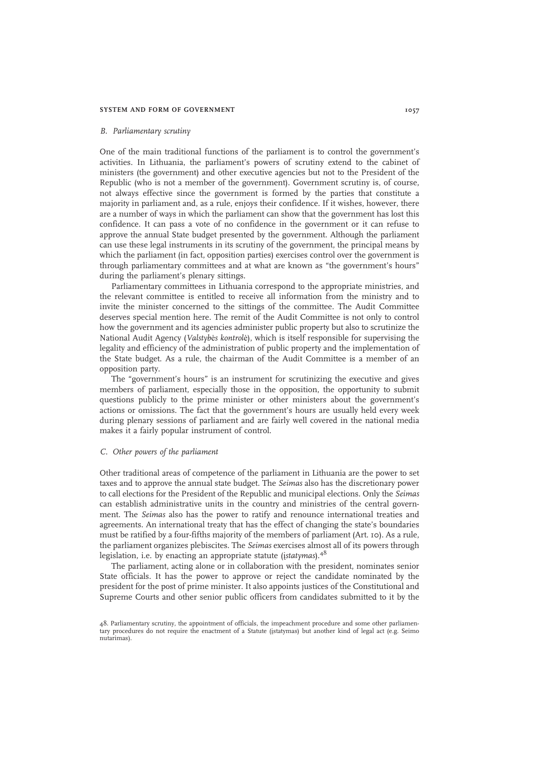#### SYSTEM AND FORM OF GOVERNMENT 1057

#### B. Parliamentary scrutiny

One of the main traditional functions of the parliament is to control the government's activities. In Lithuania, the parliament's powers of scrutiny extend to the cabinet of ministers (the government) and other executive agencies but not to the President of the Republic (who is not a member of the government). Government scrutiny is, of course, not always effective since the government is formed by the parties that constitute a majority in parliament and, as a rule, enjoys their confidence. If it wishes, however, there are a number of ways in which the parliament can show that the government has lost this confidence. It can pass a vote of no confidence in the government or it can refuse to approve the annual State budget presented by the government. Although the parliament can use these legal instruments in its scrutiny of the government, the principal means by which the parliament (in fact, opposition parties) exercises control over the government is through parliamentary committees and at what are known as "the government's hours" during the parliament's plenary sittings.

Parliamentary committees in Lithuania correspond to the appropriate ministries, and the relevant committee is entitled to receive all information from the ministry and to invite the minister concerned to the sittings of the committee. The Audit Committee deserves special mention here. The remit of the Audit Committee is not only to control how the government and its agencies administer public property but also to scrutinize the National Audit Agency (Valstybės kontrolė), which is itself responsible for supervising the legality and efficiency of the administration of public property and the implementation of the State budget. As a rule, the chairman of the Audit Committee is a member of an opposition party.

The "government's hours" is an instrument for scrutinizing the executive and gives members of parliament, especially those in the opposition, the opportunity to submit questions publicly to the prime minister or other ministers about the government's actions or omissions. The fact that the government's hours are usually held every week during plenary sessions of parliament and are fairly well covered in the national media makes it a fairly popular instrument of control.

#### C. Other powers of the parliament

Other traditional areas of competence of the parliament in Lithuania are the power to set taxes and to approve the annual state budget. The Seimas also has the discretionary power to call elections for the President of the Republic and municipal elections. Only the Seimas can establish administrative units in the country and ministries of the central government. The Seimas also has the power to ratify and renounce international treaties and agreements. An international treaty that has the effect of changing the state's boundaries must be ratified by a four-fifths majority of the members of parliament (Art. 10). As a rule, the parliament organizes plebiscites. The Seimas exercises almost all of its powers through legislation, i.e. by enacting an appropriate statute ( $i$ statymas).<sup>48</sup>

The parliament, acting alone or in collaboration with the president, nominates senior State officials. It has the power to approve or reject the candidate nominated by the president for the post of prime minister. It also appoints justices of the Constitutional and Supreme Courts and other senior public officers from candidates submitted to it by the

<sup>48.</sup> Parliamentary scrutiny, the appointment of officials, the impeachment procedure and some other parliamentary procedures do not require the enactment of a Statute (įstatymas) but another kind of legal act (e.g. Seimo nutarimas).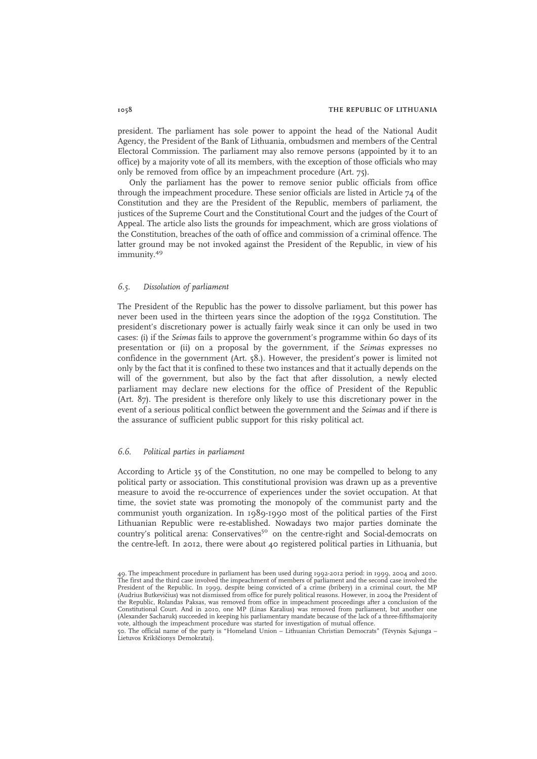president. The parliament has sole power to appoint the head of the National Audit Agency, the President of the Bank of Lithuania, ombudsmen and members of the Central Electoral Commission. The parliament may also remove persons (appointed by it to an office) by a majority vote of all its members, with the exception of those officials who may only be removed from office by an impeachment procedure (Art. 75).

Only the parliament has the power to remove senior public officials from office through the impeachment procedure. These senior officials are listed in Article 74 of the Constitution and they are the President of the Republic, members of parliament, the justices of the Supreme Court and the Constitutional Court and the judges of the Court of Appeal. The article also lists the grounds for impeachment, which are gross violations of the Constitution, breaches of the oath of office and commission of a criminal offence. The latter ground may be not invoked against the President of the Republic, in view of his immunity.<sup>49</sup>

#### 6.5. Dissolution of parliament

The President of the Republic has the power to dissolve parliament, but this power has never been used in the thirteen years since the adoption of the 1992 Constitution. The president's discretionary power is actually fairly weak since it can only be used in two cases: (i) if the Seimas fails to approve the government's programme within 60 days of its presentation or (ii) on a proposal by the government, if the Seimas expresses no confidence in the government (Art. 58.). However, the president's power is limited not only by the fact that it is confined to these two instances and that it actually depends on the will of the government, but also by the fact that after dissolution, a newly elected parliament may declare new elections for the office of President of the Republic (Art. 87). The president is therefore only likely to use this discretionary power in the event of a serious political conflict between the government and the Seimas and if there is the assurance of sufficient public support for this risky political act.

#### 6.6. Political parties in parliament

According to Article 35 of the Constitution, no one may be compelled to belong to any political party or association. This constitutional provision was drawn up as a preventive measure to avoid the re-occurrence of experiences under the soviet occupation. At that time, the soviet state was promoting the monopoly of the communist party and the communist youth organization. In 1989-1990 most of the political parties of the First Lithuanian Republic were re-established. Nowadays two major parties dominate the country's political arena: Conservatives<sup>50</sup> on the centre-right and Social-democrats on the centre-left. In 2012, there were about 40 registered political parties in Lithuania, but

<sup>49.</sup> The impeachment procedure in parliament has been used during 1992-2012 period: in 1999, 2004 and 2010. The first and the third case involved the impeachment of members of parliament and the second case involved the President of the Republic. In 1999, despite being convicted of a crime (bribery) in a criminal court, the MP (Audrius Butkevičius) was not dismissed from office for purely political reasons. However, in 2004 the President of the Republic, Rolandas Paksas, was removed from office in impeachment proceedings after a conclusion of the Constitutional Court. And in 2010, one MP (Linas Karalius) was removed from parliament, but another one (Alexander Sacharuk) succeeded in keeping his parliamentary mandate because of the lack of a three-fifthsmajority vote, although the impeachment procedure was started for investigation of mutual offence.

<sup>0.</sup> The official name of the party is "Homeland Union – Lithuanian Christian Democrats" (Tėvynės Sąjunga – 50. HE ULICIAI HALLO S. SIC FINO.<br>Lietuvos Krikščionys Demokratai).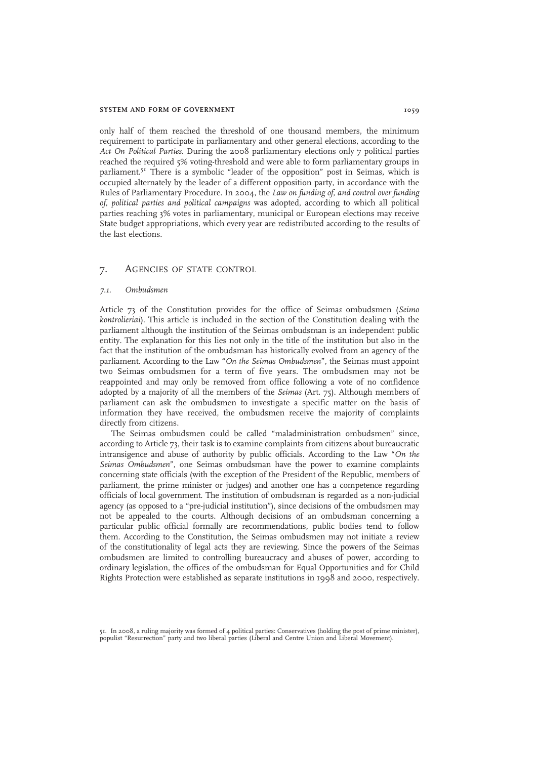#### SYSTEM AND FORM OF GOVERNMENT 1059

only half of them reached the threshold of one thousand members, the minimum requirement to participate in parliamentary and other general elections, according to the Act On Political Parties. During the 2008 parliamentary elections only 7 political parties reached the required 5% voting-threshold and were able to form parliamentary groups in parliament.<sup>51</sup> There is a symbolic "leader of the opposition" post in Seimas, which is occupied alternately by the leader of a different opposition party, in accordance with the Rules of Parliamentary Procedure. In 2004, the Law on funding of, and control over funding of, political parties and political campaigns was adopted, according to which all political parties reaching 3% votes in parliamentary, municipal or European elections may receive State budget appropriations, which every year are redistributed according to the results of the last elections.

## 7. AGENCIES OF STATE CONTROL

#### 7.1. Ombudsmen

Article 73 of the Constitution provides for the office of Seimas ombudsmen (Seimo kontrolieriai). This article is included in the section of the Constitution dealing with the parliament although the institution of the Seimas ombudsman is an independent public entity. The explanation for this lies not only in the title of the institution but also in the fact that the institution of the ombudsman has historically evolved from an agency of the parliament. According to the Law "On the Seimas Ombudsmen", the Seimas must appoint two Seimas ombudsmen for a term of five years. The ombudsmen may not be reappointed and may only be removed from office following a vote of no confidence adopted by a majority of all the members of the Seimas (Art. 75). Although members of parliament can ask the ombudsmen to investigate a specific matter on the basis of information they have received, the ombudsmen receive the majority of complaints directly from citizens.

The Seimas ombudsmen could be called "maladministration ombudsmen" since, according to Article 73, their task is to examine complaints from citizens about bureaucratic intransigence and abuse of authority by public officials. According to the Law "On the Seimas Ombudsmen", one Seimas ombudsman have the power to examine complaints concerning state officials (with the exception of the President of the Republic, members of parliament, the prime minister or judges) and another one has a competence regarding officials of local government. The institution of ombudsman is regarded as a non-judicial agency (as opposed to a "pre-judicial institution"), since decisions of the ombudsmen may not be appealed to the courts. Although decisions of an ombudsman concerning a particular public official formally are recommendations, public bodies tend to follow them. According to the Constitution, the Seimas ombudsmen may not initiate a review of the constitutionality of legal acts they are reviewing. Since the powers of the Seimas ombudsmen are limited to controlling bureaucracy and abuses of power, according to ordinary legislation, the offices of the ombudsman for Equal Opportunities and for Child Rights Protection were established as separate institutions in 1998 and 2000, respectively.

51. In 2008, a ruling majority was formed of 4 political parties: Conservatives (holding the post of prime minister), populist "Resurrection" party and two liberal parties (Liberal and Centre Union and Liberal Movement).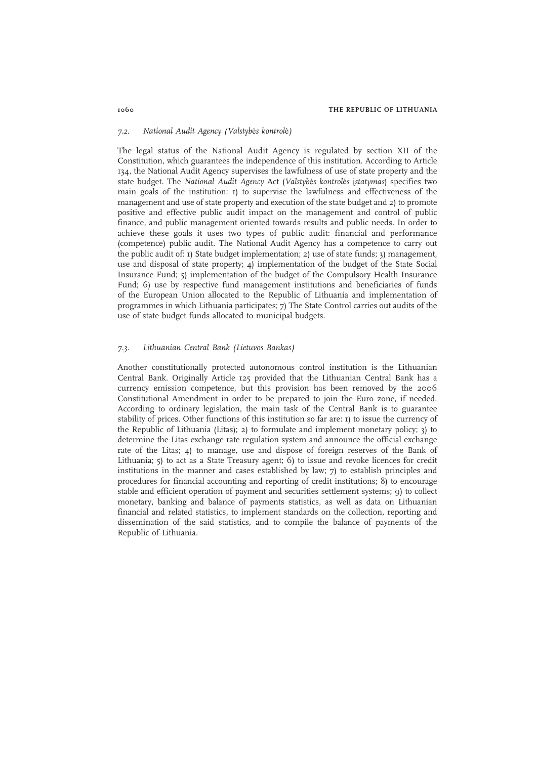#### 7.2. National Audit Agency (Valstybės kontrolė)

The legal status of the National Audit Agency is regulated by section XII of the Constitution, which guarantees the independence of this institution. According to Article 134, the National Audit Agency supervises the lawfulness of use of state property and the state budget. The National Audit Agency Act (Valstybės kontrolės įstatymas) specifies two main goals of the institution: 1) to supervise the lawfulness and effectiveness of the management and use of state property and execution of the state budget and 2) to promote positive and effective public audit impact on the management and control of public finance, and public management oriented towards results and public needs. In order to achieve these goals it uses two types of public audit: financial and performance (competence) public audit. The National Audit Agency has a competence to carry out the public audit of: 1) State budget implementation; 2) use of state funds; 3) management, use and disposal of state property; 4) implementation of the budget of the State Social Insurance Fund; 5) implementation of the budget of the Compulsory Health Insurance Fund; 6) use by respective fund management institutions and beneficiaries of funds of the European Union allocated to the Republic of Lithuania and implementation of programmes in which Lithuania participates; 7) The State Control carries out audits of the use of state budget funds allocated to municipal budgets.

#### 7.3. Lithuanian Central Bank (Lietuvos Bankas)

Another constitutionally protected autonomous control institution is the Lithuanian Central Bank. Originally Article 125 provided that the Lithuanian Central Bank has a currency emission competence, but this provision has been removed by the 2006 Constitutional Amendment in order to be prepared to join the Euro zone, if needed. According to ordinary legislation, the main task of the Central Bank is to guarantee stability of prices. Other functions of this institution so far are: 1) to issue the currency of the Republic of Lithuania (Litas); 2) to formulate and implement monetary policy; 3) to determine the Litas exchange rate regulation system and announce the official exchange rate of the Litas; 4) to manage, use and dispose of foreign reserves of the Bank of Lithuania; 5) to act as a State Treasury agent; 6) to issue and revoke licences for credit institutions in the manner and cases established by law; 7) to establish principles and procedures for financial accounting and reporting of credit institutions; 8) to encourage stable and efficient operation of payment and securities settlement systems; 9) to collect monetary, banking and balance of payments statistics, as well as data on Lithuanian financial and related statistics, to implement standards on the collection, reporting and dissemination of the said statistics, and to compile the balance of payments of the Republic of Lithuania.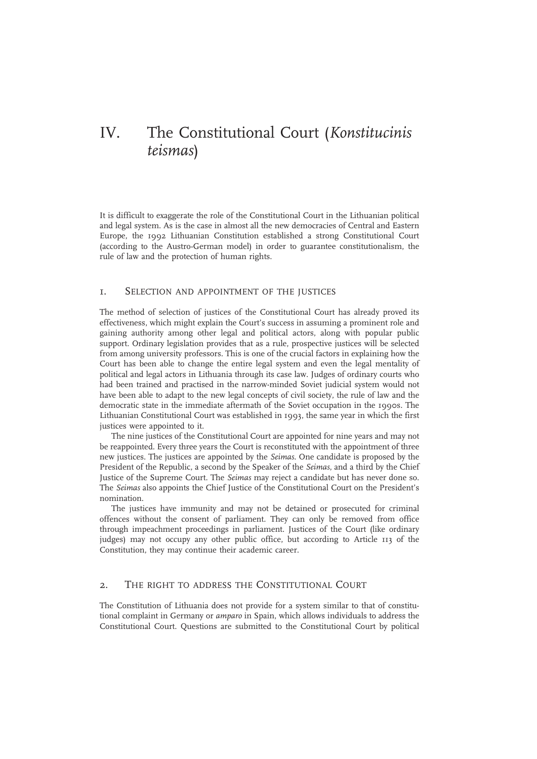# IV. The Constitutional Court (Konstitucinis teismas)

It is difficult to exaggerate the role of the Constitutional Court in the Lithuanian political and legal system. As is the case in almost all the new democracies of Central and Eastern Europe, the 1992 Lithuanian Constitution established a strong Constitutional Court (according to the Austro-German model) in order to guarantee constitutionalism, the rule of law and the protection of human rights.

## 1. SELECTION AND APPOINTMENT OF THE JUSTICES

The method of selection of justices of the Constitutional Court has already proved its effectiveness, which might explain the Court's success in assuming a prominent role and gaining authority among other legal and political actors, along with popular public support. Ordinary legislation provides that as a rule, prospective justices will be selected from among university professors. This is one of the crucial factors in explaining how the Court has been able to change the entire legal system and even the legal mentality of political and legal actors in Lithuania through its case law. Judges of ordinary courts who had been trained and practised in the narrow-minded Soviet judicial system would not have been able to adapt to the new legal concepts of civil society, the rule of law and the democratic state in the immediate aftermath of the Soviet occupation in the 1990s. The Lithuanian Constitutional Court was established in 1993, the same year in which the first justices were appointed to it.

The nine justices of the Constitutional Court are appointed for nine years and may not be reappointed. Every three years the Court is reconstituted with the appointment of three new justices. The justices are appointed by the Seimas. One candidate is proposed by the President of the Republic, a second by the Speaker of the Seimas, and a third by the Chief Justice of the Supreme Court. The Seimas may reject a candidate but has never done so. The Seimas also appoints the Chief Justice of the Constitutional Court on the President's nomination.

The justices have immunity and may not be detained or prosecuted for criminal offences without the consent of parliament. They can only be removed from office through impeachment proceedings in parliament. Justices of the Court (like ordinary judges) may not occupy any other public office, but according to Article 113 of the Constitution, they may continue their academic career.

## 2. THE RIGHT TO ADDRESS THE CONSTITUTIONAL COURT

The Constitution of Lithuania does not provide for a system similar to that of constitutional complaint in Germany or amparo in Spain, which allows individuals to address the Constitutional Court. Questions are submitted to the Constitutional Court by political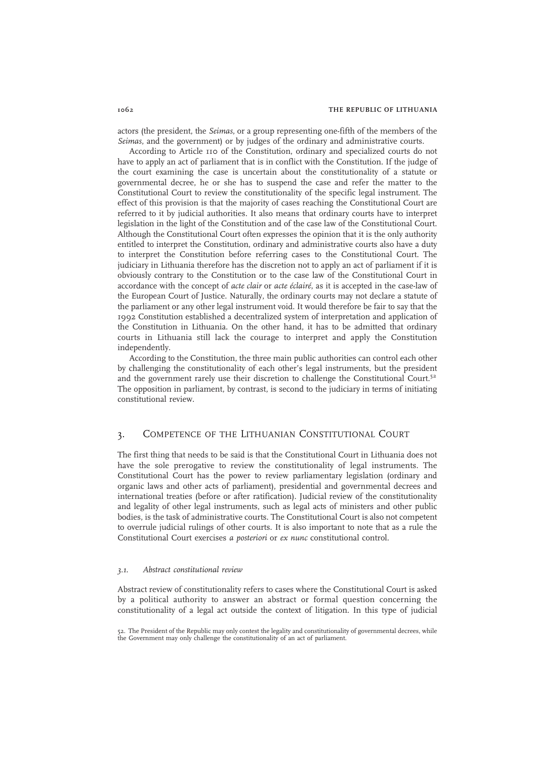actors (the president, the Seimas, or a group representing one-fifth of the members of the Seimas, and the government) or by judges of the ordinary and administrative courts.

According to Article 110 of the Constitution, ordinary and specialized courts do not have to apply an act of parliament that is in conflict with the Constitution. If the judge of the court examining the case is uncertain about the constitutionality of a statute or governmental decree, he or she has to suspend the case and refer the matter to the Constitutional Court to review the constitutionality of the specific legal instrument. The effect of this provision is that the majority of cases reaching the Constitutional Court are referred to it by judicial authorities. It also means that ordinary courts have to interpret legislation in the light of the Constitution and of the case law of the Constitutional Court. Although the Constitutional Court often expresses the opinion that it is the only authority entitled to interpret the Constitution, ordinary and administrative courts also have a duty to interpret the Constitution before referring cases to the Constitutional Court. The judiciary in Lithuania therefore has the discretion not to apply an act of parliament if it is obviously contrary to the Constitution or to the case law of the Constitutional Court in accordance with the concept of acte clair or acte éclairé, as it is accepted in the case-law of the European Court of Justice. Naturally, the ordinary courts may not declare a statute of the parliament or any other legal instrument void. It would therefore be fair to say that the 1992 Constitution established a decentralized system of interpretation and application of the Constitution in Lithuania. On the other hand, it has to be admitted that ordinary courts in Lithuania still lack the courage to interpret and apply the Constitution independently.

According to the Constitution, the three main public authorities can control each other by challenging the constitutionality of each other's legal instruments, but the president and the government rarely use their discretion to challenge the Constitutional Court. $5<sup>2</sup>$ The opposition in parliament, by contrast, is second to the judiciary in terms of initiating constitutional review.

## 3. COMPETENCE OF THE LITHUANIAN CONSTITUTIONAL COURT

The first thing that needs to be said is that the Constitutional Court in Lithuania does not have the sole prerogative to review the constitutionality of legal instruments. The Constitutional Court has the power to review parliamentary legislation (ordinary and organic laws and other acts of parliament), presidential and governmental decrees and international treaties (before or after ratification). Judicial review of the constitutionality and legality of other legal instruments, such as legal acts of ministers and other public bodies, is the task of administrative courts. The Constitutional Court is also not competent to overrule judicial rulings of other courts. It is also important to note that as a rule the Constitutional Court exercises a posteriori or ex nunc constitutional control.

#### 3.1. Abstract constitutional review

Abstract review of constitutionality refers to cases where the Constitutional Court is asked by a political authority to answer an abstract or formal question concerning the constitutionality of a legal act outside the context of litigation. In this type of judicial

<sup>52.</sup> The President of the Republic may only contest the legality and constitutionality of governmental decrees, while the Government may only challenge the constitutionality of an act of parliament.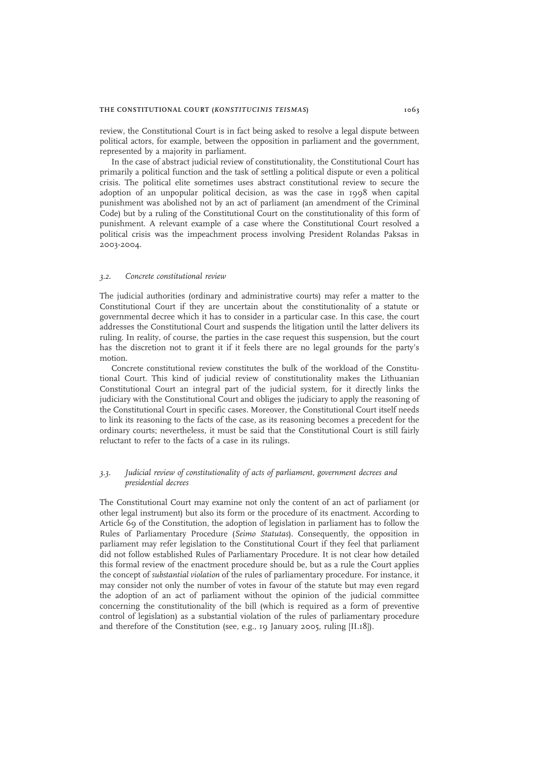#### THE CONSTITUTIONAL COURT (KONSTITUCINIS TEISMAS) 1063

review, the Constitutional Court is in fact being asked to resolve a legal dispute between political actors, for example, between the opposition in parliament and the government, represented by a majority in parliament.

In the case of abstract judicial review of constitutionality, the Constitutional Court has primarily a political function and the task of settling a political dispute or even a political crisis. The political elite sometimes uses abstract constitutional review to secure the adoption of an unpopular political decision, as was the case in 1998 when capital punishment was abolished not by an act of parliament (an amendment of the Criminal Code) but by a ruling of the Constitutional Court on the constitutionality of this form of punishment. A relevant example of a case where the Constitutional Court resolved a political crisis was the impeachment process involving President Rolandas Paksas in 2003-2004.

#### 3.2. Concrete constitutional review

The judicial authorities (ordinary and administrative courts) may refer a matter to the Constitutional Court if they are uncertain about the constitutionality of a statute or governmental decree which it has to consider in a particular case. In this case, the court addresses the Constitutional Court and suspends the litigation until the latter delivers its ruling. In reality, of course, the parties in the case request this suspension, but the court has the discretion not to grant it if it feels there are no legal grounds for the party's motion.

Concrete constitutional review constitutes the bulk of the workload of the Constitutional Court. This kind of judicial review of constitutionality makes the Lithuanian Constitutional Court an integral part of the judicial system, for it directly links the judiciary with the Constitutional Court and obliges the judiciary to apply the reasoning of the Constitutional Court in specific cases. Moreover, the Constitutional Court itself needs to link its reasoning to the facts of the case, as its reasoning becomes a precedent for the ordinary courts; nevertheless, it must be said that the Constitutional Court is still fairly reluctant to refer to the facts of a case in its rulings.

## 3.3. Judicial review of constitutionality of acts of parliament, government decrees and presidential decrees

The Constitutional Court may examine not only the content of an act of parliament (or other legal instrument) but also its form or the procedure of its enactment. According to Article 69 of the Constitution, the adoption of legislation in parliament has to follow the Rules of Parliamentary Procedure (Seimo Statutas). Consequently, the opposition in parliament may refer legislation to the Constitutional Court if they feel that parliament did not follow established Rules of Parliamentary Procedure. It is not clear how detailed this formal review of the enactment procedure should be, but as a rule the Court applies the concept of substantial violation of the rules of parliamentary procedure. For instance, it may consider not only the number of votes in favour of the statute but may even regard the adoption of an act of parliament without the opinion of the judicial committee concerning the constitutionality of the bill (which is required as a form of preventive control of legislation) as a substantial violation of the rules of parliamentary procedure and therefore of the Constitution (see, e.g., 19 January 2005, ruling [II.18]).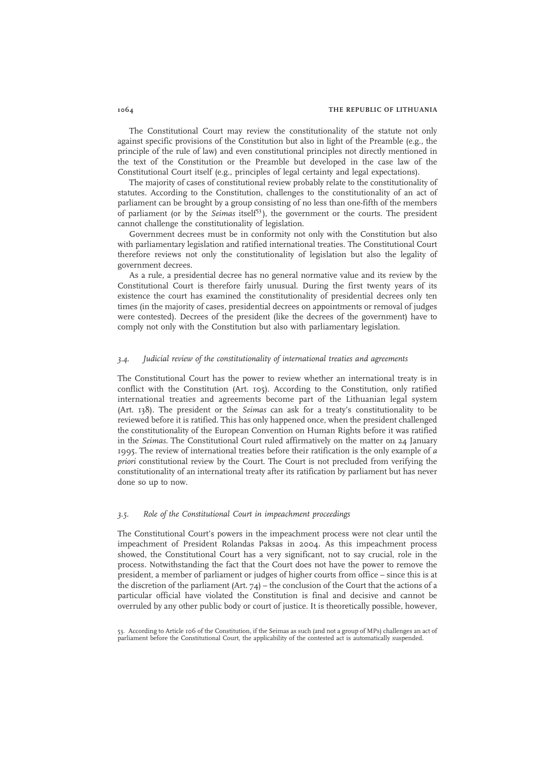The Constitutional Court may review the constitutionality of the statute not only against specific provisions of the Constitution but also in light of the Preamble (e.g., the principle of the rule of law) and even constitutional principles not directly mentioned in the text of the Constitution or the Preamble but developed in the case law of the Constitutional Court itself (e.g., principles of legal certainty and legal expectations).

The majority of cases of constitutional review probably relate to the constitutionality of statutes. According to the Constitution, challenges to the constitutionality of an act of parliament can be brought by a group consisting of no less than one-fifth of the members of parliament (or by the *Seimas* itself<sup>53</sup>), the government or the courts. The president cannot challenge the constitutionality of legislation.

Government decrees must be in conformity not only with the Constitution but also with parliamentary legislation and ratified international treaties. The Constitutional Court therefore reviews not only the constitutionality of legislation but also the legality of government decrees.

As a rule, a presidential decree has no general normative value and its review by the Constitutional Court is therefore fairly unusual. During the first twenty years of its existence the court has examined the constitutionality of presidential decrees only ten times (in the majority of cases, presidential decrees on appointments or removal of judges were contested). Decrees of the president (like the decrees of the government) have to comply not only with the Constitution but also with parliamentary legislation.

### 3.4. Judicial review of the constitutionality of international treaties and agreements

The Constitutional Court has the power to review whether an international treaty is in conflict with the Constitution (Art. 105). According to the Constitution, only ratified international treaties and agreements become part of the Lithuanian legal system (Art. 138). The president or the Seimas can ask for a treaty's constitutionality to be reviewed before it is ratified. This has only happened once, when the president challenged the constitutionality of the European Convention on Human Rights before it was ratified in the Seimas. The Constitutional Court ruled affirmatively on the matter on 24 January 1995. The review of international treaties before their ratification is the only example of  $a$ priori constitutional review by the Court. The Court is not precluded from verifying the constitutionality of an international treaty after its ratification by parliament but has never done so up to now.

#### 3.5. Role of the Constitutional Court in impeachment proceedings

The Constitutional Court's powers in the impeachment process were not clear until the impeachment of President Rolandas Paksas in 2004. As this impeachment process showed, the Constitutional Court has a very significant, not to say crucial, role in the process. Notwithstanding the fact that the Court does not have the power to remove the president, a member of parliament or judges of higher courts from office – since this is at the discretion of the parliament (Art.  $74$ ) – the conclusion of the Court that the actions of a particular official have violated the Constitution is final and decisive and cannot be overruled by any other public body or court of justice. It is theoretically possible, however,

53. According to Article 106 of the Constitution, if the Seimas as such (and not a group of MPs) challenges an act of parliament before the Constitutional Court, the applicability of the contested act is automatically suspended.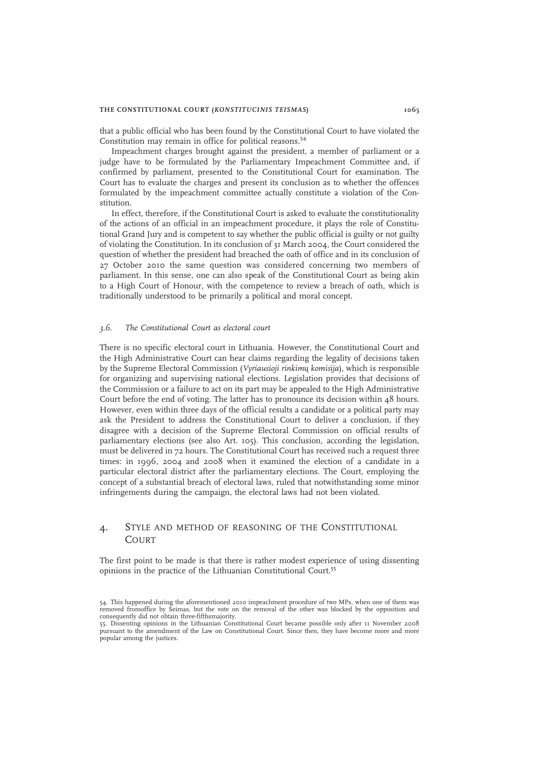that a public official who has been found by the Constitutional Court to have violated the Constitution may remain in office for political reasons.<sup>54</sup>

Impeachment charges brought against the president, a member of parliament or a judge have to be formulated by the Parliamentary Impeachment Committee and, if confirmed by parliament, presented to the Constitutional Court for examination. The Court has to evaluate the charges and present its conclusion as to whether the offences formulated by the impeachment committee actually constitute a violation of the Constitution.

In effect, therefore, if the Constitutional Court is asked to evaluate the constitutionality of the actions of an official in an impeachment procedure, it plays the role of Constitutional Grand Jury and is competent to say whether the public official is guilty or not guilty of violating the Constitution. In its conclusion of 31 March 2004, the Court considered the question of whether the president had breached the oath of office and in its conclusion of 27 October 2010 the same question was considered concerning two members of parliament. In this sense, one can also speak of the Constitutional Court as being akin to a High Court of Honour, with the competence to review a breach of oath, which is traditionally understood to be primarily a political and moral concept.

#### 3.6. The Constitutional Court as electoral court

There is no specific electoral court in Lithuania. However, the Constitutional Court and the High Administrative Court can hear claims regarding the legality of decisions taken by the Supreme Electoral Commission (Vyriausioji rinkimų komisija), which is responsible for organizing and supervising national elections. Legislation provides that decisions of the Commission or a failure to act on its part may be appealed to the High Administrative Court before the end of voting. The latter has to pronounce its decision within 48 hours. However, even within three days of the official results a candidate or a political party may ask the President to address the Constitutional Court to deliver a conclusion, if they disagree with a decision of the Supreme Electoral Commission on official results of parliamentary elections (see also Art. 105). This conclusion, according the legislation, must be delivered in 72 hours. The Constitutional Court has received such a request three times: in 1996, 2004 and 2008 when it examined the election of a candidate in a particular electoral district after the parliamentary elections. The Court, employing the concept of a substantial breach of electoral laws, ruled that notwithstanding some minor infringements during the campaign, the electoral laws had not been violated.

## 4. STYLE AND METHOD OF REASONING OF THE CONSTITUTIONAL **COURT**

The first point to be made is that there is rather modest experience of using dissenting opinions in the practice of the Lithuanian Constitutional Court.<sup>55</sup>

<sup>54.</sup> This happened during the aforementioned 2010 impeachment procedure of two MPs, when one of them was removed fromoffice by Seimas, but the vote on the removal of the other was blocked by the opposition and consequently did not obtain three-fifthsmajority.

<sup>55.</sup> Dissenting opinions in the Lithuanian Constitutional Court became possible only after 11 November 2008 pursuant to the amendment of the Law on Constitutional Court. Since then, they have become more and more popular among the justices.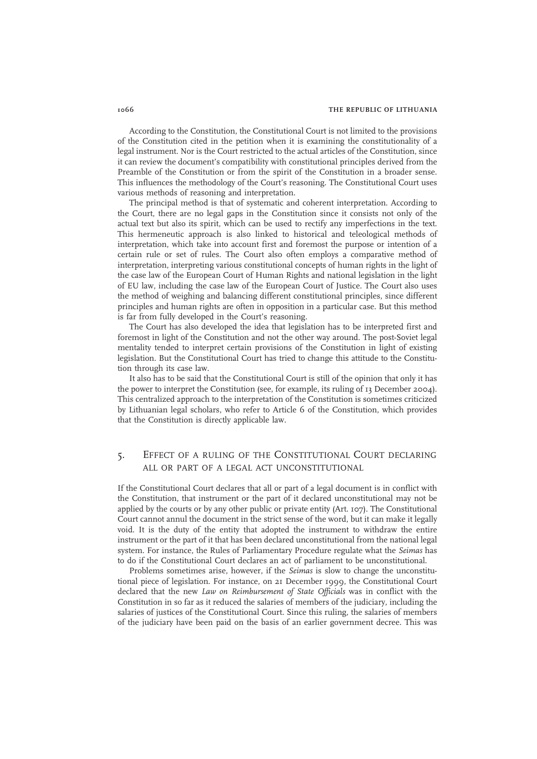According to the Constitution, the Constitutional Court is not limited to the provisions of the Constitution cited in the petition when it is examining the constitutionality of a legal instrument. Nor is the Court restricted to the actual articles of the Constitution, since it can review the document's compatibility with constitutional principles derived from the Preamble of the Constitution or from the spirit of the Constitution in a broader sense. This influences the methodology of the Court's reasoning. The Constitutional Court uses various methods of reasoning and interpretation.

The principal method is that of systematic and coherent interpretation. According to the Court, there are no legal gaps in the Constitution since it consists not only of the actual text but also its spirit, which can be used to rectify any imperfections in the text. This hermeneutic approach is also linked to historical and teleological methods of interpretation, which take into account first and foremost the purpose or intention of a certain rule or set of rules. The Court also often employs a comparative method of interpretation, interpreting various constitutional concepts of human rights in the light of the case law of the European Court of Human Rights and national legislation in the light of EU law, including the case law of the European Court of Justice. The Court also uses the method of weighing and balancing different constitutional principles, since different principles and human rights are often in opposition in a particular case. But this method is far from fully developed in the Court's reasoning.

The Court has also developed the idea that legislation has to be interpreted first and foremost in light of the Constitution and not the other way around. The post-Soviet legal mentality tended to interpret certain provisions of the Constitution in light of existing legislation. But the Constitutional Court has tried to change this attitude to the Constitution through its case law.

It also has to be said that the Constitutional Court is still of the opinion that only it has the power to interpret the Constitution (see, for example, its ruling of 13 December 2004). This centralized approach to the interpretation of the Constitution is sometimes criticized by Lithuanian legal scholars, who refer to Article 6 of the Constitution, which provides that the Constitution is directly applicable law.

## 5. EFFECT OF A RULING OF THE CONSTITUTIONAL COURT DECLARING ALL OR PART OF A LEGAL ACT UNCONSTITUTIONAL

If the Constitutional Court declares that all or part of a legal document is in conflict with the Constitution, that instrument or the part of it declared unconstitutional may not be applied by the courts or by any other public or private entity (Art. 107). The Constitutional Court cannot annul the document in the strict sense of the word, but it can make it legally void. It is the duty of the entity that adopted the instrument to withdraw the entire instrument or the part of it that has been declared unconstitutional from the national legal system. For instance, the Rules of Parliamentary Procedure regulate what the Seimas has to do if the Constitutional Court declares an act of parliament to be unconstitutional.

Problems sometimes arise, however, if the Seimas is slow to change the unconstitutional piece of legislation. For instance, on 21 December 1999, the Constitutional Court declared that the new Law on Reimbursement of State Officials was in conflict with the Constitution in so far as it reduced the salaries of members of the judiciary, including the salaries of justices of the Constitutional Court. Since this ruling, the salaries of members of the judiciary have been paid on the basis of an earlier government decree. This was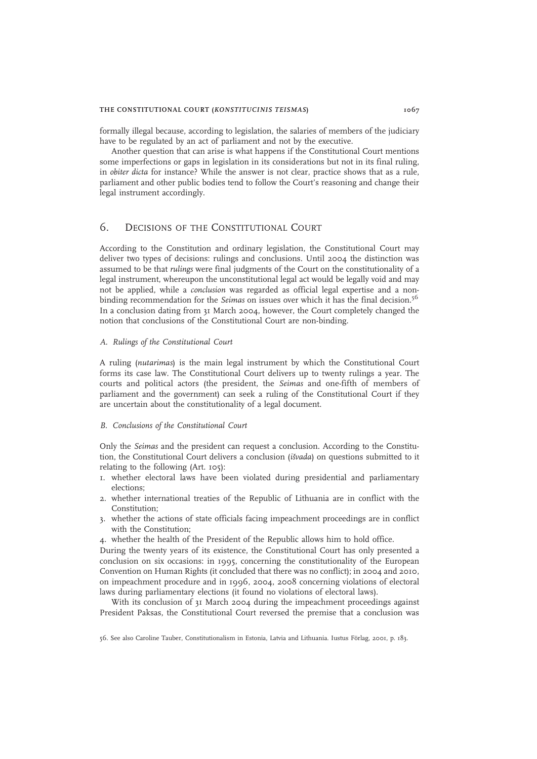#### THE CONSTITUTIONAL COURT (KONSTITUCINIS TEISMAS) 1067

formally illegal because, according to legislation, the salaries of members of the judiciary have to be regulated by an act of parliament and not by the executive.

Another question that can arise is what happens if the Constitutional Court mentions some imperfections or gaps in legislation in its considerations but not in its final ruling, in obiter dicta for instance? While the answer is not clear, practice shows that as a rule, parliament and other public bodies tend to follow the Court's reasoning and change their legal instrument accordingly.

# 6. DECISIONS OF THE CONSTITUTIONAL COURT

According to the Constitution and ordinary legislation, the Constitutional Court may deliver two types of decisions: rulings and conclusions. Until 2004 the distinction was assumed to be that rulings were final judgments of the Court on the constitutionality of a legal instrument, whereupon the unconstitutional legal act would be legally void and may not be applied, while a conclusion was regarded as official legal expertise and a nonbinding recommendation for the *Seimas* on issues over which it has the final decision.<sup>56</sup> In a conclusion dating from 31 March 2004, however, the Court completely changed the notion that conclusions of the Constitutional Court are non-binding.

#### A. Rulings of the Constitutional Court

A ruling (nutarimas) is the main legal instrument by which the Constitutional Court forms its case law. The Constitutional Court delivers up to twenty rulings a year. The courts and political actors (the president, the Seimas and one-fifth of members of parliament and the government) can seek a ruling of the Constitutional Court if they are uncertain about the constitutionality of a legal document.

#### B. Conclusions of the Constitutional Court

Only the Seimas and the president can request a conclusion. According to the Constitution, the Constitutional Court delivers a conclusion (išvada) on questions submitted to it relating to the following (Art. 105):

- 1. whether electoral laws have been violated during presidential and parliamentary elections;
- 2. whether international treaties of the Republic of Lithuania are in conflict with the Constitution;
- 3. whether the actions of state officials facing impeachment proceedings are in conflict with the Constitution;
- 4. whether the health of the President of the Republic allows him to hold office.

During the twenty years of its existence, the Constitutional Court has only presented a conclusion on six occasions: in 1995, concerning the constitutionality of the European Convention on Human Rights (it concluded that there was no conflict); in 2004 and 2010, on impeachment procedure and in 1996, 2004, 2008 concerning violations of electoral laws during parliamentary elections (it found no violations of electoral laws).

With its conclusion of 31 March 2004 during the impeachment proceedings against President Paksas, the Constitutional Court reversed the premise that a conclusion was

56. See also Caroline Tauber, Constitutionalism in Estonia, Latvia and Lithuania. Iustus Förlag, 2001, p. 183.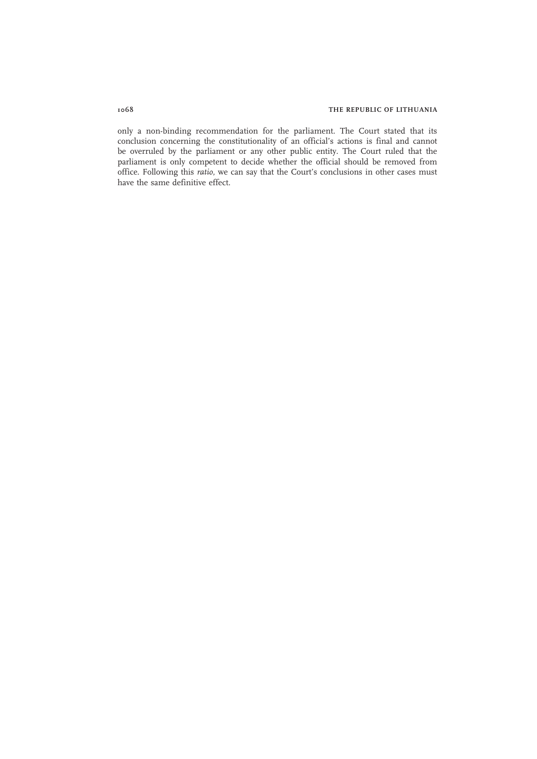only a non-binding recommendation for the parliament. The Court stated that its conclusion concerning the constitutionality of an official's actions is final and cannot be overruled by the parliament or any other public entity. The Court ruled that the parliament is only competent to decide whether the official should be removed from office. Following this ratio, we can say that the Court's conclusions in other cases must have the same definitive effect.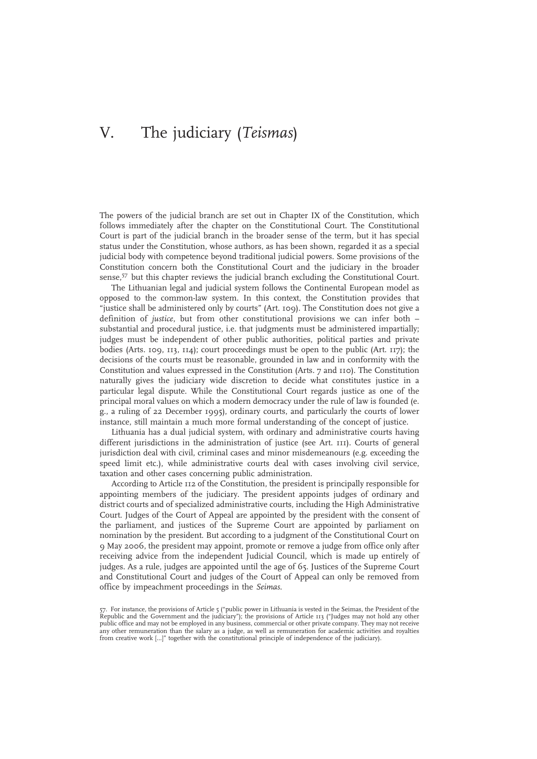# V. The judiciary (Teismas)

The powers of the judicial branch are set out in Chapter IX of the Constitution, which follows immediately after the chapter on the Constitutional Court. The Constitutional Court is part of the judicial branch in the broader sense of the term, but it has special status under the Constitution, whose authors, as has been shown, regarded it as a special judicial body with competence beyond traditional judicial powers. Some provisions of the Constitution concern both the Constitutional Court and the judiciary in the broader sense,<sup>57</sup> but this chapter reviews the judicial branch excluding the Constitutional Court.

The Lithuanian legal and judicial system follows the Continental European model as opposed to the common-law system. In this context, the Constitution provides that "justice shall be administered only by courts" (Art. 109). The Constitution does not give a definition of justice, but from other constitutional provisions we can infer both – substantial and procedural justice, i.e. that judgments must be administered impartially; judges must be independent of other public authorities, political parties and private bodies (Arts. 109, 113, 114); court proceedings must be open to the public (Art. 117); the decisions of the courts must be reasonable, grounded in law and in conformity with the Constitution and values expressed in the Constitution (Arts. 7 and 110). The Constitution naturally gives the judiciary wide discretion to decide what constitutes justice in a particular legal dispute. While the Constitutional Court regards justice as one of the principal moral values on which a modern democracy under the rule of law is founded (e. g., a ruling of 22 December 1995), ordinary courts, and particularly the courts of lower instance, still maintain a much more formal understanding of the concept of justice.

Lithuania has a dual judicial system, with ordinary and administrative courts having different jurisdictions in the administration of justice (see Art. 111). Courts of general jurisdiction deal with civil, criminal cases and minor misdemeanours (e.g. exceeding the speed limit etc.), while administrative courts deal with cases involving civil service, taxation and other cases concerning public administration.

According to Article 112 of the Constitution, the president is principally responsible for appointing members of the judiciary. The president appoints judges of ordinary and district courts and of specialized administrative courts, including the High Administrative Court. Judges of the Court of Appeal are appointed by the president with the consent of the parliament, and justices of the Supreme Court are appointed by parliament on nomination by the president. But according to a judgment of the Constitutional Court on 9 May 2006, the president may appoint, promote or remove a judge from office only after receiving advice from the independent Judicial Council, which is made up entirely of judges. As a rule, judges are appointed until the age of 65. Justices of the Supreme Court and Constitutional Court and judges of the Court of Appeal can only be removed from office by impeachment proceedings in the Seimas.

<sup>57.</sup> For instance, the provisions of Article 5 ("public power in Lithuania is vested in the Seimas, the President of the<br>Republic and the Government and the judiciary"); the provisions of Article 113 ("Judges may not hold a public office and may not be employed in any business, commercial or other private company. They may not receive any other remuneration than the salary as a judge, as well as remuneration for academic activities and royalties from creative work […]" together with the constitutional principle of independence of the judiciary).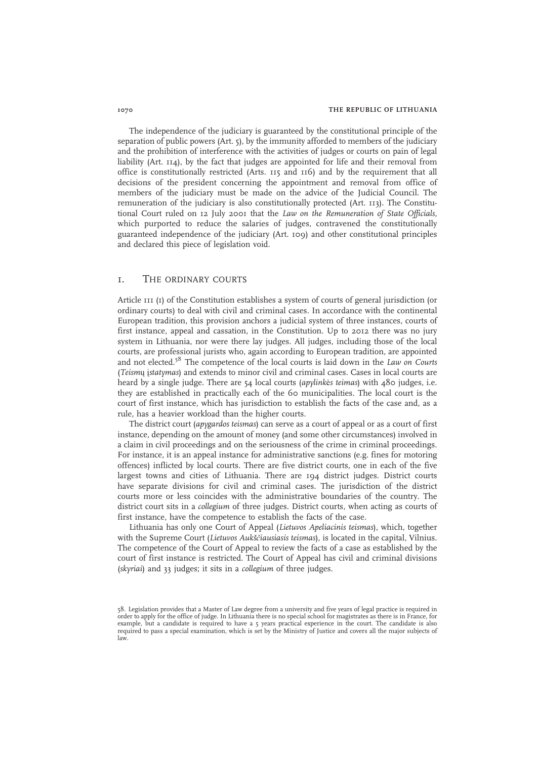The independence of the judiciary is guaranteed by the constitutional principle of the separation of public powers (Art. 5), by the immunity afforded to members of the judiciary and the prohibition of interference with the activities of judges or courts on pain of legal liability (Art. 114), by the fact that judges are appointed for life and their removal from office is constitutionally restricted (Arts. 115 and 116) and by the requirement that all decisions of the president concerning the appointment and removal from office of members of the judiciary must be made on the advice of the Judicial Council. The remuneration of the judiciary is also constitutionally protected (Art. 113). The Constitutional Court ruled on 12 July 2001 that the Law on the Remuneration of State Officials, which purported to reduce the salaries of judges, contravened the constitutionally guaranteed independence of the judiciary (Art. 109) and other constitutional principles and declared this piece of legislation void.

# 1. THE ORDINARY COURTS

Article 111 (1) of the Constitution establishes a system of courts of general jurisdiction (or ordinary courts) to deal with civil and criminal cases. In accordance with the continental European tradition, this provision anchors a judicial system of three instances, courts of first instance, appeal and cassation, in the Constitution. Up to 2012 there was no jury system in Lithuania, nor were there lay judges. All judges, including those of the local courts, are professional jurists who, again according to European tradition, are appointed and not elected.<sup>58</sup> The competence of the local courts is laid down in the Law on Courts (Teismų įstatymas) and extends to minor civil and criminal cases. Cases in local courts are heard by a single judge. There are 54 local courts (apylinkės teimas) with 480 judges, i.e. they are established in practically each of the 60 municipalities. The local court is the court of first instance, which has jurisdiction to establish the facts of the case and, as a rule, has a heavier workload than the higher courts.

The district court (apygardos teismas) can serve as a court of appeal or as a court of first instance, depending on the amount of money (and some other circumstances) involved in a claim in civil proceedings and on the seriousness of the crime in criminal proceedings. For instance, it is an appeal instance for administrative sanctions (e.g. fines for motoring offences) inflicted by local courts. There are five district courts, one in each of the five largest towns and cities of Lithuania. There are 194 district judges. District courts have separate divisions for civil and criminal cases. The jurisdiction of the district courts more or less coincides with the administrative boundaries of the country. The district court sits in a collegium of three judges. District courts, when acting as courts of first instance, have the competence to establish the facts of the case.

Lithuania has only one Court of Appeal (Lietuvos Apeliacinis teismas), which, together with the Supreme Court (Lietuvos Aukščiausiasis teismas), is located in the capital, Vilnius. The competence of the Court of Appeal to review the facts of a case as established by the court of first instance is restricted. The Court of Appeal has civil and criminal divisions (skyriai) and 33 judges; it sits in a collegium of three judges.

<sup>58.</sup> Legislation provides that a Master of Law degree from a university and five years of legal practice is required in order to apply for the office of judge. In Lithuania there is no special school for magistrates as there is in France, for example, but a candidate is required to have a 5 years practical experience in the court. The candidate is also required to pass a special examination, which is set by the Ministry of Justice and covers all the major subjects of law.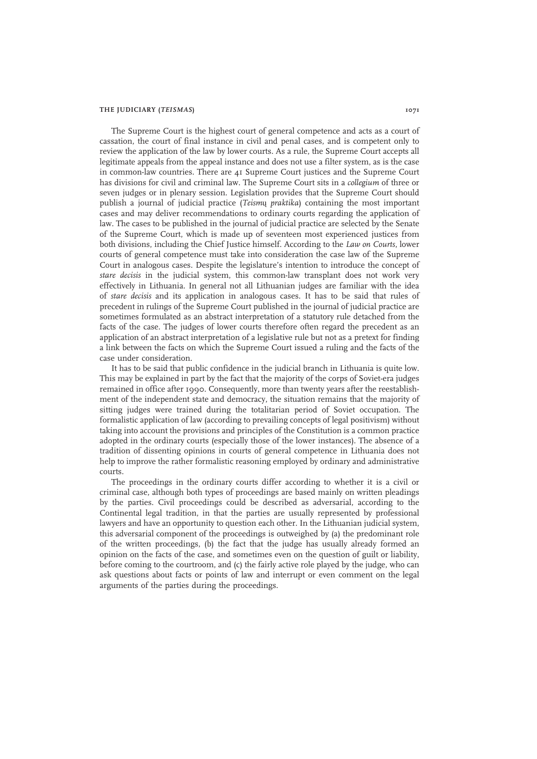#### THE JUDICIARY (TEISMAS) 1071

The Supreme Court is the highest court of general competence and acts as a court of cassation, the court of final instance in civil and penal cases, and is competent only to review the application of the law by lower courts. As a rule, the Supreme Court accepts all legitimate appeals from the appeal instance and does not use a filter system, as is the case in common-law countries. There are 41 Supreme Court justices and the Supreme Court has divisions for civil and criminal law. The Supreme Court sits in a collegium of three or seven judges or in plenary session. Legislation provides that the Supreme Court should publish a journal of judicial practice (Teismų praktika) containing the most important cases and may deliver recommendations to ordinary courts regarding the application of law. The cases to be published in the journal of judicial practice are selected by the Senate of the Supreme Court, which is made up of seventeen most experienced justices from both divisions, including the Chief Justice himself. According to the Law on Courts, lower courts of general competence must take into consideration the case law of the Supreme Court in analogous cases. Despite the legislature's intention to introduce the concept of stare decisis in the judicial system, this common-law transplant does not work very effectively in Lithuania. In general not all Lithuanian judges are familiar with the idea of stare decisis and its application in analogous cases. It has to be said that rules of precedent in rulings of the Supreme Court published in the journal of judicial practice are sometimes formulated as an abstract interpretation of a statutory rule detached from the facts of the case. The judges of lower courts therefore often regard the precedent as an application of an abstract interpretation of a legislative rule but not as a pretext for finding a link between the facts on which the Supreme Court issued a ruling and the facts of the case under consideration.

It has to be said that public confidence in the judicial branch in Lithuania is quite low. This may be explained in part by the fact that the majority of the corps of Soviet-era judges remained in office after 1990. Consequently, more than twenty years after the reestablishment of the independent state and democracy, the situation remains that the majority of sitting judges were trained during the totalitarian period of Soviet occupation. The formalistic application of law (according to prevailing concepts of legal positivism) without taking into account the provisions and principles of the Constitution is a common practice adopted in the ordinary courts (especially those of the lower instances). The absence of a tradition of dissenting opinions in courts of general competence in Lithuania does not help to improve the rather formalistic reasoning employed by ordinary and administrative courts.

The proceedings in the ordinary courts differ according to whether it is a civil or criminal case, although both types of proceedings are based mainly on written pleadings by the parties. Civil proceedings could be described as adversarial, according to the Continental legal tradition, in that the parties are usually represented by professional lawyers and have an opportunity to question each other. In the Lithuanian judicial system, this adversarial component of the proceedings is outweighed by (a) the predominant role of the written proceedings, (b) the fact that the judge has usually already formed an opinion on the facts of the case, and sometimes even on the question of guilt or liability, before coming to the courtroom, and (c) the fairly active role played by the judge, who can ask questions about facts or points of law and interrupt or even comment on the legal arguments of the parties during the proceedings.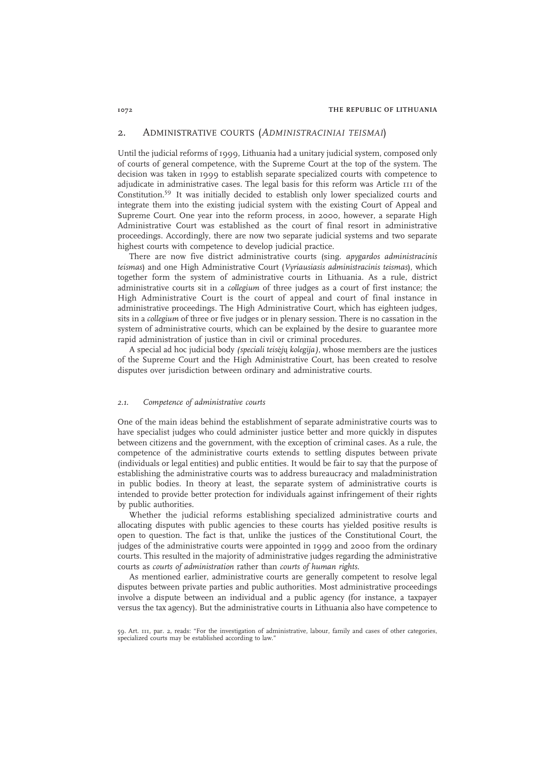## 2. ADMINISTRATIVE COURTS (ADMINISTRACINIAI TEISMAI)

Until the judicial reforms of 1999, Lithuania had a unitary judicial system, composed only of courts of general competence, with the Supreme Court at the top of the system. The decision was taken in 1999 to establish separate specialized courts with competence to adjudicate in administrative cases. The legal basis for this reform was Article 111 of the Constitution.<sup>59</sup> It was initially decided to establish only lower specialized courts and integrate them into the existing judicial system with the existing Court of Appeal and Supreme Court. One year into the reform process, in 2000, however, a separate High Administrative Court was established as the court of final resort in administrative proceedings. Accordingly, there are now two separate judicial systems and two separate highest courts with competence to develop judicial practice.

There are now five district administrative courts (sing. apygardos administracinis teismas) and one High Administrative Court (Vyriausiasis administracinis teismas), which together form the system of administrative courts in Lithuania. As a rule, district administrative courts sit in a collegium of three judges as a court of first instance; the High Administrative Court is the court of appeal and court of final instance in administrative proceedings. The High Administrative Court, which has eighteen judges, sits in a collegium of three or five judges or in plenary session. There is no cassation in the system of administrative courts, which can be explained by the desire to guarantee more rapid administration of justice than in civil or criminal procedures.

A special ad hoc judicial body (speciali teisėjų kolegija), whose members are the justices of the Supreme Court and the High Administrative Court, has been created to resolve disputes over jurisdiction between ordinary and administrative courts.

#### 2.1. Competence of administrative courts

One of the main ideas behind the establishment of separate administrative courts was to have specialist judges who could administer justice better and more quickly in disputes between citizens and the government, with the exception of criminal cases. As a rule, the competence of the administrative courts extends to settling disputes between private (individuals or legal entities) and public entities. It would be fair to say that the purpose of establishing the administrative courts was to address bureaucracy and maladministration in public bodies. In theory at least, the separate system of administrative courts is intended to provide better protection for individuals against infringement of their rights by public authorities.

Whether the judicial reforms establishing specialized administrative courts and allocating disputes with public agencies to these courts has yielded positive results is open to question. The fact is that, unlike the justices of the Constitutional Court, the judges of the administrative courts were appointed in 1999 and 2000 from the ordinary courts. This resulted in the majority of administrative judges regarding the administrative courts as courts of administration rather than courts of human rights.

As mentioned earlier, administrative courts are generally competent to resolve legal disputes between private parties and public authorities. Most administrative proceedings involve a dispute between an individual and a public agency (for instance, a taxpayer versus the tax agency). But the administrative courts in Lithuania also have competence to

<sup>59.</sup> Art. 111, par. 2, reads: "For the investigation of administrative, labour, family and cases of other categories, specialized courts may be established according to law."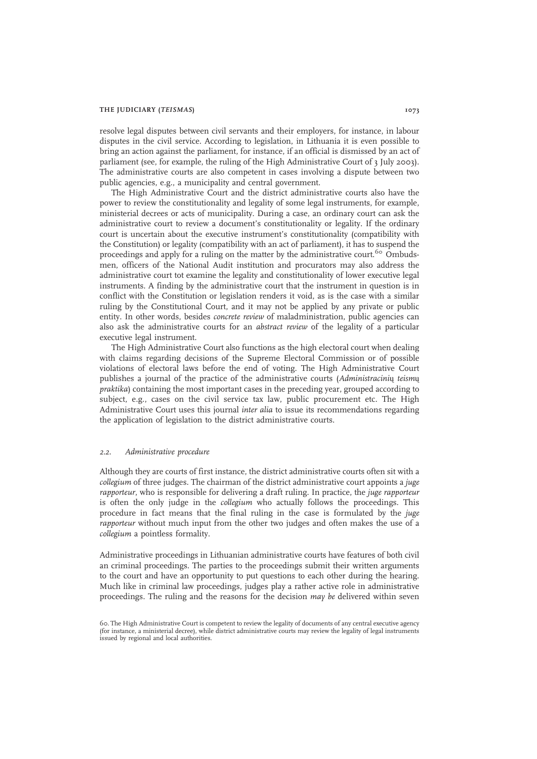#### THE JUDICIARY (TEISMAS) 1073

resolve legal disputes between civil servants and their employers, for instance, in labour disputes in the civil service. According to legislation, in Lithuania it is even possible to bring an action against the parliament, for instance, if an official is dismissed by an act of parliament (see, for example, the ruling of the High Administrative Court of 3 July 2003). The administrative courts are also competent in cases involving a dispute between two public agencies, e.g., a municipality and central government.

The High Administrative Court and the district administrative courts also have the power to review the constitutionality and legality of some legal instruments, for example, ministerial decrees or acts of municipality. During a case, an ordinary court can ask the administrative court to review a document's constitutionality or legality. If the ordinary court is uncertain about the executive instrument's constitutionality (compatibility with the Constitution) or legality (compatibility with an act of parliament), it has to suspend the proceedings and apply for a ruling on the matter by the administrative court.<sup>60</sup> Ombudsmen, officers of the National Audit institution and procurators may also address the administrative court tot examine the legality and constitutionality of lower executive legal instruments. A finding by the administrative court that the instrument in question is in conflict with the Constitution or legislation renders it void, as is the case with a similar ruling by the Constitutional Court, and it may not be applied by any private or public entity. In other words, besides concrete review of maladministration, public agencies can also ask the administrative courts for an abstract review of the legality of a particular executive legal instrument.

The High Administrative Court also functions as the high electoral court when dealing with claims regarding decisions of the Supreme Electoral Commission or of possible violations of electoral laws before the end of voting. The High Administrative Court publishes a journal of the practice of the administrative courts (Administracinių teismų praktika) containing the most important cases in the preceding year, grouped according to subject, e.g., cases on the civil service tax law, public procurement etc. The High Administrative Court uses this journal inter alia to issue its recommendations regarding the application of legislation to the district administrative courts.

#### 2.2. Administrative procedure

Although they are courts of first instance, the district administrative courts often sit with a collegium of three judges. The chairman of the district administrative court appoints a juge rapporteur, who is responsible for delivering a draft ruling. In practice, the juge rapporteur is often the only judge in the collegium who actually follows the proceedings. This procedure in fact means that the final ruling in the case is formulated by the juge rapporteur without much input from the other two judges and often makes the use of a collegium a pointless formality.

Administrative proceedings in Lithuanian administrative courts have features of both civil an criminal proceedings. The parties to the proceedings submit their written arguments to the court and have an opportunity to put questions to each other during the hearing. Much like in criminal law proceedings, judges play a rather active role in administrative proceedings. The ruling and the reasons for the decision may be delivered within seven

<sup>60.</sup> The High Administrative Court is competent to review the legality of documents of any central executive agency (for instance, a ministerial decree), while district administrative courts may review the legality of legal instruments issued by regional and local authorities.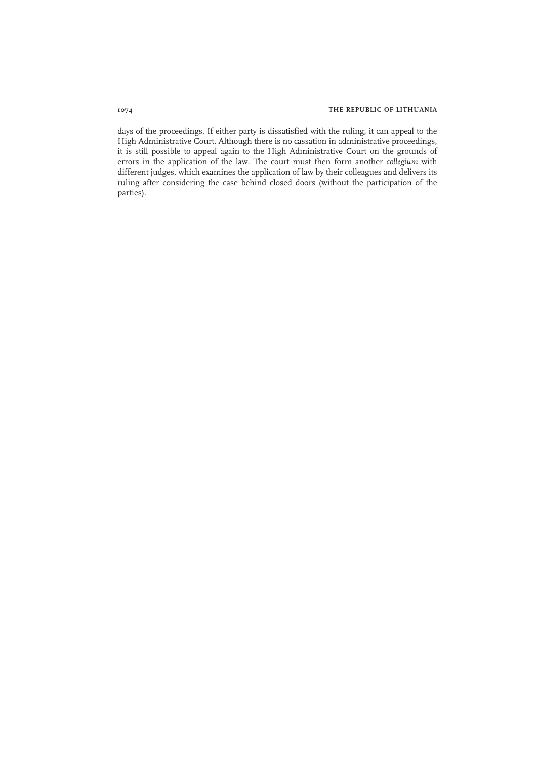days of the proceedings. If either party is dissatisfied with the ruling, it can appeal to the High Administrative Court. Although there is no cassation in administrative proceedings, it is still possible to appeal again to the High Administrative Court on the grounds of errors in the application of the law. The court must then form another *collegium* with different judges, which examines the application of law by their colleagues and delivers its ruling after considering the case behind closed doors (without the participation of the parties).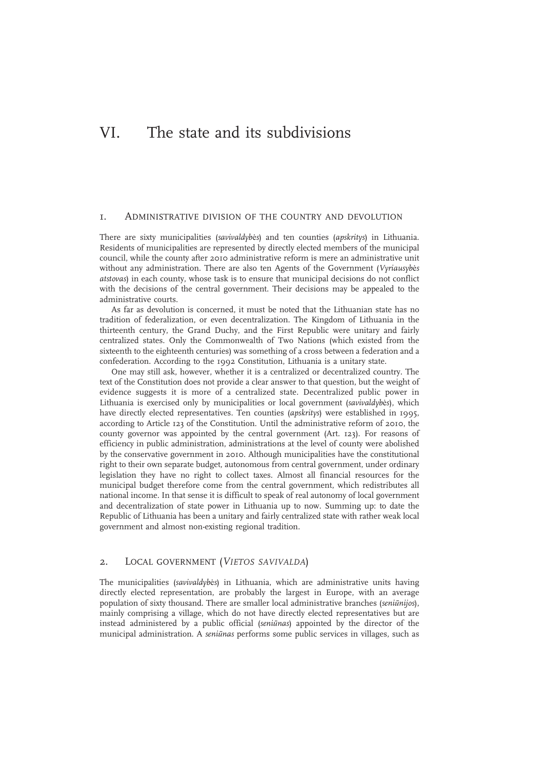# VI. The state and its subdivisions

## 1. ADMINISTRATIVE DIVISION OF THE COUNTRY AND DEVOLUTION

There are sixty municipalities (savivaldybės) and ten counties (apskritys) in Lithuania. Residents of municipalities are represented by directly elected members of the municipal council, while the county after 2010 administrative reform is mere an administrative unit without any administration. There are also ten Agents of the Government (Vyriausybės atstovas) in each county, whose task is to ensure that municipal decisions do not conflict with the decisions of the central government. Their decisions may be appealed to the administrative courts.

As far as devolution is concerned, it must be noted that the Lithuanian state has no tradition of federalization, or even decentralization. The Kingdom of Lithuania in the thirteenth century, the Grand Duchy, and the First Republic were unitary and fairly centralized states. Only the Commonwealth of Two Nations (which existed from the sixteenth to the eighteenth centuries) was something of a cross between a federation and a confederation. According to the 1992 Constitution, Lithuania is a unitary state.

One may still ask, however, whether it is a centralized or decentralized country. The text of the Constitution does not provide a clear answer to that question, but the weight of evidence suggests it is more of a centralized state. Decentralized public power in Lithuania is exercised only by municipalities or local government (savivaldybės), which have directly elected representatives. Ten counties (apskritys) were established in 1995, according to Article 123 of the Constitution. Until the administrative reform of 2010, the county governor was appointed by the central government (Art. 123). For reasons of efficiency in public administration, administrations at the level of county were abolished by the conservative government in 2010. Although municipalities have the constitutional right to their own separate budget, autonomous from central government, under ordinary legislation they have no right to collect taxes. Almost all financial resources for the municipal budget therefore come from the central government, which redistributes all national income. In that sense it is difficult to speak of real autonomy of local government and decentralization of state power in Lithuania up to now. Summing up: to date the Republic of Lithuania has been a unitary and fairly centralized state with rather weak local government and almost non-existing regional tradition.

## 2. LOCAL GOVERNMENT (VIETOS SAVIVALDA)

The municipalities (savivaldybės) in Lithuania, which are administrative units having directly elected representation, are probably the largest in Europe, with an average population of sixty thousand. There are smaller local administrative branches (seniūnijos), mainly comprising a village, which do not have directly elected representatives but are instead administered by a public official (seniūnas) appointed by the director of the municipal administration. A seniūnas performs some public services in villages, such as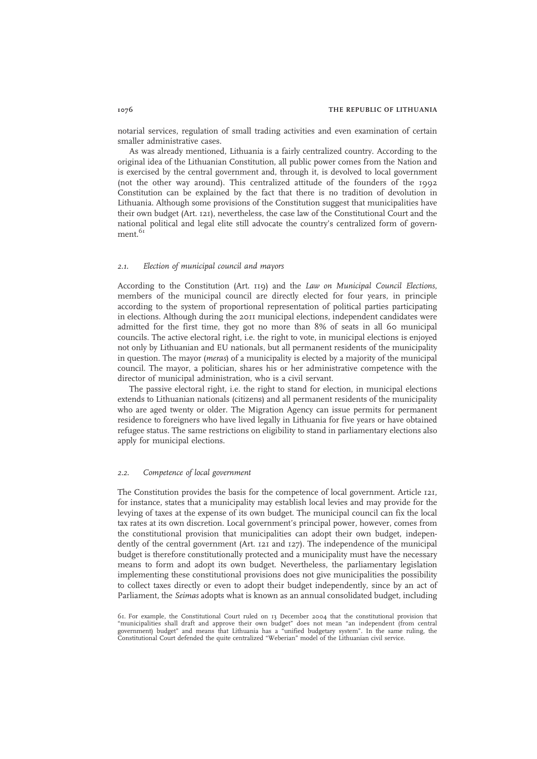notarial services, regulation of small trading activities and even examination of certain smaller administrative cases.

As was already mentioned, Lithuania is a fairly centralized country. According to the original idea of the Lithuanian Constitution, all public power comes from the Nation and is exercised by the central government and, through it, is devolved to local government (not the other way around). This centralized attitude of the founders of the 1992 Constitution can be explained by the fact that there is no tradition of devolution in Lithuania. Although some provisions of the Constitution suggest that municipalities have their own budget (Art. 121), nevertheless, the case law of the Constitutional Court and the national political and legal elite still advocate the country's centralized form of government.<sup>61</sup>

### 2.1. Election of municipal council and mayors

According to the Constitution (Art. 119) and the Law on Municipal Council Elections, members of the municipal council are directly elected for four years, in principle according to the system of proportional representation of political parties participating in elections. Although during the 2011 municipal elections, independent candidates were admitted for the first time, they got no more than 8% of seats in all 60 municipal councils. The active electoral right, i.e. the right to vote, in municipal elections is enjoyed not only by Lithuanian and EU nationals, but all permanent residents of the municipality in question. The mayor (meras) of a municipality is elected by a majority of the municipal council. The mayor, a politician, shares his or her administrative competence with the director of municipal administration, who is a civil servant.

The passive electoral right, i.e. the right to stand for election, in municipal elections extends to Lithuanian nationals (citizens) and all permanent residents of the municipality who are aged twenty or older. The Migration Agency can issue permits for permanent residence to foreigners who have lived legally in Lithuania for five years or have obtained refugee status. The same restrictions on eligibility to stand in parliamentary elections also apply for municipal elections.

#### 2.2. Competence of local government

The Constitution provides the basis for the competence of local government. Article 121, for instance, states that a municipality may establish local levies and may provide for the levying of taxes at the expense of its own budget. The municipal council can fix the local tax rates at its own discretion. Local government's principal power, however, comes from the constitutional provision that municipalities can adopt their own budget, independently of the central government (Art. 121 and 127). The independence of the municipal budget is therefore constitutionally protected and a municipality must have the necessary means to form and adopt its own budget. Nevertheless, the parliamentary legislation implementing these constitutional provisions does not give municipalities the possibility to collect taxes directly or even to adopt their budget independently, since by an act of Parliament, the Seimas adopts what is known as an annual consolidated budget, including

<sup>61.</sup> For example, the Constitutional Court ruled on 13 December 2004 that the constitutional provision that "municipalities shall draft and approve their own budget" does not mean "an independent (from central<br>government) budget" and means that Lithuania has a "unified budgetary system". In the same ruling, the<br>Constitutional Co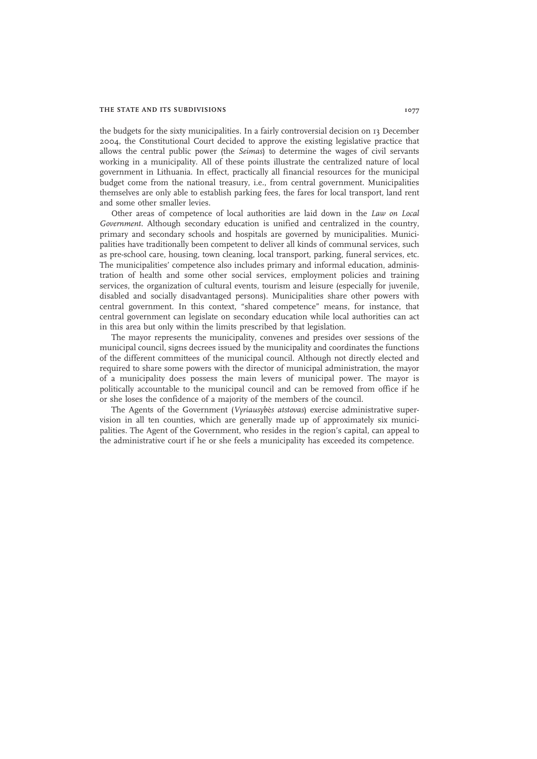#### THE STATE AND ITS SUBDIVISIONS 1077

the budgets for the sixty municipalities. In a fairly controversial decision on 13 December 2004, the Constitutional Court decided to approve the existing legislative practice that allows the central public power (the Seimas) to determine the wages of civil servants working in a municipality. All of these points illustrate the centralized nature of local government in Lithuania. In effect, practically all financial resources for the municipal budget come from the national treasury, i.e., from central government. Municipalities themselves are only able to establish parking fees, the fares for local transport, land rent and some other smaller levies.

Other areas of competence of local authorities are laid down in the Law on Local Government. Although secondary education is unified and centralized in the country, primary and secondary schools and hospitals are governed by municipalities. Municipalities have traditionally been competent to deliver all kinds of communal services, such as pre-school care, housing, town cleaning, local transport, parking, funeral services, etc. The municipalities' competence also includes primary and informal education, administration of health and some other social services, employment policies and training services, the organization of cultural events, tourism and leisure (especially for juvenile, disabled and socially disadvantaged persons). Municipalities share other powers with central government. In this context, "shared competence" means, for instance, that central government can legislate on secondary education while local authorities can act in this area but only within the limits prescribed by that legislation.

The mayor represents the municipality, convenes and presides over sessions of the municipal council, signs decrees issued by the municipality and coordinates the functions of the different committees of the municipal council. Although not directly elected and required to share some powers with the director of municipal administration, the mayor of a municipality does possess the main levers of municipal power. The mayor is politically accountable to the municipal council and can be removed from office if he or she loses the confidence of a majority of the members of the council.

The Agents of the Government (Vyriausybės atstovas) exercise administrative supervision in all ten counties, which are generally made up of approximately six municipalities. The Agent of the Government, who resides in the region's capital, can appeal to the administrative court if he or she feels a municipality has exceeded its competence.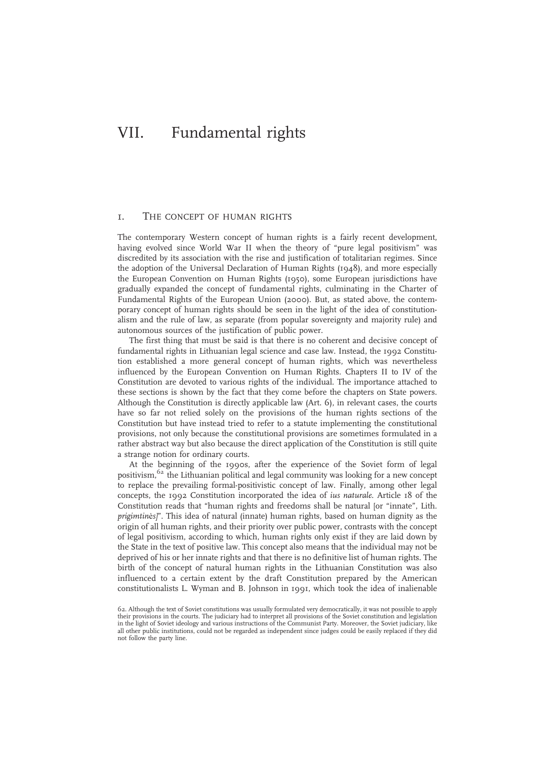# VII. Fundamental rights

## 1. THE CONCEPT OF HUMAN RIGHTS

The contemporary Western concept of human rights is a fairly recent development, having evolved since World War II when the theory of "pure legal positivism" was discredited by its association with the rise and justification of totalitarian regimes. Since the adoption of the Universal Declaration of Human Rights (1948), and more especially the European Convention on Human Rights (1950), some European jurisdictions have gradually expanded the concept of fundamental rights, culminating in the Charter of Fundamental Rights of the European Union (2000). But, as stated above, the contemporary concept of human rights should be seen in the light of the idea of constitutionalism and the rule of law, as separate (from popular sovereignty and majority rule) and autonomous sources of the justification of public power.

The first thing that must be said is that there is no coherent and decisive concept of fundamental rights in Lithuanian legal science and case law. Instead, the 1992 Constitution established a more general concept of human rights, which was nevertheless influenced by the European Convention on Human Rights. Chapters II to IV of the Constitution are devoted to various rights of the individual. The importance attached to these sections is shown by the fact that they come before the chapters on State powers. Although the Constitution is directly applicable law (Art. 6), in relevant cases, the courts have so far not relied solely on the provisions of the human rights sections of the Constitution but have instead tried to refer to a statute implementing the constitutional provisions, not only because the constitutional provisions are sometimes formulated in a rather abstract way but also because the direct application of the Constitution is still quite a strange notion for ordinary courts.

At the beginning of the 1990s, after the experience of the Soviet form of legal positivism,<sup>62</sup> the Lithuanian political and legal community was looking for a new concept to replace the prevailing formal-positivistic concept of law. Finally, among other legal concepts, the 1992 Constitution incorporated the idea of ius naturale. Article 18 of the Constitution reads that "human rights and freedoms shall be natural [or "innate", Lith. prigimtinės]". This idea of natural (innate) human rights, based on human dignity as the origin of all human rights, and their priority over public power, contrasts with the concept of legal positivism, according to which, human rights only exist if they are laid down by the State in the text of positive law. This concept also means that the individual may not be deprived of his or her innate rights and that there is no definitive list of human rights. The birth of the concept of natural human rights in the Lithuanian Constitution was also influenced to a certain extent by the draft Constitution prepared by the American constitutionalists L. Wyman and B. Johnson in 1991, which took the idea of inalienable

<sup>62.</sup> Although the text of Soviet constitutions was usually formulated very democratically, it was not possible to apply their provisions in the courts. The judiciary had to interpret all provisions of the Soviet constitution and legislation in the light of Soviet ideology and various instructions of the Communist Party. Moreover, the Soviet judiciary, like all other public institutions, could not be regarded as independent since judges could be easily replaced if they did not follow the party line.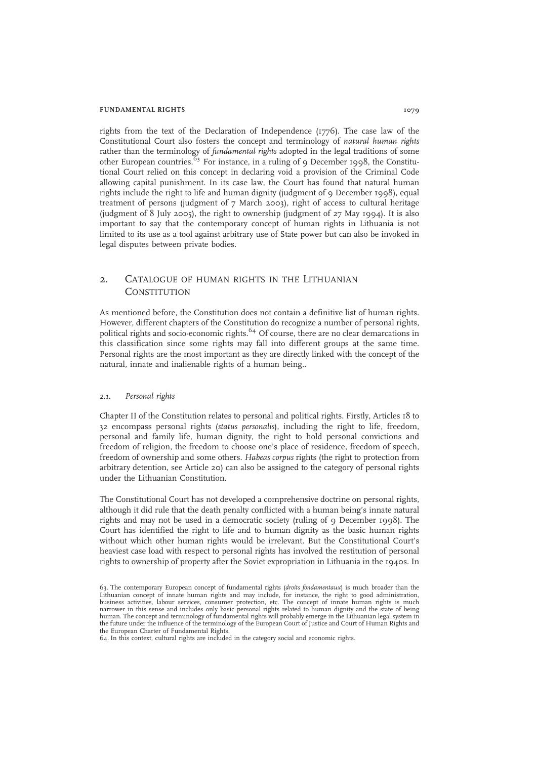#### FUNDAMENTAL RIGHTS 1079

rights from the text of the Declaration of Independence (1776). The case law of the Constitutional Court also fosters the concept and terminology of natural human rights rather than the terminology of fundamental rights adopted in the legal traditions of some other European countries.<sup>63</sup> For instance, in a ruling of 9 December 1998, the Constitutional Court relied on this concept in declaring void a provision of the Criminal Code allowing capital punishment. In its case law, the Court has found that natural human rights include the right to life and human dignity (judgment of 9 December 1998), equal treatment of persons (judgment of 7 March 2003), right of access to cultural heritage (judgment of 8 July 2005), the right to ownership (judgment of 27 May 1994). It is also important to say that the contemporary concept of human rights in Lithuania is not limited to its use as a tool against arbitrary use of State power but can also be invoked in legal disputes between private bodies.

## 2. CATALOGUE OF HUMAN RIGHTS IN THE LITHUANIAN **CONSTITUTION**

As mentioned before, the Constitution does not contain a definitive list of human rights. However, different chapters of the Constitution do recognize a number of personal rights, political rights and socio-economic rights.<sup>64</sup> Of course, there are no clear demarcations in this classification since some rights may fall into different groups at the same time. Personal rights are the most important as they are directly linked with the concept of the natural, innate and inalienable rights of a human being..

#### 2.1. Personal rights

Chapter II of the Constitution relates to personal and political rights. Firstly, Articles 18 to 32 encompass personal rights (status personalis), including the right to life, freedom, personal and family life, human dignity, the right to hold personal convictions and freedom of religion, the freedom to choose one's place of residence, freedom of speech, freedom of ownership and some others. Habeas corpus rights (the right to protection from arbitrary detention, see Article 20) can also be assigned to the category of personal rights under the Lithuanian Constitution.

The Constitutional Court has not developed a comprehensive doctrine on personal rights, although it did rule that the death penalty conflicted with a human being's innate natural rights and may not be used in a democratic society (ruling of 9 December 1998). The Court has identified the right to life and to human dignity as the basic human rights without which other human rights would be irrelevant. But the Constitutional Court's heaviest case load with respect to personal rights has involved the restitution of personal rights to ownership of property after the Soviet expropriation in Lithuania in the 1940s. In

<sup>63.</sup> The contemporary European concept of fundamental rights (droits fondamentaux) is much broader than the Lithuanian concept of innate human rights and may include, for instance, the right to good administration, business activities, labour services, consumer protection, etc. The concept of innate human rights is much narrower in this sense and includes only basic personal rights related to human dignity and the state of being human. The concept and terminology of fundamental rights will probably emerge in the Lithuanian legal system in the future under the influence of the terminology of the European Court of Justice and Court of Human Rights and the European Charter of Fundamental Rights.

<sup>64.</sup> In this context, cultural rights are included in the category social and economic rights.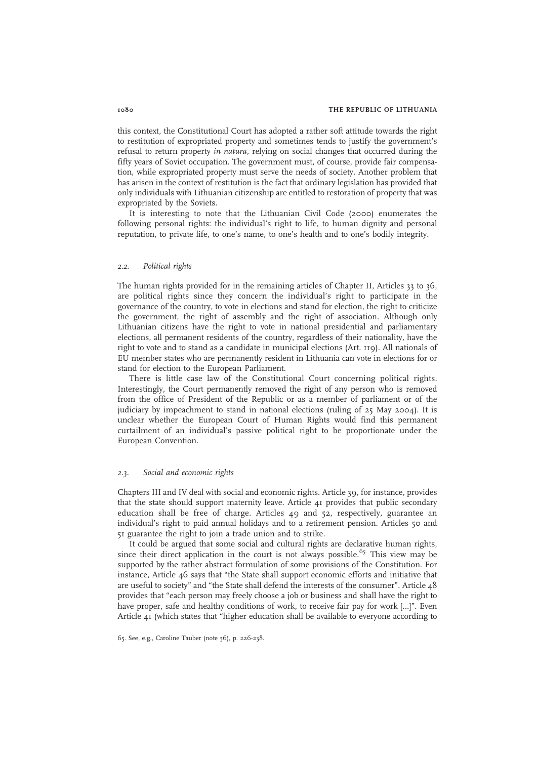this context, the Constitutional Court has adopted a rather soft attitude towards the right to restitution of expropriated property and sometimes tends to justify the government's refusal to return property in natura, relying on social changes that occurred during the fifty years of Soviet occupation. The government must, of course, provide fair compensation, while expropriated property must serve the needs of society. Another problem that has arisen in the context of restitution is the fact that ordinary legislation has provided that only individuals with Lithuanian citizenship are entitled to restoration of property that was expropriated by the Soviets.

It is interesting to note that the Lithuanian Civil Code (2000) enumerates the following personal rights: the individual's right to life, to human dignity and personal reputation, to private life, to one's name, to one's health and to one's bodily integrity.

#### 2.2. Political rights

The human rights provided for in the remaining articles of Chapter II, Articles 33 to 36, are political rights since they concern the individual's right to participate in the governance of the country, to vote in elections and stand for election, the right to criticize the government, the right of assembly and the right of association. Although only Lithuanian citizens have the right to vote in national presidential and parliamentary elections, all permanent residents of the country, regardless of their nationality, have the right to vote and to stand as a candidate in municipal elections (Art. 119). All nationals of EU member states who are permanently resident in Lithuania can vote in elections for or stand for election to the European Parliament.

There is little case law of the Constitutional Court concerning political rights. Interestingly, the Court permanently removed the right of any person who is removed from the office of President of the Republic or as a member of parliament or of the judiciary by impeachment to stand in national elections (ruling of 25 May 2004). It is unclear whether the European Court of Human Rights would find this permanent curtailment of an individual's passive political right to be proportionate under the European Convention.

#### 2.3. Social and economic rights

Chapters III and IV deal with social and economic rights. Article 39, for instance, provides that the state should support maternity leave. Article  $4I$  provides that public secondary education shall be free of charge. Articles 49 and 52, respectively, guarantee an individual's right to paid annual holidays and to a retirement pension. Articles 50 and 51 guarantee the right to join a trade union and to strike.

It could be argued that some social and cultural rights are declarative human rights, since their direct application in the court is not always possible.<sup>65</sup> This view may be supported by the rather abstract formulation of some provisions of the Constitution. For instance, Article 46 says that "the State shall support economic efforts and initiative that are useful to society" and "the State shall defend the interests of the consumer". Article 48 provides that "each person may freely choose a job or business and shall have the right to have proper, safe and healthy conditions of work, to receive fair pay for work […]". Even Article 41 (which states that "higher education shall be available to everyone according to

<sup>65.</sup> See, e.g., Caroline Tauber (note 56), p. 226-238.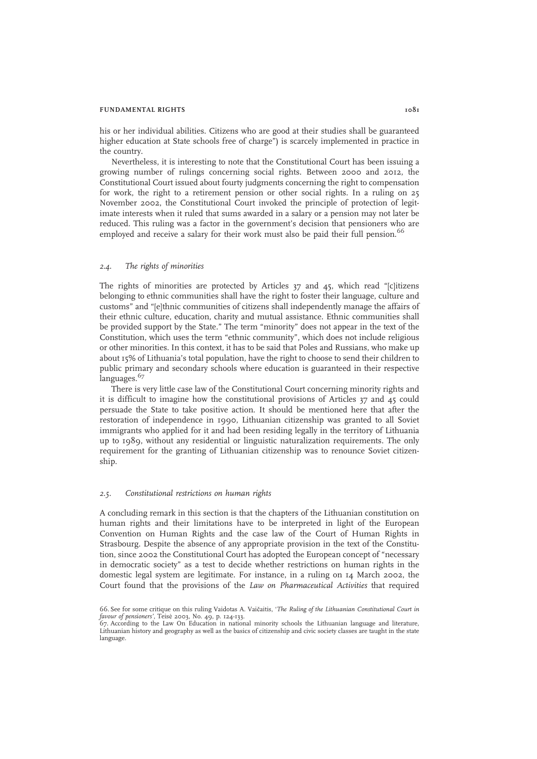#### FUNDAMENTAL RIGHTS 1081

his or her individual abilities. Citizens who are good at their studies shall be guaranteed higher education at State schools free of charge") is scarcely implemented in practice in the country.

Nevertheless, it is interesting to note that the Constitutional Court has been issuing a growing number of rulings concerning social rights. Between 2000 and 2012, the Constitutional Court issued about fourty judgments concerning the right to compensation for work, the right to a retirement pension or other social rights. In a ruling on 25 November 2002, the Constitutional Court invoked the principle of protection of legitimate interests when it ruled that sums awarded in a salary or a pension may not later be reduced. This ruling was a factor in the government's decision that pensioners who are employed and receive a salary for their work must also be paid their full pension.<sup>66</sup>

## 2.4. The rights of minorities

The rights of minorities are protected by Articles  $37$  and  $45$ , which read "[c]itizens belonging to ethnic communities shall have the right to foster their language, culture and customs" and "[e]thnic communities of citizens shall independently manage the affairs of their ethnic culture, education, charity and mutual assistance. Ethnic communities shall be provided support by the State." The term "minority" does not appear in the text of the Constitution, which uses the term "ethnic community", which does not include religious or other minorities. In this context, it has to be said that Poles and Russians, who make up about 15% of Lithuania's total population, have the right to choose to send their children to public primary and secondary schools where education is guaranteed in their respective languages.<sup>67</sup>

There is very little case law of the Constitutional Court concerning minority rights and it is difficult to imagine how the constitutional provisions of Articles 37 and 45 could persuade the State to take positive action. It should be mentioned here that after the restoration of independence in 1990, Lithuanian citizenship was granted to all Soviet immigrants who applied for it and had been residing legally in the territory of Lithuania up to 1989, without any residential or linguistic naturalization requirements. The only requirement for the granting of Lithuanian citizenship was to renounce Soviet citizenship.

#### 2.5. Constitutional restrictions on human rights

A concluding remark in this section is that the chapters of the Lithuanian constitution on human rights and their limitations have to be interpreted in light of the European Convention on Human Rights and the case law of the Court of Human Rights in Strasbourg. Despite the absence of any appropriate provision in the text of the Constitution, since 2002 the Constitutional Court has adopted the European concept of "necessary in democratic society" as a test to decide whether restrictions on human rights in the domestic legal system are legitimate. For instance, in a ruling on 14 March 2002, the Court found that the provisions of the Law on Pharmaceutical Activities that required

<sup>66.</sup> See for some critique on this ruling Vaidotas A. Vaičaitis, 'The Ruling of the Lithuanian Constitutional Court in favour of pensioners', Teisė 2003, No. 49, p. 124-133.

<sup>67.</sup> According to the Law On Education in national minority schools the Lithuanian language and literature, Lithuanian history and geography as well as the basics of citizenship and civic society classes are taught in the state language.